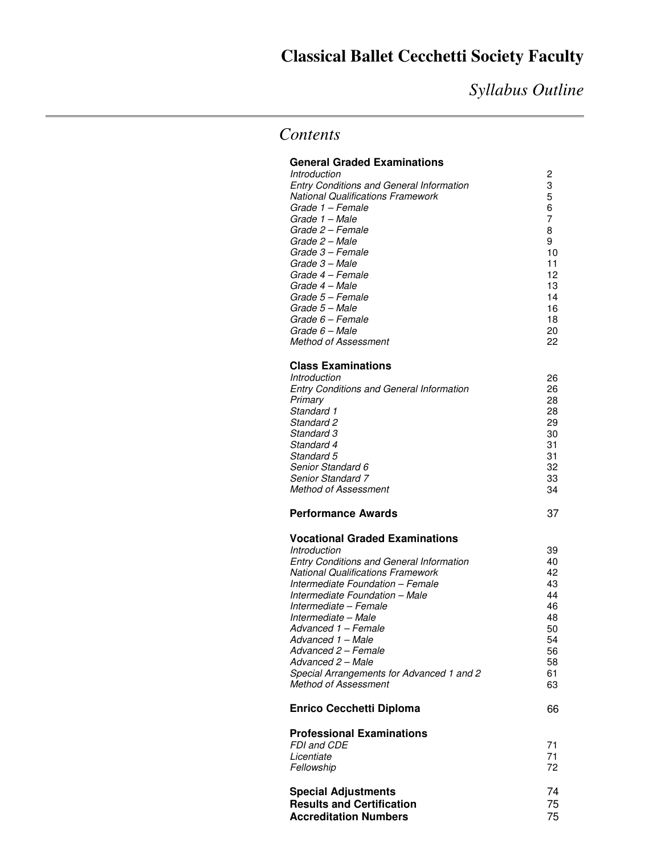# **Classical Ballet Cecchetti Society Faculty**

*Syllabus Outline* 

## *Contents*

#### **General Graded Examinations**

| Introduction                                    | 2  |
|-------------------------------------------------|----|
| <b>Entry Conditions and General Information</b> | 3  |
| <b>National Qualifications Framework</b>        | 5  |
| Grade 1 – Female                                | 6  |
| Grade 1 – Male                                  |    |
| Grade 2 – Female                                | 8  |
| Grade 2 – Male                                  | 9  |
| Grade 3 – Female                                | 10 |
| Grade 3 - Male                                  | 11 |
| Grade 4 - Female                                | 12 |
| Grade 4 – Male                                  | 13 |
| Grade 5 – Female                                | 14 |
| Grade 5 – Male                                  | 16 |
| Grade 6 – Female                                | 18 |
| Grade 6 – Male                                  | 20 |
| <b>Method of Assessment</b>                     | 22 |

#### **Class Examinations**

| <i><b>Introduction</b></i>                      | 26 |
|-------------------------------------------------|----|
| <b>Entry Conditions and General Information</b> | 26 |
| Primary                                         | 28 |
| Standard 1                                      | 28 |
| Standard 2                                      | 29 |
| Standard 3                                      | 30 |
| Standard 4                                      | 31 |
| Standard 5                                      | 31 |
| Senior Standard 6                               | 32 |
| <b>Senior Standard 7</b>                        | 33 |
| <b>Method of Assessment</b>                     | 34 |
|                                                 |    |

#### **Performance Awards** 37

#### **Vocational Graded Examinations**

| Introduction                                    | 39 |
|-------------------------------------------------|----|
| <b>Entry Conditions and General Information</b> | 40 |
| National Qualifications Framework               | 42 |
| Intermediate Foundation - Female                | 43 |
| Intermediate Foundation - Male                  | 44 |
| Intermediate – Female                           | 46 |
| Intermediate – Male                             | 48 |
| Advanced 1 – Female                             | 50 |
| Advanced 1 – Male                               | 54 |
| Advanced 2 – Female                             | 56 |
| Advanced 2 – Male                               | 58 |
| Special Arrangements for Advanced 1 and 2       | 61 |
| Method of Assessment                            | 63 |
| <b>Enrico Cecchetti Diploma</b>                 | 66 |
| Professional Examinations                       |    |
| FDI and CDE                                     | 71 |
| Licentiate                                      | 71 |
| Fellowship                                      | 72 |
| Special Adjustments                             | 74 |
|                                                 |    |

| <b>Special Adjustments</b>       |     |
|----------------------------------|-----|
| <b>Results and Certification</b> | 75. |
| <b>Accreditation Numbers</b>     | 75  |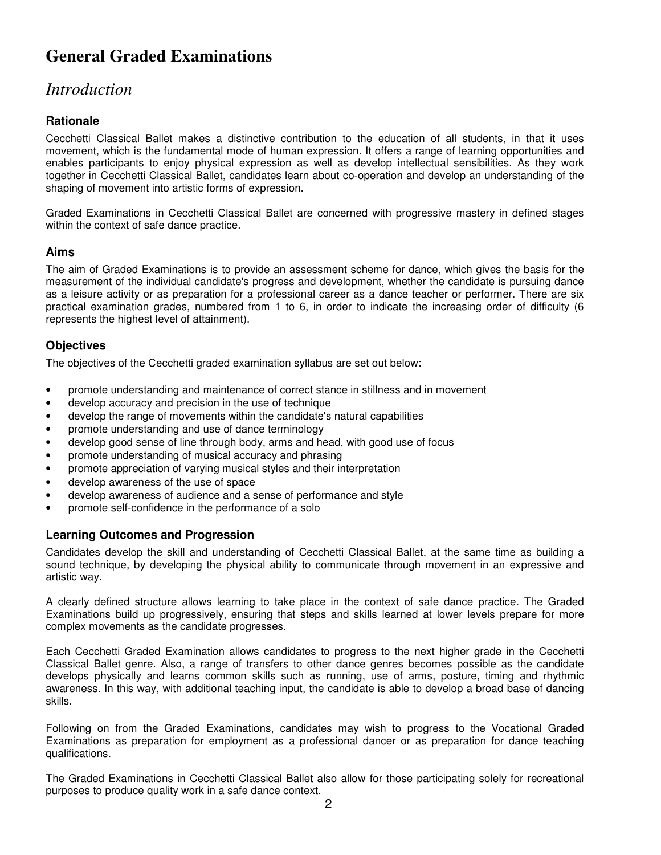# **General Graded Examinations**

## *Introduction*

## **Rationale**

Cecchetti Classical Ballet makes a distinctive contribution to the education of all students, in that it uses movement, which is the fundamental mode of human expression. It offers a range of learning opportunities and enables participants to enjoy physical expression as well as develop intellectual sensibilities. As they work together in Cecchetti Classical Ballet, candidates learn about co-operation and develop an understanding of the shaping of movement into artistic forms of expression.

Graded Examinations in Cecchetti Classical Ballet are concerned with progressive mastery in defined stages within the context of safe dance practice.

### **Aims**

The aim of Graded Examinations is to provide an assessment scheme for dance, which gives the basis for the measurement of the individual candidate's progress and development, whether the candidate is pursuing dance as a leisure activity or as preparation for a professional career as a dance teacher or performer. There are six practical examination grades, numbered from 1 to 6, in order to indicate the increasing order of difficulty (6 represents the highest level of attainment).

### **Objectives**

The objectives of the Cecchetti graded examination syllabus are set out below:

- promote understanding and maintenance of correct stance in stillness and in movement
- develop accuracy and precision in the use of technique
- develop the range of movements within the candidate's natural capabilities
- promote understanding and use of dance terminology
- develop good sense of line through body, arms and head, with good use of focus
- promote understanding of musical accuracy and phrasing
- promote appreciation of varying musical styles and their interpretation
- develop awareness of the use of space
- develop awareness of audience and a sense of performance and style
- promote self-confidence in the performance of a solo

### **Learning Outcomes and Progression**

Candidates develop the skill and understanding of Cecchetti Classical Ballet, at the same time as building a sound technique, by developing the physical ability to communicate through movement in an expressive and artistic way.

A clearly defined structure allows learning to take place in the context of safe dance practice. The Graded Examinations build up progressively, ensuring that steps and skills learned at lower levels prepare for more complex movements as the candidate progresses.

Each Cecchetti Graded Examination allows candidates to progress to the next higher grade in the Cecchetti Classical Ballet genre. Also, a range of transfers to other dance genres becomes possible as the candidate develops physically and learns common skills such as running, use of arms, posture, timing and rhythmic awareness. In this way, with additional teaching input, the candidate is able to develop a broad base of dancing skills.

Following on from the Graded Examinations, candidates may wish to progress to the Vocational Graded Examinations as preparation for employment as a professional dancer or as preparation for dance teaching qualifications.

The Graded Examinations in Cecchetti Classical Ballet also allow for those participating solely for recreational purposes to produce quality work in a safe dance context.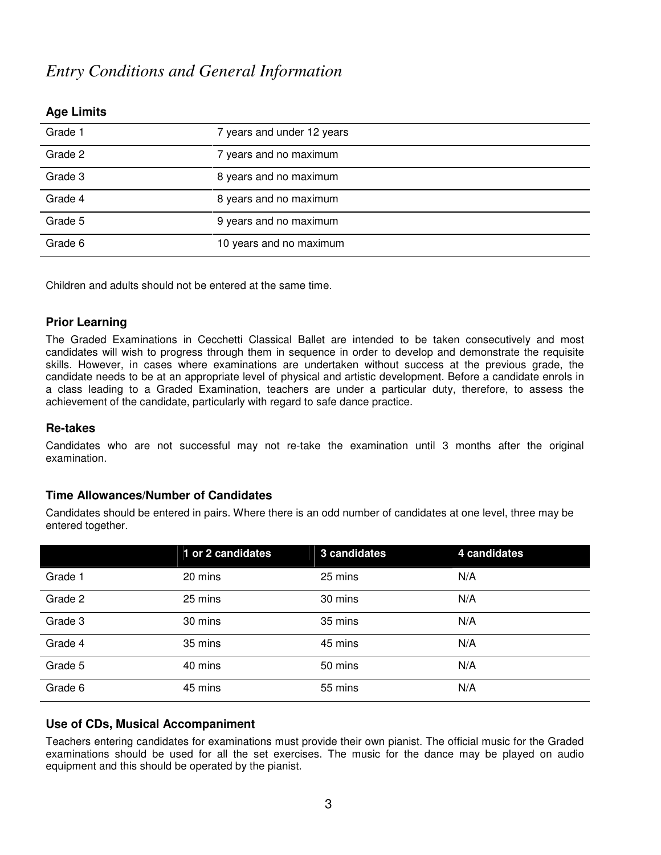## *Entry Conditions and General Information*

| Grade 1 | 7 years and under 12 years |
|---------|----------------------------|
| Grade 2 | 7 years and no maximum     |
| Grade 3 | 8 years and no maximum     |
| Grade 4 | 8 years and no maximum     |
| Grade 5 | 9 years and no maximum     |
| Grade 6 | 10 years and no maximum    |

#### **Age Limits**

Children and adults should not be entered at the same time.

#### **Prior Learning**

The Graded Examinations in Cecchetti Classical Ballet are intended to be taken consecutively and most candidates will wish to progress through them in sequence in order to develop and demonstrate the requisite skills. However, in cases where examinations are undertaken without success at the previous grade, the candidate needs to be at an appropriate level of physical and artistic development. Before a candidate enrols in a class leading to a Graded Examination, teachers are under a particular duty, therefore, to assess the achievement of the candidate, particularly with regard to safe dance practice.

#### **Re-takes**

Candidates who are not successful may not re-take the examination until 3 months after the original examination.

#### **Time Allowances/Number of Candidates**

Candidates should be entered in pairs. Where there is an odd number of candidates at one level, three may be entered together.

|         | 1 or 2 candidates | 3 candidates | 4 candidates |
|---------|-------------------|--------------|--------------|
| Grade 1 | 20 mins           | 25 mins      | N/A          |
| Grade 2 | 25 mins           | 30 mins      | N/A          |
| Grade 3 | 30 mins           | 35 mins      | N/A          |
| Grade 4 | 35 mins           | 45 mins      | N/A          |
| Grade 5 | 40 mins           | 50 mins      | N/A          |
| Grade 6 | 45 mins           | 55 mins      | N/A          |

#### **Use of CDs, Musical Accompaniment**

Teachers entering candidates for examinations must provide their own pianist. The official music for the Graded examinations should be used for all the set exercises. The music for the dance may be played on audio equipment and this should be operated by the pianist.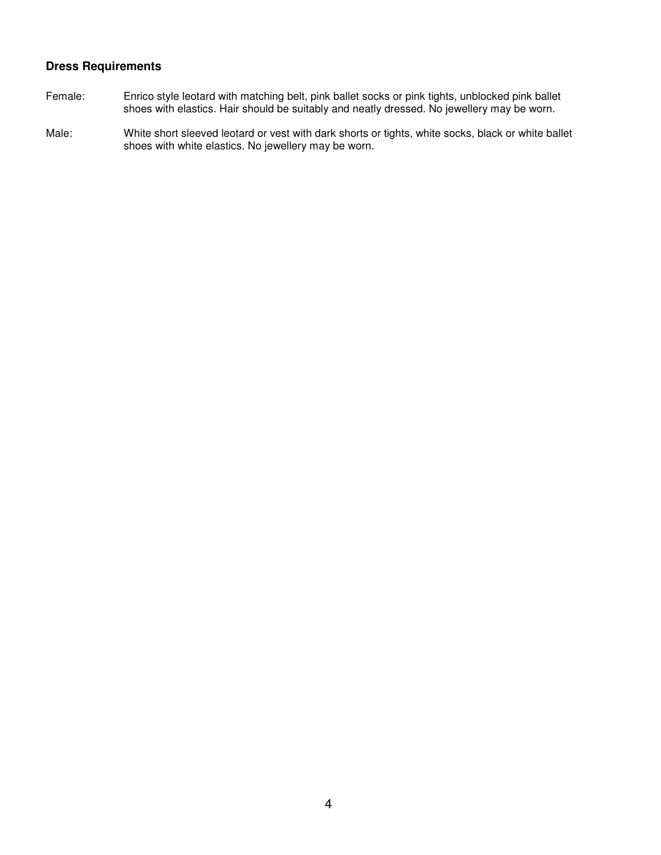## **Dress Requirements**

- Female: Enrico style leotard with matching belt, pink ballet socks or pink tights, unblocked pink ballet shoes with elastics. Hair should be suitably and neatly dressed. No jewellery may be worn.
- Male:White short sleeved leotard or vest with dark shorts or tights, white socks, black or white ballet shoes with white elastics. No jewellery may be worn.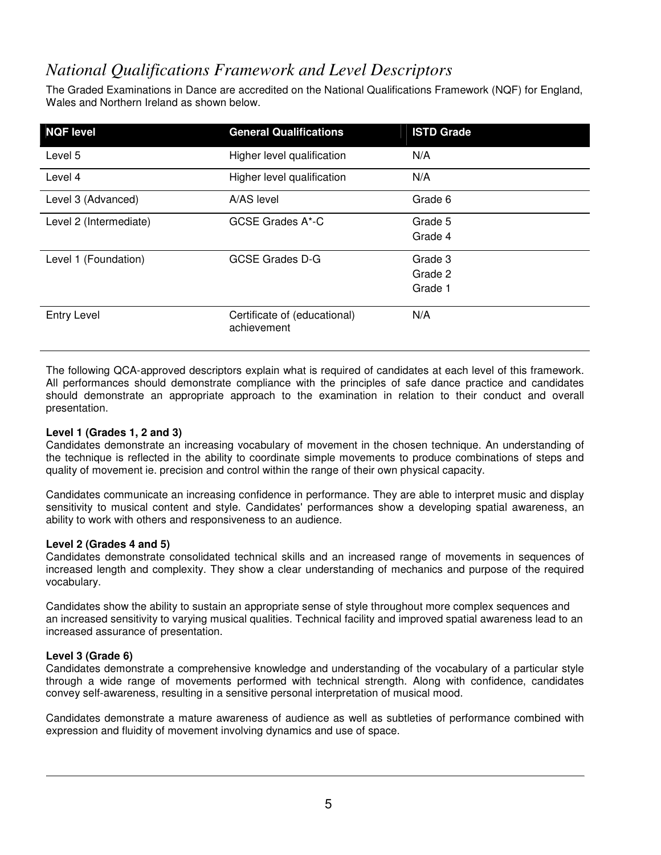## *National Qualifications Framework and Level Descriptors*

The Graded Examinations in Dance are accredited on the National Qualifications Framework (NQF) for England, Wales and Northern Ireland as shown below.

| <b>NQF level</b>       | <b>General Qualifications</b>               | <b>ISTD Grade</b> |
|------------------------|---------------------------------------------|-------------------|
| Level 5                | Higher level qualification                  | N/A               |
| Level 4                | Higher level qualification                  | N/A               |
| Level 3 (Advanced)     | A/AS level                                  | Grade 6           |
| Level 2 (Intermediate) | GCSE Grades A*-C                            | Grade 5           |
|                        |                                             | Grade 4           |
| Level 1 (Foundation)   | <b>GCSE Grades D-G</b>                      | Grade 3           |
|                        |                                             | Grade 2           |
|                        |                                             | Grade 1           |
| <b>Entry Level</b>     | Certificate of (educational)<br>achievement | N/A               |

The following QCA-approved descriptors explain what is required of candidates at each level of this framework. All performances should demonstrate compliance with the principles of safe dance practice and candidates should demonstrate an appropriate approach to the examination in relation to their conduct and overall presentation.

#### **Level 1 (Grades 1, 2 and 3)**

Candidates demonstrate an increasing vocabulary of movement in the chosen technique. An understanding of the technique is reflected in the ability to coordinate simple movements to produce combinations of steps and quality of movement ie. precision and control within the range of their own physical capacity.

Candidates communicate an increasing confidence in performance. They are able to interpret music and display sensitivity to musical content and style. Candidates' performances show a developing spatial awareness, an ability to work with others and responsiveness to an audience.

#### **Level 2 (Grades 4 and 5)**

Candidates demonstrate consolidated technical skills and an increased range of movements in sequences of increased length and complexity. They show a clear understanding of mechanics and purpose of the required vocabulary.

Candidates show the ability to sustain an appropriate sense of style throughout more complex sequences and an increased sensitivity to varying musical qualities. Technical facility and improved spatial awareness lead to an increased assurance of presentation.

#### **Level 3 (Grade 6)**

Candidates demonstrate a comprehensive knowledge and understanding of the vocabulary of a particular style through a wide range of movements performed with technical strength. Along with confidence, candidates convey self-awareness, resulting in a sensitive personal interpretation of musical mood.

Candidates demonstrate a mature awareness of audience as well as subtleties of performance combined with expression and fluidity of movement involving dynamics and use of space.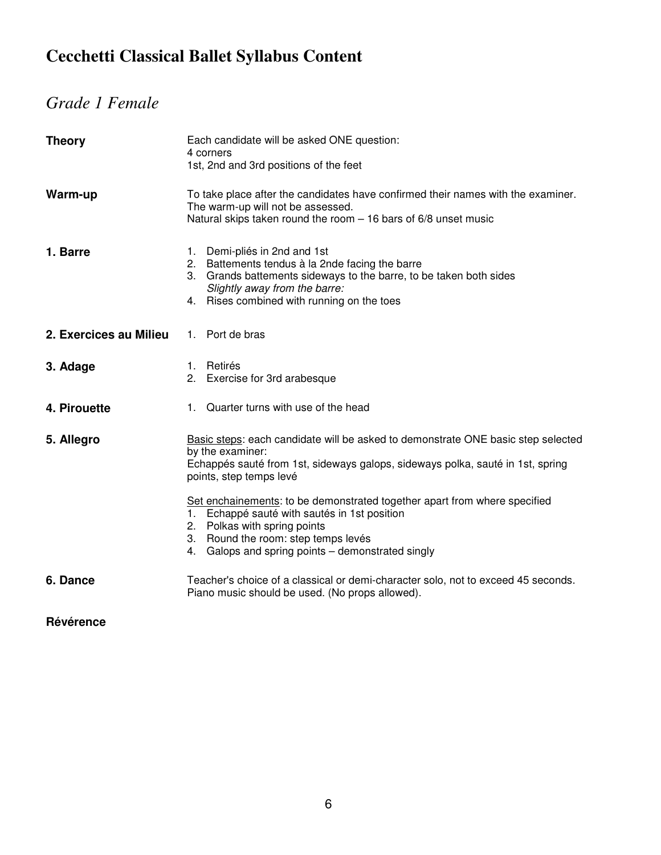# **Cecchetti Classical Ballet Syllabus Content**

# *Grade 1 Female*

| <b>Theory</b>          | Each candidate will be asked ONE question:<br>4 corners<br>1st, 2nd and 3rd positions of the feet                                                                                                                                                     |
|------------------------|-------------------------------------------------------------------------------------------------------------------------------------------------------------------------------------------------------------------------------------------------------|
| Warm-up                | To take place after the candidates have confirmed their names with the examiner.<br>The warm-up will not be assessed.<br>Natural skips taken round the room - 16 bars of 6/8 unset music                                                              |
| 1. Barre               | 1. Demi-pliés in 2nd and 1st<br>2. Battements tendus à la 2nde facing the barre<br>3. Grands battements sideways to the barre, to be taken both sides<br>Slightly away from the barre:<br>4. Rises combined with running on the toes                  |
| 2. Exercices au Milieu | 1. Port de bras                                                                                                                                                                                                                                       |
| 3. Adage               | 1. Retirés<br>2. Exercise for 3rd arabesque                                                                                                                                                                                                           |
| 4. Pirouette           | 1. Quarter turns with use of the head                                                                                                                                                                                                                 |
| 5. Allegro             | Basic steps: each candidate will be asked to demonstrate ONE basic step selected<br>by the examiner:<br>Echappés sauté from 1st, sideways galops, sideways polka, sauté in 1st, spring<br>points, step temps levé                                     |
|                        | Set enchainements: to be demonstrated together apart from where specified<br>1. Echappé sauté with sautés in 1st position<br>2. Polkas with spring points<br>3. Round the room: step temps levés<br>4. Galops and spring points - demonstrated singly |
| 6. Dance               | Teacher's choice of a classical or demi-character solo, not to exceed 45 seconds.<br>Piano music should be used. (No props allowed).                                                                                                                  |

**Révérence**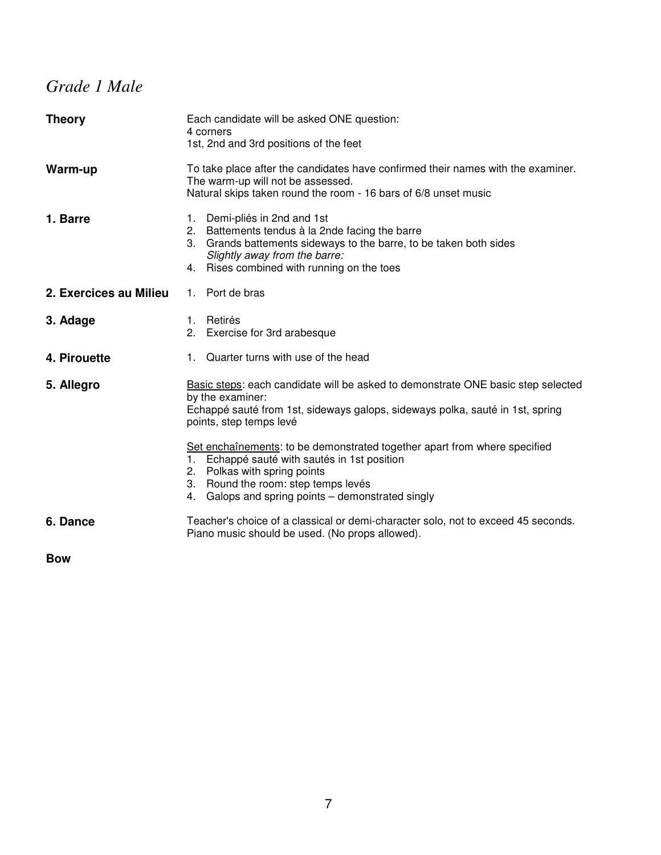# *Grade 1 Male*

| <b>Theory</b>          | Each candidate will be asked ONE question:<br>4 corners<br>1st, 2nd and 3rd positions of the feet                                                                                                                                                              |
|------------------------|----------------------------------------------------------------------------------------------------------------------------------------------------------------------------------------------------------------------------------------------------------------|
| Warm-up                | To take place after the candidates have confirmed their names with the examiner.<br>The warm-up will not be assessed.<br>Natural skips taken round the room - 16 bars of 6/8 unset music                                                                       |
| 1. Barre               | Demi-pliés in 2nd and 1st<br>1.<br>2. Battements tendus à la 2nde facing the barre<br>3. Grands battements sideways to the barre, to be taken both sides<br>Slightly away from the barre:<br>4. Rises combined with running on the toes                        |
| 2. Exercices au Milieu | 1. Port de bras                                                                                                                                                                                                                                                |
| 3. Adage               | Retirés<br>1.<br>2. Exercise for 3rd arabesque                                                                                                                                                                                                                 |
| 4. Pirouette           | Quarter turns with use of the head<br>1.                                                                                                                                                                                                                       |
| 5. Allegro             | Basic steps: each candidate will be asked to demonstrate ONE basic step selected<br>by the examiner:<br>Echappé sauté from 1st, sideways galops, sideways polka, sauté in 1st, spring<br>points, step temps levé                                               |
|                        | Set enchaînements: to be demonstrated together apart from where specified<br>Echappé sauté with sautés in 1st position<br>1.<br>2. Polkas with spring points<br>Round the room: step temps levés<br>3.<br>Galops and spring points – demonstrated singly<br>4. |
| 6. Dance               | Teacher's choice of a classical or demi-character solo, not to exceed 45 seconds.<br>Piano music should be used. (No props allowed).                                                                                                                           |
| <b>D</b>               |                                                                                                                                                                                                                                                                |

**Bow**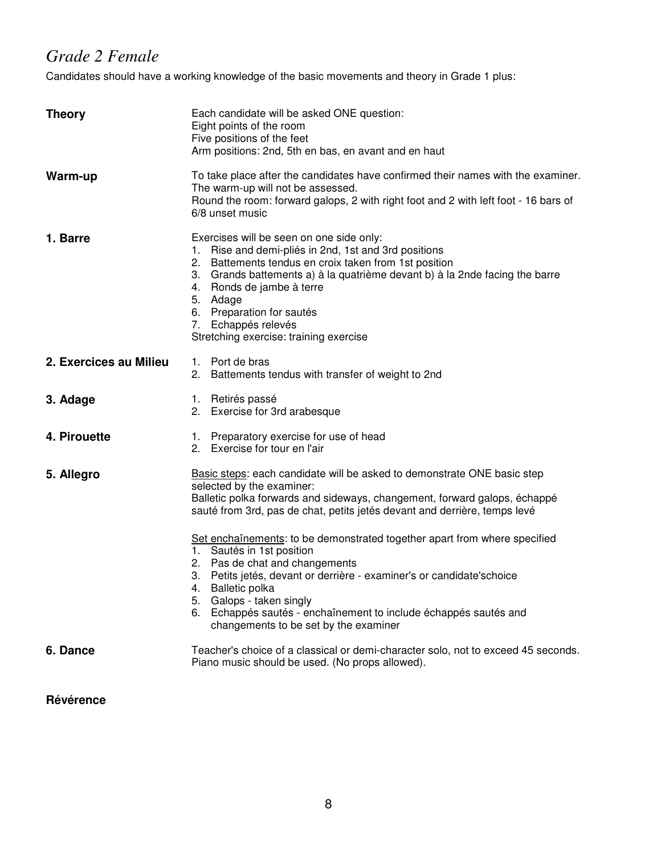## *Grade 2 Female*

Candidates should have a working knowledge of the basic movements and theory in Grade 1 plus:

| <b>Theory</b>          | Each candidate will be asked ONE question:<br>Eight points of the room<br>Five positions of the feet<br>Arm positions: 2nd, 5th en bas, en avant and en haut                                                                                                                                                                                                                                                                                                                                                                                                                                                                                       |  |
|------------------------|----------------------------------------------------------------------------------------------------------------------------------------------------------------------------------------------------------------------------------------------------------------------------------------------------------------------------------------------------------------------------------------------------------------------------------------------------------------------------------------------------------------------------------------------------------------------------------------------------------------------------------------------------|--|
| Warm-up                | To take place after the candidates have confirmed their names with the examiner.<br>The warm-up will not be assessed.<br>Round the room: forward galops, 2 with right foot and 2 with left foot - 16 bars of<br>6/8 unset music                                                                                                                                                                                                                                                                                                                                                                                                                    |  |
| 1. Barre               | Exercises will be seen on one side only:<br>1. Rise and demi-pliés in 2nd, 1st and 3rd positions<br>2. Battements tendus en croix taken from 1st position<br>3. Grands battements a) à la quatrième devant b) à la 2nde facing the barre<br>4. Ronds de jambe à terre<br>5. Adage<br>6. Preparation for sautés<br>7. Echappés relevés<br>Stretching exercise: training exercise                                                                                                                                                                                                                                                                    |  |
| 2. Exercices au Milieu | 1. Port de bras<br>2. Battements tendus with transfer of weight to 2nd                                                                                                                                                                                                                                                                                                                                                                                                                                                                                                                                                                             |  |
| 3. Adage               | 1. Retirés passé<br>2. Exercise for 3rd arabesque                                                                                                                                                                                                                                                                                                                                                                                                                                                                                                                                                                                                  |  |
| 4. Pirouette           | 1. Preparatory exercise for use of head<br>2. Exercise for tour en l'air                                                                                                                                                                                                                                                                                                                                                                                                                                                                                                                                                                           |  |
| 5. Allegro             | Basic steps: each candidate will be asked to demonstrate ONE basic step<br>selected by the examiner:<br>Balletic polka forwards and sideways, changement, forward galops, échappé<br>sauté from 3rd, pas de chat, petits jetés devant and derrière, temps levé<br>Set enchaînements: to be demonstrated together apart from where specified<br>1. Sautés in 1st position<br>2. Pas de chat and changements<br>3. Petits jetés, devant or derrière - examiner's or candidate's choice<br>4. Balletic polka<br>5. Galops - taken singly<br>6. Echappés sautés - enchaînement to include échappés sautés and<br>changements to be set by the examiner |  |
| 6. Dance               | Teacher's choice of a classical or demi-character solo, not to exceed 45 seconds.<br>Piano music should be used. (No props allowed).                                                                                                                                                                                                                                                                                                                                                                                                                                                                                                               |  |

**Révérence**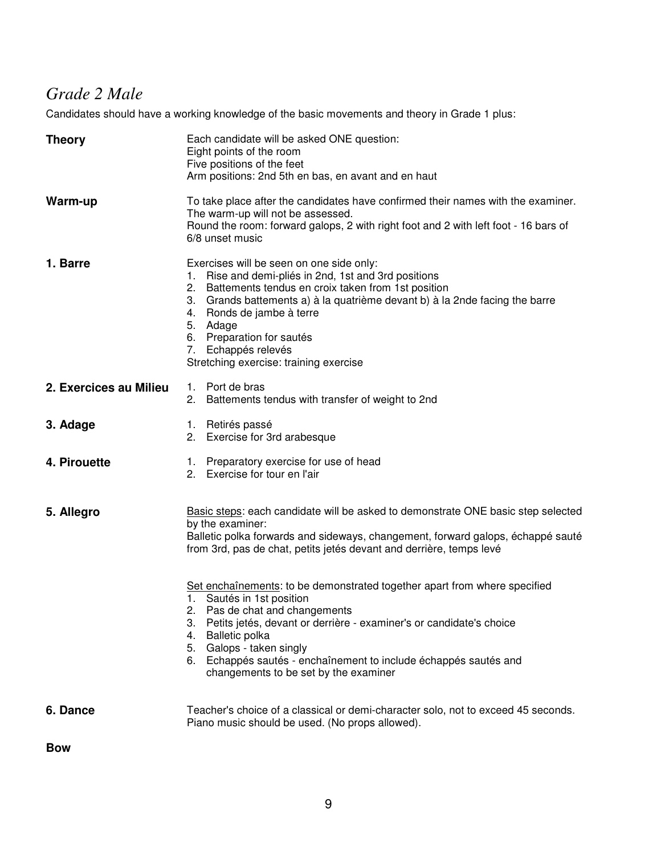# *Grade 2 Male*

Candidates should have a working knowledge of the basic movements and theory in Grade 1 plus:

| <b>Theory</b>          | Each candidate will be asked ONE question:<br>Eight points of the room<br>Five positions of the feet<br>Arm positions: 2nd 5th en bas, en avant and en haut                                                                                                                                                                                                                                 |
|------------------------|---------------------------------------------------------------------------------------------------------------------------------------------------------------------------------------------------------------------------------------------------------------------------------------------------------------------------------------------------------------------------------------------|
| Warm-up                | To take place after the candidates have confirmed their names with the examiner.<br>The warm-up will not be assessed.<br>Round the room: forward galops, 2 with right foot and 2 with left foot - 16 bars of<br>6/8 unset music                                                                                                                                                             |
| 1. Barre               | Exercises will be seen on one side only:<br>Rise and demi-pliés in 2nd, 1st and 3rd positions<br>1.<br>Battements tendus en croix taken from 1st position<br>2.<br>Grands battements a) à la quatrième devant b) à la 2nde facing the barre<br>3.<br>Ronds de jambe à terre<br>4.<br>5. Adage<br>6. Preparation for sautés<br>7. Echappés relevés<br>Stretching exercise: training exercise |
| 2. Exercices au Milieu | 1. Port de bras<br>2. Battements tendus with transfer of weight to 2nd                                                                                                                                                                                                                                                                                                                      |
| 3. Adage               | Retirés passé<br>1.<br>2. Exercise for 3rd arabesque                                                                                                                                                                                                                                                                                                                                        |
| 4. Pirouette           | Preparatory exercise for use of head<br>1.<br>2. Exercise for tour en l'air                                                                                                                                                                                                                                                                                                                 |
| 5. Allegro             | Basic steps: each candidate will be asked to demonstrate ONE basic step selected<br>by the examiner:<br>Balletic polka forwards and sideways, changement, forward galops, échappé sauté<br>from 3rd, pas de chat, petits jetés devant and derrière, temps levé                                                                                                                              |
|                        | Set enchaînements: to be demonstrated together apart from where specified<br>1. Sautés in 1st position<br>2. Pas de chat and changements<br>3. Petits jetés, devant or derrière - examiner's or candidate's choice<br>4. Balletic polka<br>5. Galops - taken singly<br>6. Echappés sautés - enchaînement to include échappés sautés and<br>changements to be set by the examiner            |
| 6. Dance               | Teacher's choice of a classical or demi-character solo, not to exceed 45 seconds.<br>Piano music should be used. (No props allowed).                                                                                                                                                                                                                                                        |

**Bow**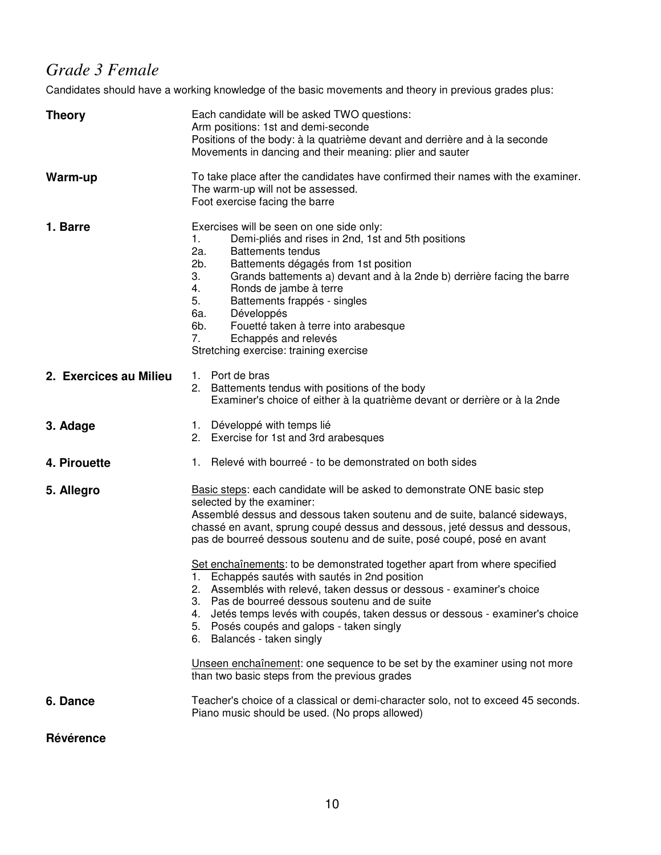# *Grade 3 Female*

Candidates should have a working knowledge of the basic movements and theory in previous grades plus:

| <b>Theory</b>          | Each candidate will be asked TWO questions:<br>Arm positions: 1st and demi-seconde<br>Positions of the body: à la quatrième devant and derrière and à la seconde<br>Movements in dancing and their meaning: plier and sauter                                                                                                                                                                                                                                                                                                                                                                                                                                                                                                                                                                                                                                                                   |  |
|------------------------|------------------------------------------------------------------------------------------------------------------------------------------------------------------------------------------------------------------------------------------------------------------------------------------------------------------------------------------------------------------------------------------------------------------------------------------------------------------------------------------------------------------------------------------------------------------------------------------------------------------------------------------------------------------------------------------------------------------------------------------------------------------------------------------------------------------------------------------------------------------------------------------------|--|
| Warm-up                | To take place after the candidates have confirmed their names with the examiner.<br>The warm-up will not be assessed.<br>Foot exercise facing the barre                                                                                                                                                                                                                                                                                                                                                                                                                                                                                                                                                                                                                                                                                                                                        |  |
| 1. Barre               | Exercises will be seen on one side only:<br>Demi-pliés and rises in 2nd, 1st and 5th positions<br>1.<br>2a.<br><b>Battements tendus</b><br>2b.<br>Battements dégagés from 1st position<br>Grands battements a) devant and à la 2nde b) derrière facing the barre<br>3.<br>4.<br>Ronds de jambe à terre<br>5.<br>Battements frappés - singles<br>6а.<br>Développés<br>6b.<br>Fouetté taken à terre into arabesque<br>Echappés and relevés<br>7.<br>Stretching exercise: training exercise                                                                                                                                                                                                                                                                                                                                                                                                       |  |
| 2. Exercices au Milieu | 1. Port de bras<br>2. Battements tendus with positions of the body<br>Examiner's choice of either à la quatrième devant or derrière or à la 2nde                                                                                                                                                                                                                                                                                                                                                                                                                                                                                                                                                                                                                                                                                                                                               |  |
| 3. Adage               | 1. Développé with temps lié<br>2. Exercise for 1st and 3rd arabesques                                                                                                                                                                                                                                                                                                                                                                                                                                                                                                                                                                                                                                                                                                                                                                                                                          |  |
| 4. Pirouette           | 1. Relevé with bourreé - to be demonstrated on both sides                                                                                                                                                                                                                                                                                                                                                                                                                                                                                                                                                                                                                                                                                                                                                                                                                                      |  |
| 5. Allegro             | Basic steps: each candidate will be asked to demonstrate ONE basic step<br>selected by the examiner:<br>Assemblé dessus and dessous taken soutenu and de suite, balancé sideways,<br>chassé en avant, sprung coupé dessus and dessous, jeté dessus and dessous,<br>pas de bourreé dessous soutenu and de suite, posé coupé, posé en avant<br>Set enchaînements: to be demonstrated together apart from where specified<br>1. Echappés sautés with sautés in 2nd position<br>2. Assemblés with relevé, taken dessus or dessous - examiner's choice<br>3. Pas de bourreé dessous soutenu and de suite<br>4. Jetés temps levés with coupés, taken dessus or dessous - examiner's choice<br>5. Posés coupés and galops - taken singly<br>6. Balancés - taken singly<br>Unseen enchaînement: one sequence to be set by the examiner using not more<br>than two basic steps from the previous grades |  |
| 6. Dance               | Teacher's choice of a classical or demi-character solo, not to exceed 45 seconds.<br>Piano music should be used. (No props allowed)                                                                                                                                                                                                                                                                                                                                                                                                                                                                                                                                                                                                                                                                                                                                                            |  |
| Révérence              |                                                                                                                                                                                                                                                                                                                                                                                                                                                                                                                                                                                                                                                                                                                                                                                                                                                                                                |  |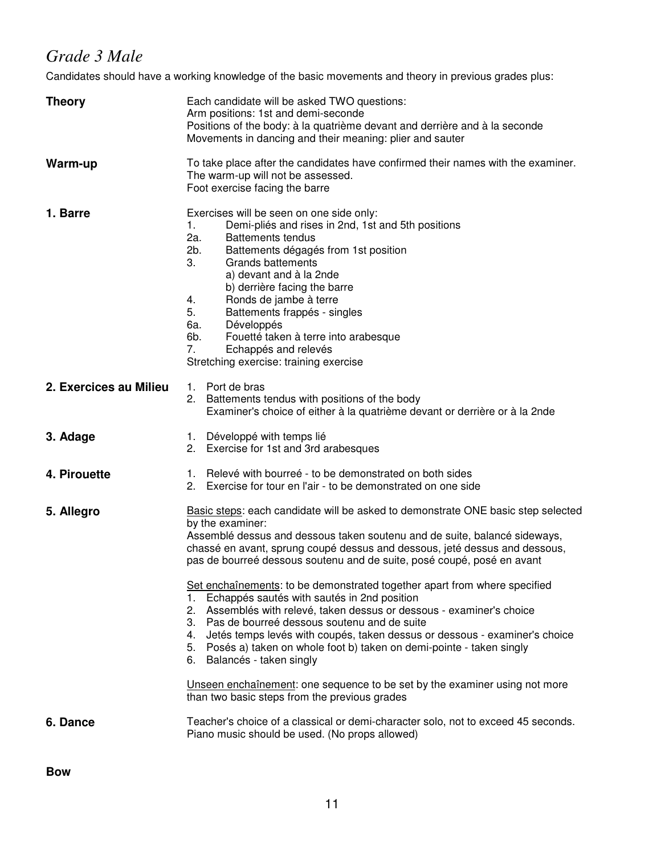# *Grade 3 Male*

Candidates should have a working knowledge of the basic movements and theory in previous grades plus:

| <b>Theory</b>          | Each candidate will be asked TWO questions:<br>Arm positions: 1st and demi-seconde<br>Positions of the body: à la quatrième devant and derrière and à la seconde<br>Movements in dancing and their meaning: plier and sauter                                                                                                                                                                                                                                                                                                                                                                                                                                                                                                                                                                                                                                                                                                         |  |  |
|------------------------|--------------------------------------------------------------------------------------------------------------------------------------------------------------------------------------------------------------------------------------------------------------------------------------------------------------------------------------------------------------------------------------------------------------------------------------------------------------------------------------------------------------------------------------------------------------------------------------------------------------------------------------------------------------------------------------------------------------------------------------------------------------------------------------------------------------------------------------------------------------------------------------------------------------------------------------|--|--|
| Warm-up                | To take place after the candidates have confirmed their names with the examiner.<br>The warm-up will not be assessed.<br>Foot exercise facing the barre                                                                                                                                                                                                                                                                                                                                                                                                                                                                                                                                                                                                                                                                                                                                                                              |  |  |
| 1. Barre               | Exercises will be seen on one side only:<br>1.<br>Demi-pliés and rises in 2nd, 1st and 5th positions<br>2a.<br><b>Battements tendus</b><br>2b.<br>Battements dégagés from 1st position<br>3.<br><b>Grands battements</b><br>a) devant and à la 2nde<br>b) derrière facing the barre<br>Ronds de jambe à terre<br>4.<br>5.<br>Battements frappés - singles<br>6a.<br>Développés<br>6b.<br>Fouetté taken à terre into arabesque<br>7.<br>Echappés and relevés<br>Stretching exercise: training exercise                                                                                                                                                                                                                                                                                                                                                                                                                                |  |  |
| 2. Exercices au Milieu | 1. Port de bras<br>2. Battements tendus with positions of the body<br>Examiner's choice of either à la quatrième devant or derrière or à la 2nde                                                                                                                                                                                                                                                                                                                                                                                                                                                                                                                                                                                                                                                                                                                                                                                     |  |  |
| 3. Adage               | 1. Développé with temps lié<br>2. Exercise for 1st and 3rd arabesques                                                                                                                                                                                                                                                                                                                                                                                                                                                                                                                                                                                                                                                                                                                                                                                                                                                                |  |  |
| 4. Pirouette           | Relevé with bourreé - to be demonstrated on both sides<br>1.<br>2. Exercise for tour en l'air - to be demonstrated on one side                                                                                                                                                                                                                                                                                                                                                                                                                                                                                                                                                                                                                                                                                                                                                                                                       |  |  |
| 5. Allegro             | Basic steps: each candidate will be asked to demonstrate ONE basic step selected<br>by the examiner:<br>Assemblé dessus and dessous taken soutenu and de suite, balancé sideways,<br>chassé en avant, sprung coupé dessus and dessous, jeté dessus and dessous,<br>pas de bourreé dessous soutenu and de suite, posé coupé, posé en avant<br>Set enchaînements: to be demonstrated together apart from where specified<br>Echappés sautés with sautés in 2nd position<br>1.<br>Assemblés with relevé, taken dessus or dessous - examiner's choice<br>2.<br>3. Pas de bourreé dessous soutenu and de suite<br>Jetés temps levés with coupés, taken dessus or dessous - examiner's choice<br>4.<br>5. Posés a) taken on whole foot b) taken on demi-pointe - taken singly<br>6. Balancés - taken singly<br>Unseen enchaînement: one sequence to be set by the examiner using not more<br>than two basic steps from the previous grades |  |  |
| 6. Dance               | Teacher's choice of a classical or demi-character solo, not to exceed 45 seconds.<br>Piano music should be used. (No props allowed)                                                                                                                                                                                                                                                                                                                                                                                                                                                                                                                                                                                                                                                                                                                                                                                                  |  |  |

**Bow**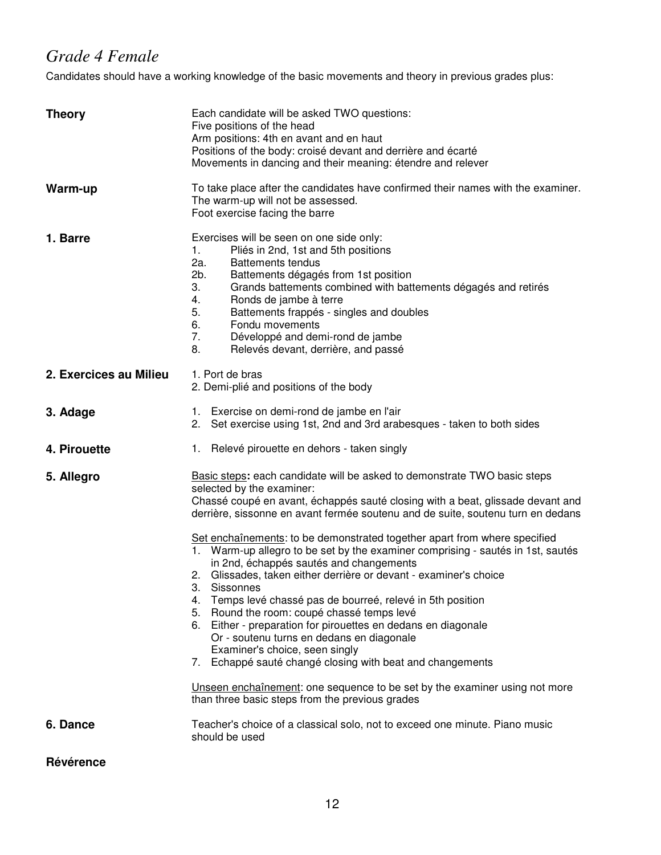## *Grade 4 Female*

Candidates should have a working knowledge of the basic movements and theory in previous grades plus:

| <b>Theory</b>          | Each candidate will be asked TWO questions:<br>Five positions of the head<br>Arm positions: 4th en avant and en haut<br>Positions of the body: croisé devant and derrière and écarté<br>Movements in dancing and their meaning: étendre and relever                                                                                                                                                                                                                                                                                                                                                                                                                                                                                                                                                                                                                                                                                                                                                                                         |  |  |
|------------------------|---------------------------------------------------------------------------------------------------------------------------------------------------------------------------------------------------------------------------------------------------------------------------------------------------------------------------------------------------------------------------------------------------------------------------------------------------------------------------------------------------------------------------------------------------------------------------------------------------------------------------------------------------------------------------------------------------------------------------------------------------------------------------------------------------------------------------------------------------------------------------------------------------------------------------------------------------------------------------------------------------------------------------------------------|--|--|
| Warm-up                | To take place after the candidates have confirmed their names with the examiner.<br>The warm-up will not be assessed.<br>Foot exercise facing the barre                                                                                                                                                                                                                                                                                                                                                                                                                                                                                                                                                                                                                                                                                                                                                                                                                                                                                     |  |  |
| 1. Barre               | Exercises will be seen on one side only:<br>1.<br>Pliés in 2nd, 1st and 5th positions<br>2a.<br><b>Battements tendus</b><br>2b.<br>Battements dégagés from 1st position<br>3.<br>Grands battements combined with battements dégagés and retirés<br>Ronds de jambe à terre<br>4.<br>5.<br>Battements frappés - singles and doubles<br>6.<br>Fondu movements<br>7.<br>Développé and demi-rond de jambe<br>8.<br>Relevés devant, derrière, and passé                                                                                                                                                                                                                                                                                                                                                                                                                                                                                                                                                                                           |  |  |
| 2. Exercices au Milieu | 1. Port de bras<br>2. Demi-plié and positions of the body                                                                                                                                                                                                                                                                                                                                                                                                                                                                                                                                                                                                                                                                                                                                                                                                                                                                                                                                                                                   |  |  |
| 3. Adage               | 1. Exercise on demi-rond de jambe en l'air<br>2. Set exercise using 1st, 2nd and 3rd arabesques - taken to both sides                                                                                                                                                                                                                                                                                                                                                                                                                                                                                                                                                                                                                                                                                                                                                                                                                                                                                                                       |  |  |
| 4. Pirouette           | 1. Relevé pirouette en dehors - taken singly                                                                                                                                                                                                                                                                                                                                                                                                                                                                                                                                                                                                                                                                                                                                                                                                                                                                                                                                                                                                |  |  |
| 5. Allegro             | Basic steps: each candidate will be asked to demonstrate TWO basic steps<br>selected by the examiner:<br>Chassé coupé en avant, échappés sauté closing with a beat, glissade devant and<br>derrière, sissonne en avant fermée soutenu and de suite, soutenu turn en dedans<br>Set enchaînements: to be demonstrated together apart from where specified<br>Warm-up allegro to be set by the examiner comprising - sautés in 1st, sautés<br>1.<br>in 2nd, échappés sautés and changements<br>2. Glissades, taken either derrière or devant - examiner's choice<br>3. Sissonnes<br>Temps levé chassé pas de bourreé, relevé in 5th position<br>4.<br>5. Round the room: coupé chassé temps levé<br>6. Either - preparation for pirouettes en dedans en diagonale<br>Or - soutenu turns en dedans en diagonale<br>Examiner's choice, seen singly<br>7. Echappé sauté changé closing with beat and changements<br>Unseen enchaînement: one sequence to be set by the examiner using not more<br>than three basic steps from the previous grades |  |  |
| 6. Dance               | Teacher's choice of a classical solo, not to exceed one minute. Piano music<br>should be used                                                                                                                                                                                                                                                                                                                                                                                                                                                                                                                                                                                                                                                                                                                                                                                                                                                                                                                                               |  |  |
| Révérence              |                                                                                                                                                                                                                                                                                                                                                                                                                                                                                                                                                                                                                                                                                                                                                                                                                                                                                                                                                                                                                                             |  |  |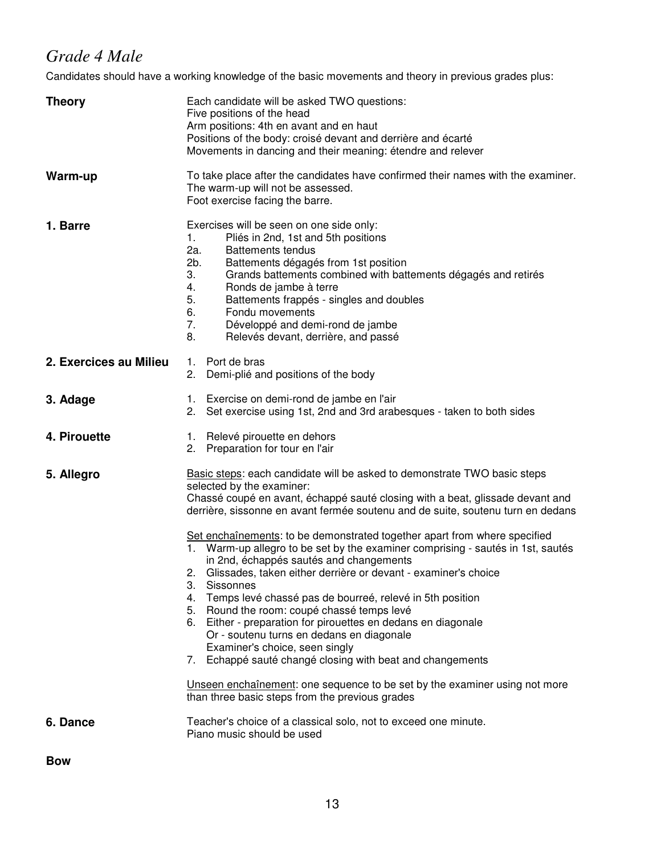# *Grade 4 Male*

Candidates should have a working knowledge of the basic movements and theory in previous grades plus:

| <b>Theory</b>          | Each candidate will be asked TWO questions:<br>Five positions of the head<br>Arm positions: 4th en avant and en haut<br>Positions of the body: croisé devant and derrière and écarté<br>Movements in dancing and their meaning: étendre and relever                                                                                                                                                                                                                                                                                                                                                                                                                                                                                                                                                                                                                                                                                                                                                                                     |  |  |
|------------------------|-----------------------------------------------------------------------------------------------------------------------------------------------------------------------------------------------------------------------------------------------------------------------------------------------------------------------------------------------------------------------------------------------------------------------------------------------------------------------------------------------------------------------------------------------------------------------------------------------------------------------------------------------------------------------------------------------------------------------------------------------------------------------------------------------------------------------------------------------------------------------------------------------------------------------------------------------------------------------------------------------------------------------------------------|--|--|
| Warm-up                | To take place after the candidates have confirmed their names with the examiner.<br>The warm-up will not be assessed.<br>Foot exercise facing the barre.                                                                                                                                                                                                                                                                                                                                                                                                                                                                                                                                                                                                                                                                                                                                                                                                                                                                                |  |  |
| 1. Barre               | Exercises will be seen on one side only:<br>Pliés in 2nd, 1st and 5th positions<br>1.<br>2a.<br><b>Battements tendus</b><br>2b.<br>Battements dégagés from 1st position<br>3.<br>Grands battements combined with battements dégagés and retirés<br>Ronds de jambe à terre<br>4.<br>5.<br>Battements frappés - singles and doubles<br>Fondu movements<br>6.<br>7.<br>Développé and demi-rond de jambe<br>8.<br>Relevés devant, derrière, and passé                                                                                                                                                                                                                                                                                                                                                                                                                                                                                                                                                                                       |  |  |
| 2. Exercices au Milieu | 1. Port de bras<br>Demi-plié and positions of the body<br>2.                                                                                                                                                                                                                                                                                                                                                                                                                                                                                                                                                                                                                                                                                                                                                                                                                                                                                                                                                                            |  |  |
| 3. Adage               | 1. Exercise on demi-rond de jambe en l'air<br>Set exercise using 1st, 2nd and 3rd arabesques - taken to both sides<br>2.                                                                                                                                                                                                                                                                                                                                                                                                                                                                                                                                                                                                                                                                                                                                                                                                                                                                                                                |  |  |
| 4. Pirouette           | Relevé pirouette en dehors<br>1.<br>2. Preparation for tour en l'air                                                                                                                                                                                                                                                                                                                                                                                                                                                                                                                                                                                                                                                                                                                                                                                                                                                                                                                                                                    |  |  |
| 5. Allegro             | Basic steps: each candidate will be asked to demonstrate TWO basic steps<br>selected by the examiner:<br>Chassé coupé en avant, échappé sauté closing with a beat, glissade devant and<br>derrière, sissonne en avant fermée soutenu and de suite, soutenu turn en dedans<br>Set enchaînements: to be demonstrated together apart from where specified<br>Warm-up allegro to be set by the examiner comprising - sautés in 1st, sautés<br>in 2nd, échappés sautés and changements<br>Glissades, taken either derrière or devant - examiner's choice<br>2.<br>3. Sissonnes<br>4. Temps levé chassé pas de bourreé, relevé in 5th position<br>5. Round the room: coupé chassé temps levé<br>6. Either - preparation for pirouettes en dedans en diagonale<br>Or - soutenu turns en dedans en diagonale<br>Examiner's choice, seen singly<br>Echappé sauté changé closing with beat and changements<br>7.<br>Unseen enchaînement: one sequence to be set by the examiner using not more<br>than three basic steps from the previous grades |  |  |
| 6. Dance               | Teacher's choice of a classical solo, not to exceed one minute.<br>Piano music should be used                                                                                                                                                                                                                                                                                                                                                                                                                                                                                                                                                                                                                                                                                                                                                                                                                                                                                                                                           |  |  |

**Bow**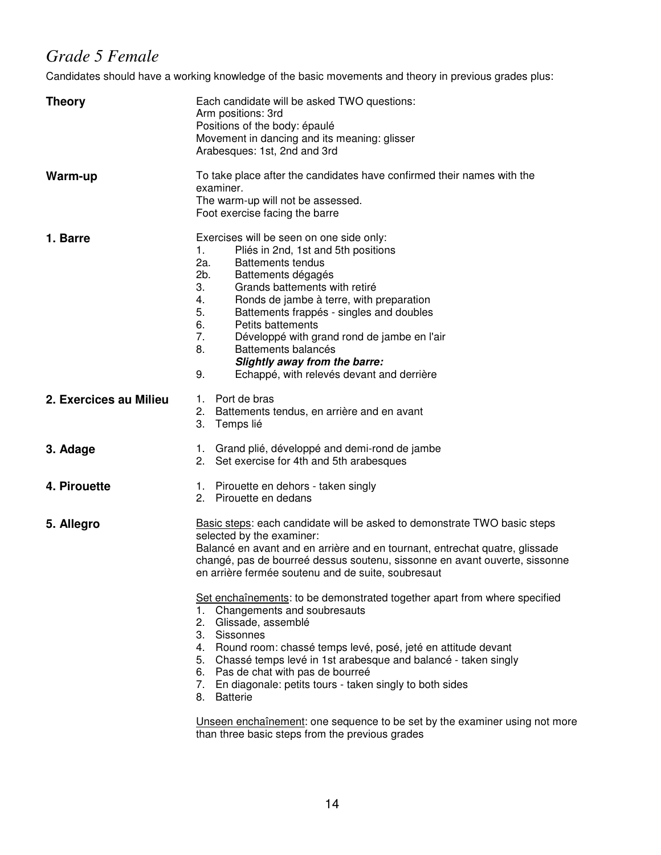## *Grade 5 Female*

Candidates should have a working knowledge of the basic movements and theory in previous grades plus:

| <b>Theory</b>          | Each candidate will be asked TWO questions:<br>Arm positions: 3rd<br>Positions of the body: épaulé<br>Movement in dancing and its meaning: glisser<br>Arabesques: 1st, 2nd and 3rd                                                                                                                                                                                                                                                                                                                |  |  |  |
|------------------------|---------------------------------------------------------------------------------------------------------------------------------------------------------------------------------------------------------------------------------------------------------------------------------------------------------------------------------------------------------------------------------------------------------------------------------------------------------------------------------------------------|--|--|--|
| Warm-up                | To take place after the candidates have confirmed their names with the<br>examiner.<br>The warm-up will not be assessed.<br>Foot exercise facing the barre                                                                                                                                                                                                                                                                                                                                        |  |  |  |
| 1. Barre               | Exercises will be seen on one side only:<br>1.<br>Pliés in 2nd, 1st and 5th positions<br>2a.<br><b>Battements tendus</b><br>2b.<br>Battements dégagés<br>3.<br>Grands battements with retiré<br>4.<br>Ronds de jambe à terre, with preparation<br>5.<br>Battements frappés - singles and doubles<br>6.<br>Petits battements<br>7.<br>Développé with grand rond de jambe en l'air<br>8.<br>Battements balancés<br>Slightly away from the barre:<br>9.<br>Echappé, with relevés devant and derrière |  |  |  |
| 2. Exercices au Milieu | 1. Port de bras<br>2. Battements tendus, en arrière and en avant<br>3. Temps lié                                                                                                                                                                                                                                                                                                                                                                                                                  |  |  |  |
| 3. Adage               | 1. Grand plié, développé and demi-rond de jambe<br>2. Set exercise for 4th and 5th arabesques                                                                                                                                                                                                                                                                                                                                                                                                     |  |  |  |
| 4. Pirouette           | 1. Pirouette en dehors - taken singly<br>2. Pirouette en dedans                                                                                                                                                                                                                                                                                                                                                                                                                                   |  |  |  |
| 5. Allegro             | Basic steps: each candidate will be asked to demonstrate TWO basic steps<br>selected by the examiner:<br>Balancé en avant and en arrière and en tournant, entrechat quatre, glissade<br>changé, pas de bourreé dessus soutenu, sissonne en avant ouverte, sissonne<br>en arrière fermée soutenu and de suite, soubresaut                                                                                                                                                                          |  |  |  |
|                        | Set enchaînements: to be demonstrated together apart from where specified<br>1. Changements and soubresauts<br>2. Glissade, assemblé<br>3. Sissonnes<br>4. Round room: chassé temps levé, posé, jeté en attitude devant<br>Chassé temps levé in 1st arabesque and balancé - taken singly<br>5.<br>6. Pas de chat with pas de bourreé<br>7. En diagonale: petits tours - taken singly to both sides<br>8. Batterie<br>Unseen enchaînement: one sequence to be set by the examiner using not more   |  |  |  |

than three basic steps from the previous grades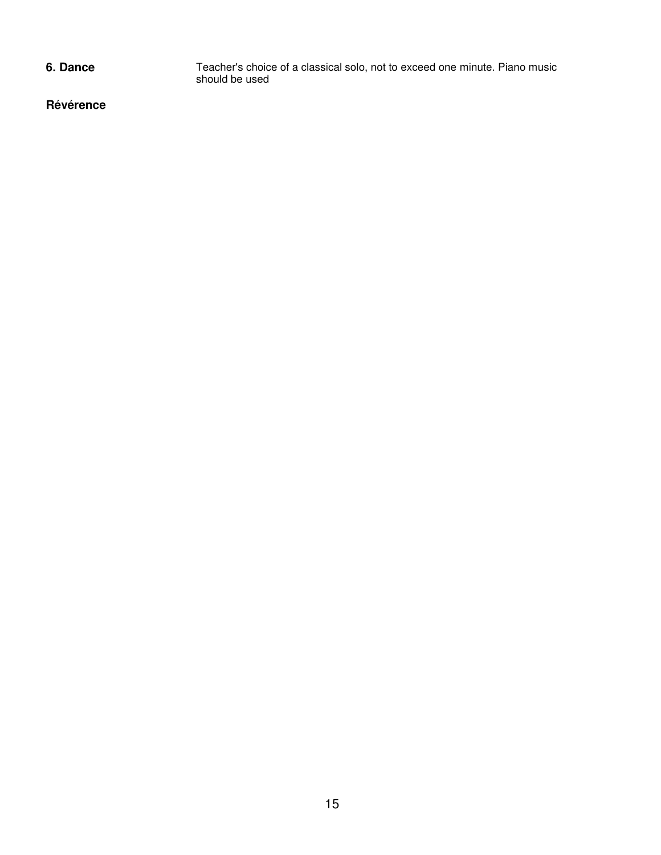**6. Dance** Teacher's choice of a classical solo, not to exceed one minute. Piano music should be used

**Révérence**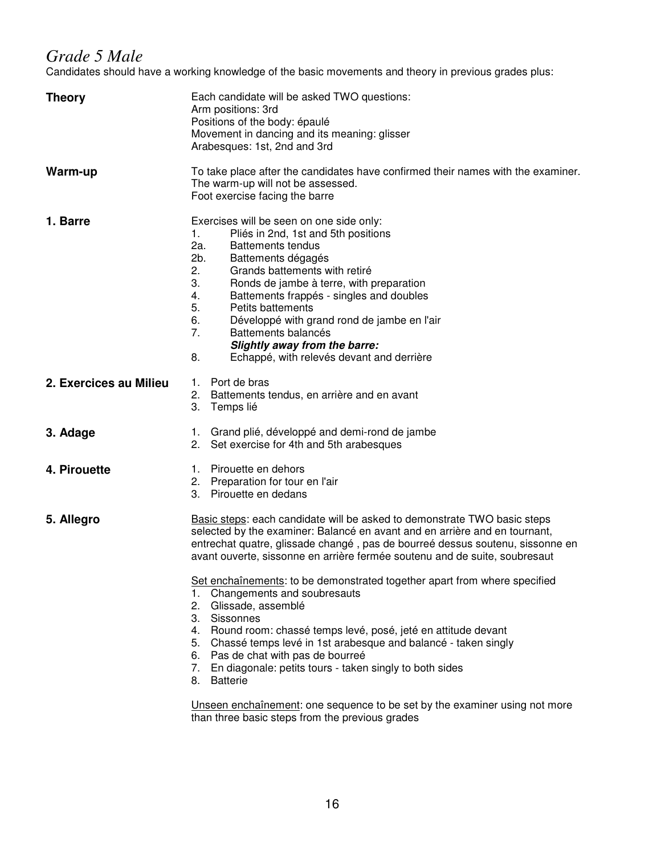## *Grade 5 Male*

Candidates should have a working knowledge of the basic movements and theory in previous grades plus:

| <b>Theory</b>          | Each candidate will be asked TWO questions:<br>Arm positions: 3rd<br>Positions of the body: épaulé<br>Movement in dancing and its meaning: glisser<br>Arabesques: 1st, 2nd and 3rd                                                                                                                                                                                                                                                                                                                |  |  |
|------------------------|---------------------------------------------------------------------------------------------------------------------------------------------------------------------------------------------------------------------------------------------------------------------------------------------------------------------------------------------------------------------------------------------------------------------------------------------------------------------------------------------------|--|--|
| Warm-up                | To take place after the candidates have confirmed their names with the examiner.<br>The warm-up will not be assessed.<br>Foot exercise facing the barre                                                                                                                                                                                                                                                                                                                                           |  |  |
| 1. Barre               | Exercises will be seen on one side only:<br>Pliés in 2nd, 1st and 5th positions<br>1.<br>2a.<br><b>Battements tendus</b><br>2b.<br>Battements dégagés<br>2.<br>Grands battements with retiré<br>3.<br>Ronds de jambe à terre, with preparation<br>4.<br>Battements frappés - singles and doubles<br>5.<br>Petits battements<br>6.<br>Développé with grand rond de jambe en l'air<br>7.<br>Battements balancés<br>Slightly away from the barre:<br>8.<br>Echappé, with relevés devant and derrière |  |  |
| 2. Exercices au Milieu | 1. Port de bras<br>2. Battements tendus, en arrière and en avant<br>3. Temps lié                                                                                                                                                                                                                                                                                                                                                                                                                  |  |  |
| 3. Adage               | 1. Grand plié, développé and demi-rond de jambe<br>2. Set exercise for 4th and 5th arabesques                                                                                                                                                                                                                                                                                                                                                                                                     |  |  |
| 4. Pirouette           | 1. Pirouette en dehors<br>2. Preparation for tour en l'air<br>3. Pirouette en dedans                                                                                                                                                                                                                                                                                                                                                                                                              |  |  |
| 5. Allegro             | Basic steps: each candidate will be asked to demonstrate TWO basic steps<br>selected by the examiner: Balancé en avant and en arrière and en tournant,<br>entrechat quatre, glissade changé, pas de bourreé dessus soutenu, sissonne en<br>avant ouverte, sissonne en arrière fermée soutenu and de suite, soubresaut                                                                                                                                                                             |  |  |
|                        | Set enchaînements: to be demonstrated together apart from where specified<br>Changements and soubresauts<br>1.<br>2. Glissade, assemblé<br>3. Sissonnes<br>4. Round room: chassé temps levé, posé, jeté en attitude devant<br>5. Chassé temps levé in 1st arabesque and balancé - taken singly<br>6. Pas de chat with pas de bourreé<br>En diagonale: petits tours - taken singly to both sides<br>7.<br><b>Batterie</b><br>8.                                                                    |  |  |
|                        | Unseen enchaînement: one sequence to be set by the examiner using not more                                                                                                                                                                                                                                                                                                                                                                                                                        |  |  |

than three basic steps from the previous grades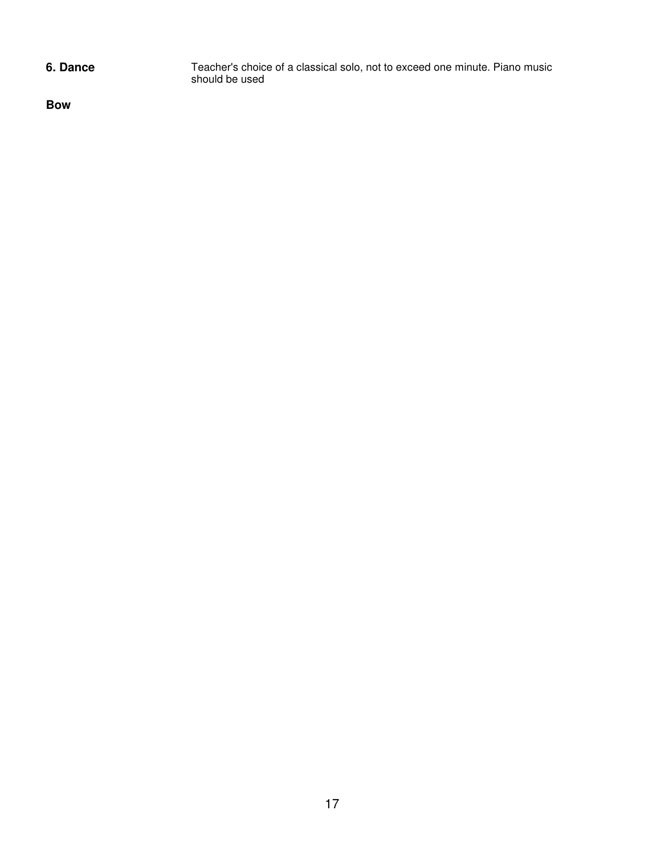**6. Dance** Teacher's choice of a classical solo, not to exceed one minute. Piano music should be used

**Bow**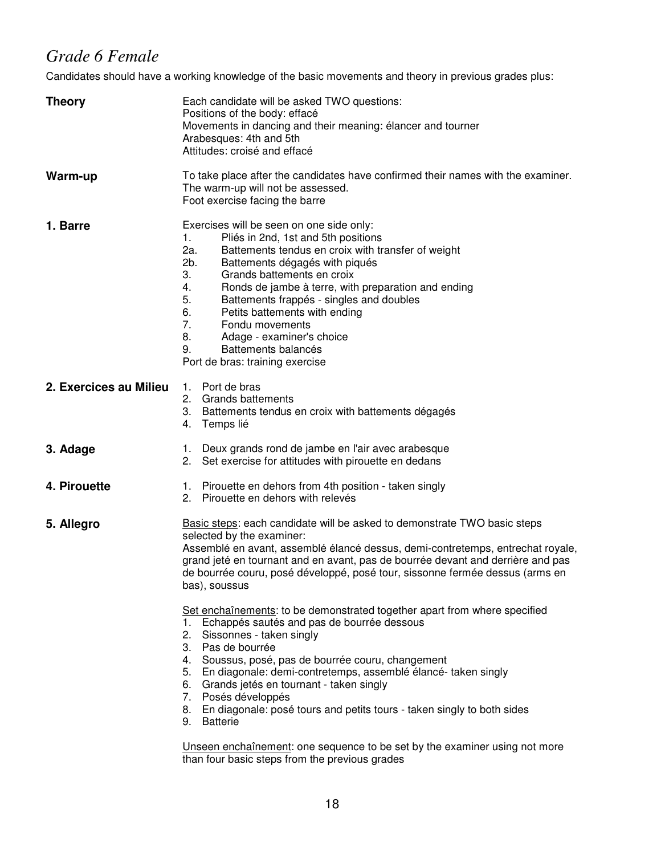# *Grade 6 Female*

Candidates should have a working knowledge of the basic movements and theory in previous grades plus:

| <b>Theory</b>          | Each candidate will be asked TWO questions:<br>Positions of the body: effacé<br>Movements in dancing and their meaning: élancer and tourner<br>Arabesques: 4th and 5th<br>Attitudes: croisé and effacé                                                                                                                                                                                                                                                                                                                                                        |  |  |
|------------------------|---------------------------------------------------------------------------------------------------------------------------------------------------------------------------------------------------------------------------------------------------------------------------------------------------------------------------------------------------------------------------------------------------------------------------------------------------------------------------------------------------------------------------------------------------------------|--|--|
| Warm-up                | To take place after the candidates have confirmed their names with the examiner.<br>The warm-up will not be assessed.<br>Foot exercise facing the barre                                                                                                                                                                                                                                                                                                                                                                                                       |  |  |
| 1. Barre               | Exercises will be seen on one side only:<br>Pliés in 2nd, 1st and 5th positions<br>1.<br>2a.<br>Battements tendus en croix with transfer of weight<br>2b.<br>Battements dégagés with piqués<br>3.<br>Grands battements en croix<br>4.<br>Ronds de jambe à terre, with preparation and ending<br>5.<br>Battements frappés - singles and doubles<br>6.<br>Petits battements with ending<br>7.<br>Fondu movements<br>8.<br>Adage - examiner's choice<br>Battements balancés<br>9.<br>Port de bras: training exercise                                             |  |  |
| 2. Exercices au Milieu | 1. Port de bras<br>2. Grands battements<br>3. Battements tendus en croix with battements dégagés<br>4. Temps lié                                                                                                                                                                                                                                                                                                                                                                                                                                              |  |  |
| 3. Adage               | 1. Deux grands rond de jambe en l'air avec arabesque<br>2. Set exercise for attitudes with pirouette en dedans                                                                                                                                                                                                                                                                                                                                                                                                                                                |  |  |
| 4. Pirouette           | 1. Pirouette en dehors from 4th position - taken singly<br>2. Pirouette en dehors with relevés                                                                                                                                                                                                                                                                                                                                                                                                                                                                |  |  |
| 5. Allegro             | Basic steps: each candidate will be asked to demonstrate TWO basic steps<br>selected by the examiner:<br>Assemblé en avant, assemblé élancé dessus, demi-contretemps, entrechat royale,<br>grand jeté en tournant and en avant, pas de bourrée devant and derrière and pas<br>de bourrée couru, posé développé, posé tour, sissonne fermée dessus (arms en<br>bas), soussus<br>Set enchaînements: to be demonstrated together apart from where specified<br>1. Echappés sautés and pas de bourrée dessous<br>2. Sissonnes - taken singly<br>3. Pas de bourrée |  |  |
|                        | 4. Soussus, posé, pas de bourrée couru, changement<br>5. En diagonale: demi-contretemps, assemblé élancé-taken singly<br>6. Grands jetés en tournant - taken singly<br>7. Posés développés<br>8. En diagonale: posé tours and petits tours - taken singly to both sides<br>9. Batterie                                                                                                                                                                                                                                                                        |  |  |
|                        | Unseen enchaînement: one sequence to be set by the examiner using not more<br>than four basic steps from the previous grades                                                                                                                                                                                                                                                                                                                                                                                                                                  |  |  |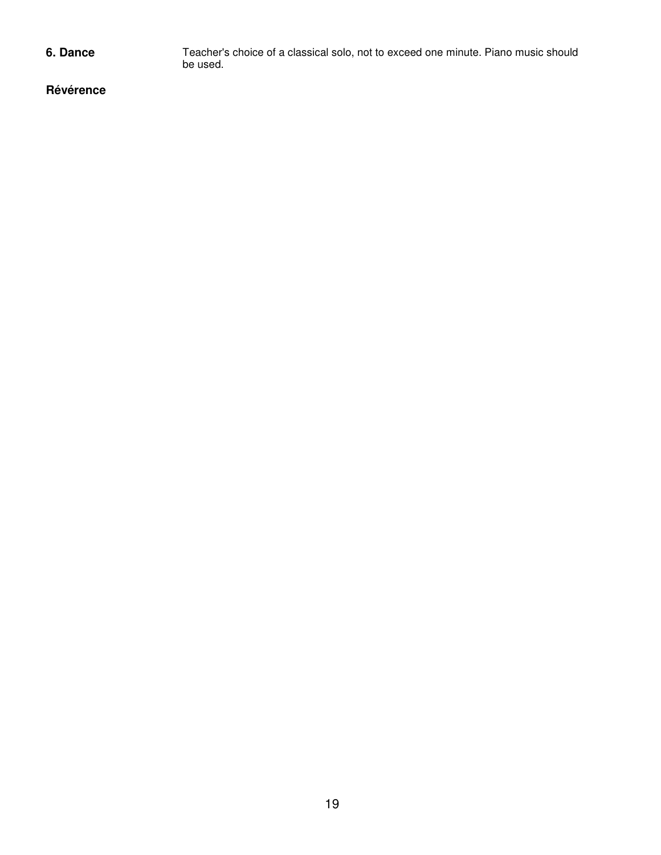**6. Dance** Teacher's choice of a classical solo, not to exceed one minute. Piano music should be used.

**Révérence**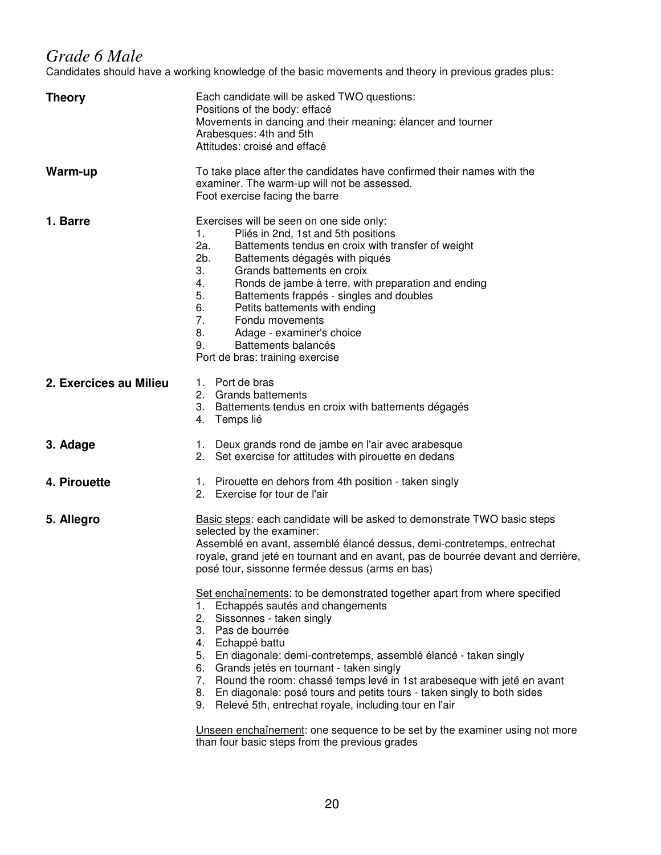## *Grade 6 Male*

Candidates should have a working knowledge of the basic movements and theory in previous grades plus:

| <b>Theory</b>          | Each candidate will be asked TWO questions:<br>Positions of the body: effacé<br>Movements in dancing and their meaning: élancer and tourner<br>Arabesques: 4th and 5th<br>Attitudes: croisé and effacé                                                                                                                                                                                                                                                                                                                                                                                                                                                                                                                                                                                                                                                     |  |  |
|------------------------|------------------------------------------------------------------------------------------------------------------------------------------------------------------------------------------------------------------------------------------------------------------------------------------------------------------------------------------------------------------------------------------------------------------------------------------------------------------------------------------------------------------------------------------------------------------------------------------------------------------------------------------------------------------------------------------------------------------------------------------------------------------------------------------------------------------------------------------------------------|--|--|
| Warm-up                | To take place after the candidates have confirmed their names with the<br>examiner. The warm-up will not be assessed.<br>Foot exercise facing the barre                                                                                                                                                                                                                                                                                                                                                                                                                                                                                                                                                                                                                                                                                                    |  |  |
| 1. Barre               | Exercises will be seen on one side only:<br>Pliés in 2nd, 1st and 5th positions<br>1.<br>2a.<br>Battements tendus en croix with transfer of weight<br>2b.<br>Battements dégagés with piqués<br>3.<br>Grands battements en croix<br>4.<br>Ronds de jambe à terre, with preparation and ending<br>5.<br>Battements frappés - singles and doubles<br>6.<br>Petits battements with ending<br>7.<br>Fondu movements<br>8.<br>Adage - examiner's choice<br>Battements balancés<br>9.<br>Port de bras: training exercise                                                                                                                                                                                                                                                                                                                                          |  |  |
| 2. Exercices au Milieu | 1. Port de bras<br>2. Grands battements<br>3. Battements tendus en croix with battements dégagés<br>4. Temps lié                                                                                                                                                                                                                                                                                                                                                                                                                                                                                                                                                                                                                                                                                                                                           |  |  |
| 3. Adage               | 1. Deux grands rond de jambe en l'air avec arabesque<br>2. Set exercise for attitudes with pirouette en dedans                                                                                                                                                                                                                                                                                                                                                                                                                                                                                                                                                                                                                                                                                                                                             |  |  |
| 4. Pirouette           | 1. Pirouette en dehors from 4th position - taken singly<br>2. Exercise for tour de l'air                                                                                                                                                                                                                                                                                                                                                                                                                                                                                                                                                                                                                                                                                                                                                                   |  |  |
| 5. Allegro             | Basic steps: each candidate will be asked to demonstrate TWO basic steps<br>selected by the examiner:<br>Assemblé en avant, assemblé élancé dessus, demi-contretemps, entrechat<br>royale, grand jeté en tournant and en avant, pas de bourrée devant and derrière,<br>posé tour, sissonne fermée dessus (arms en bas)<br>Set enchaînements: to be demonstrated together apart from where specified<br>1. Echappés sautés and changements<br>2. Sissonnes - taken singly<br>3. Pas de bourrée<br>4. Echappé battu<br>5. En diagonale: demi-contretemps, assemblé élancé - taken singly<br>6. Grands jetés en tournant - taken singly<br>7. Round the room: chassé temps levé in 1st arabeseque with jeté en avant<br>8. En diagonale: posé tours and petits tours - taken singly to both sides<br>9. Relevé 5th, entrechat royale, including tour en l'air |  |  |
|                        | Unseen enchaînement: one sequence to be set by the examiner using not more<br>than four basic steps from the previous grades                                                                                                                                                                                                                                                                                                                                                                                                                                                                                                                                                                                                                                                                                                                               |  |  |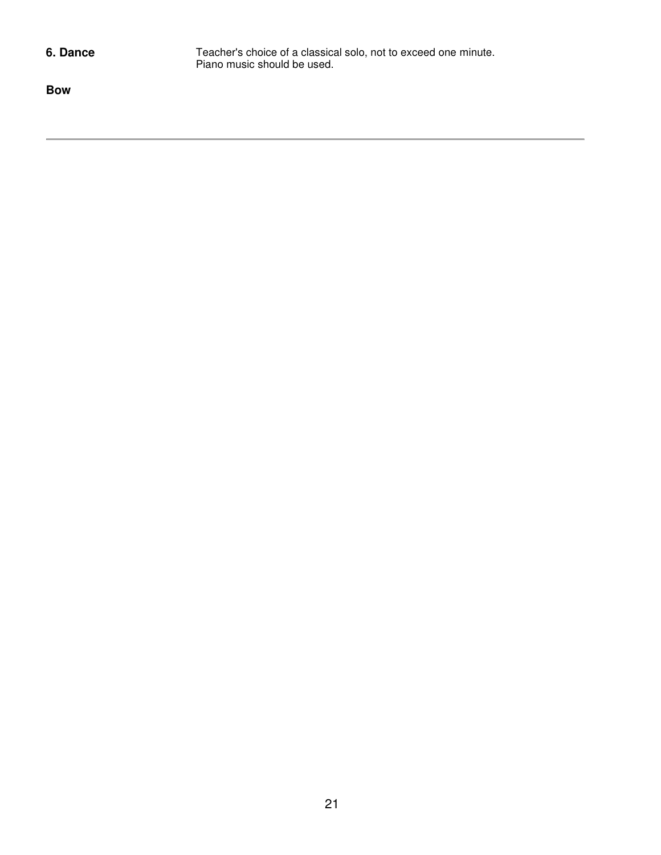**6. Dance** Teacher's choice of a classical solo, not to exceed one minute. Piano music should be used.

**Bow**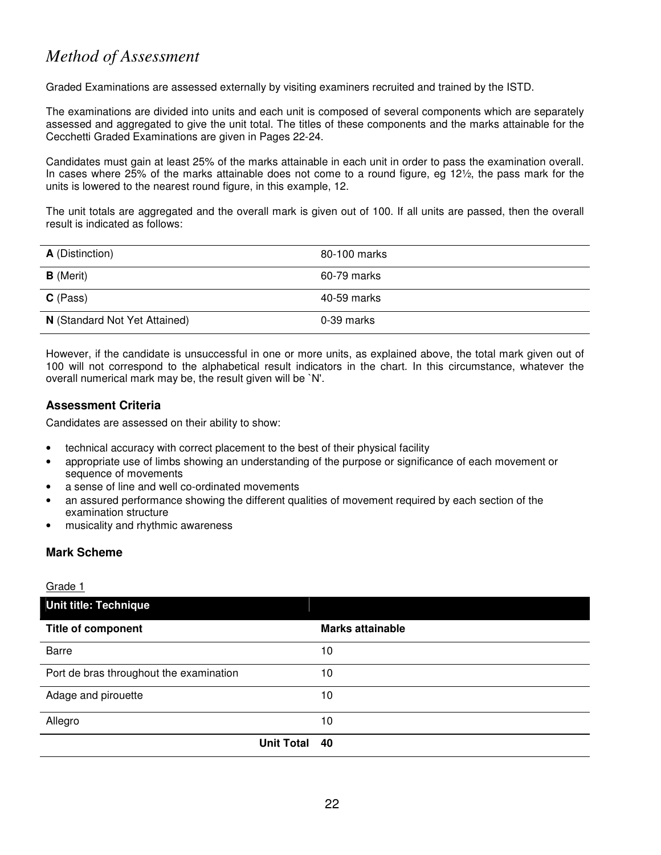# *Method of Assessment*

Graded Examinations are assessed externally by visiting examiners recruited and trained by the ISTD.

The examinations are divided into units and each unit is composed of several components which are separately assessed and aggregated to give the unit total. The titles of these components and the marks attainable for the Cecchetti Graded Examinations are given in Pages 22-24.

Candidates must gain at least 25% of the marks attainable in each unit in order to pass the examination overall. In cases where 25% of the marks attainable does not come to a round figure, eg 12½, the pass mark for the units is lowered to the nearest round figure, in this example, 12.

The unit totals are aggregated and the overall mark is given out of 100. If all units are passed, then the overall result is indicated as follows:

| <b>A</b> (Distinction)        | 80-100 marks |
|-------------------------------|--------------|
| <b>B</b> (Merit)              | 60-79 marks  |
| $C$ (Pass)                    | 40-59 marks  |
| N (Standard Not Yet Attained) | 0-39 marks   |

However, if the candidate is unsuccessful in one or more units, as explained above, the total mark given out of 100 will not correspond to the alphabetical result indicators in the chart. In this circumstance, whatever the overall numerical mark may be, the result given will be `N'.

### **Assessment Criteria**

Candidates are assessed on their ability to show:

- technical accuracy with correct placement to the best of their physical facility
- appropriate use of limbs showing an understanding of the purpose or significance of each movement or sequence of movements
- a sense of line and well co-ordinated movements
- an assured performance showing the different qualities of movement required by each section of the examination structure
- musicality and rhythmic awareness

### **Mark Scheme**

Grade 1

| Unit title: Technique                   |               |                         |
|-----------------------------------------|---------------|-------------------------|
| <b>Title of component</b>               |               | <b>Marks attainable</b> |
| Barre                                   |               | 10                      |
| Port de bras throughout the examination |               | 10                      |
| Adage and pirouette                     |               | 10                      |
| Allegro                                 |               | 10                      |
|                                         | Unit Total 40 |                         |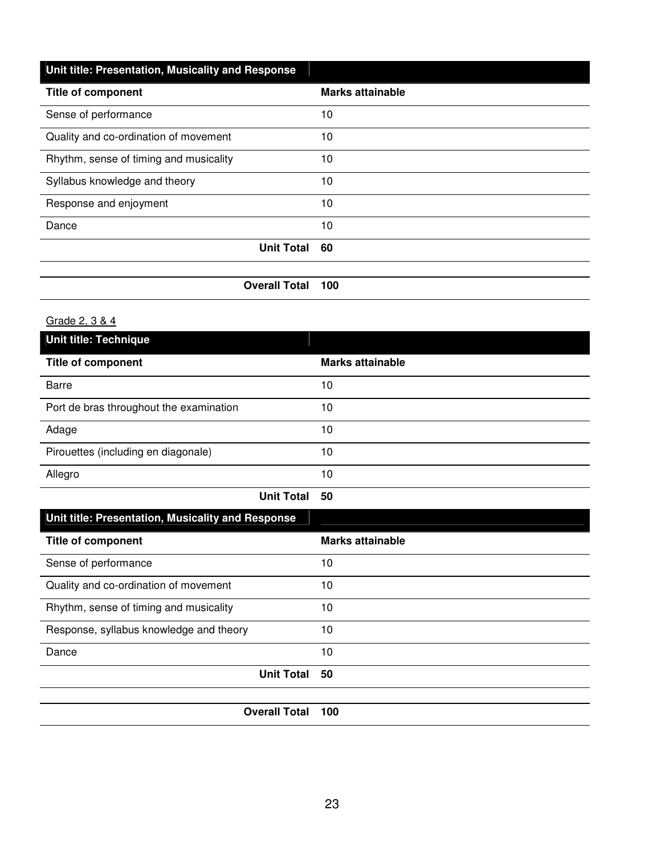| Unit title: Presentation, Musicality and Response |                         |
|---------------------------------------------------|-------------------------|
| <b>Title of component</b>                         | <b>Marks attainable</b> |
| Sense of performance                              | 10                      |
| Quality and co-ordination of movement             | 10                      |
| Rhythm, sense of timing and musicality            | 10                      |
| Syllabus knowledge and theory                     | 10                      |
| Response and enjoyment                            | 10                      |
| Dance                                             | 10                      |
| <b>Unit Total</b>                                 | 60                      |
|                                                   |                         |

**Overall Total 100** 

## Grade 2, 3 & 4

| <b>Unit title: Technique</b>            |                         |  |
|-----------------------------------------|-------------------------|--|
| <b>Title of component</b>               | <b>Marks attainable</b> |  |
| <b>Barre</b>                            | 10                      |  |
| Port de bras throughout the examination | 10                      |  |
| Adage                                   | 10                      |  |
| Pirouettes (including en diagonale)     | 10                      |  |
| Allegro                                 | 10                      |  |
|                                         | <b>Unit Total</b><br>50 |  |

| Unit title: Presentation, Musicality and Response |                         |
|---------------------------------------------------|-------------------------|
| <b>Title of component</b>                         | <b>Marks attainable</b> |
| Sense of performance                              | 10                      |
| Quality and co-ordination of movement             | 10                      |
| Rhythm, sense of timing and musicality            | 10                      |
| Response, syllabus knowledge and theory           | 10                      |
| Dance                                             | 10                      |
| <b>Unit Total</b>                                 | 50                      |
|                                                   |                         |
| <b>Overall Total</b>                              | 100                     |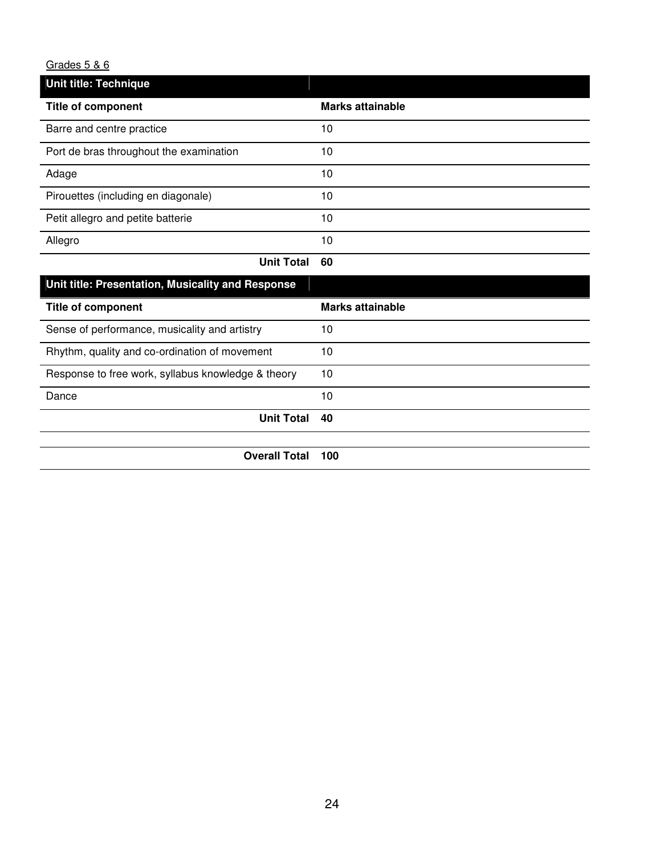## Grades 5 & 6

| Unit title: Technique                   |                         |
|-----------------------------------------|-------------------------|
| <b>Title of component</b>               | <b>Marks attainable</b> |
| Barre and centre practice               | 10                      |
| Port de bras throughout the examination | 10                      |
| Adage                                   | 10                      |
| Pirouettes (including en diagonale)     | 10                      |
| Petit allegro and petite batterie       | 10                      |
| Allegro                                 | 10                      |
| せいたい アレエストー                             | co.                     |

| <b>Unit Total</b> | 60 |
|-------------------|----|
|                   |    |

| Unit title: Presentation, Musicality and Response  |                  |
|----------------------------------------------------|------------------|
| <b>Title of component</b>                          | Marks attainable |
| Sense of performance, musicality and artistry      | 10               |
| Rhythm, quality and co-ordination of movement      | 10               |
| Response to free work, syllabus knowledge & theory | 10               |
| Dance                                              | 10               |
| <b>Unit Total</b>                                  | 40               |
|                                                    |                  |
| <b>Overall Total</b>                               | 100              |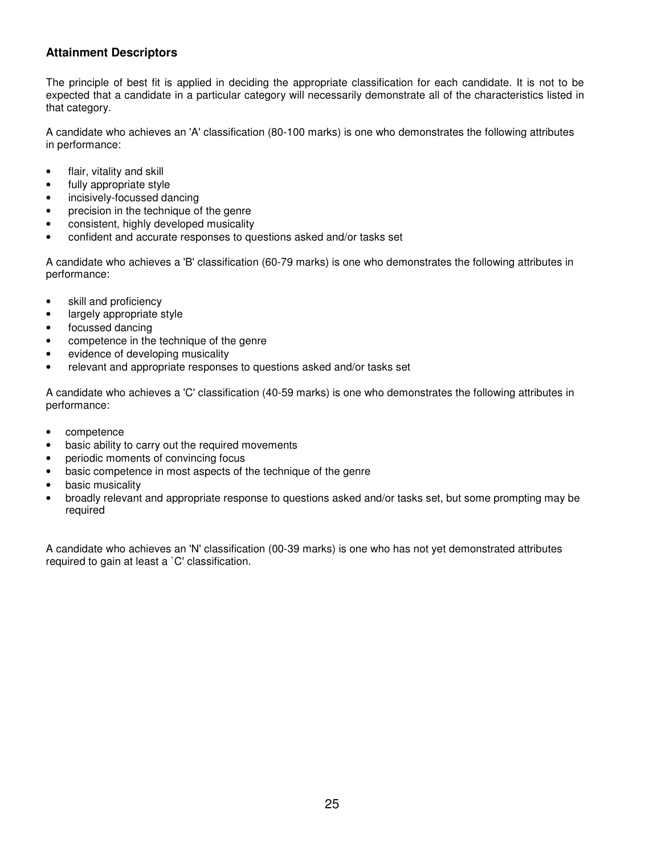## **Attainment Descriptors**

The principle of best fit is applied in deciding the appropriate classification for each candidate. It is not to be expected that a candidate in a particular category will necessarily demonstrate all of the characteristics listed in that category.

A candidate who achieves an 'A' classification (80-100 marks) is one who demonstrates the following attributes in performance:

- flair, vitality and skill
- fully appropriate style
- incisively-focussed dancing
- precision in the technique of the genre
- consistent, highly developed musicality
- confident and accurate responses to questions asked and/or tasks set

A candidate who achieves a 'B' classification (60-79 marks) is one who demonstrates the following attributes in performance:

- skill and proficiency
- largely appropriate style
- focussed dancing
- competence in the technique of the genre
- evidence of developing musicality
- relevant and appropriate responses to questions asked and/or tasks set

A candidate who achieves a 'C' classification (40-59 marks) is one who demonstrates the following attributes in performance:

- competence
- basic ability to carry out the required movements
- periodic moments of convincing focus
- basic competence in most aspects of the technique of the genre
- basic musicality
- broadly relevant and appropriate response to questions asked and/or tasks set, but some prompting may be required

A candidate who achieves an 'N' classification (00-39 marks) is one who has not yet demonstrated attributes required to gain at least a `C' classification.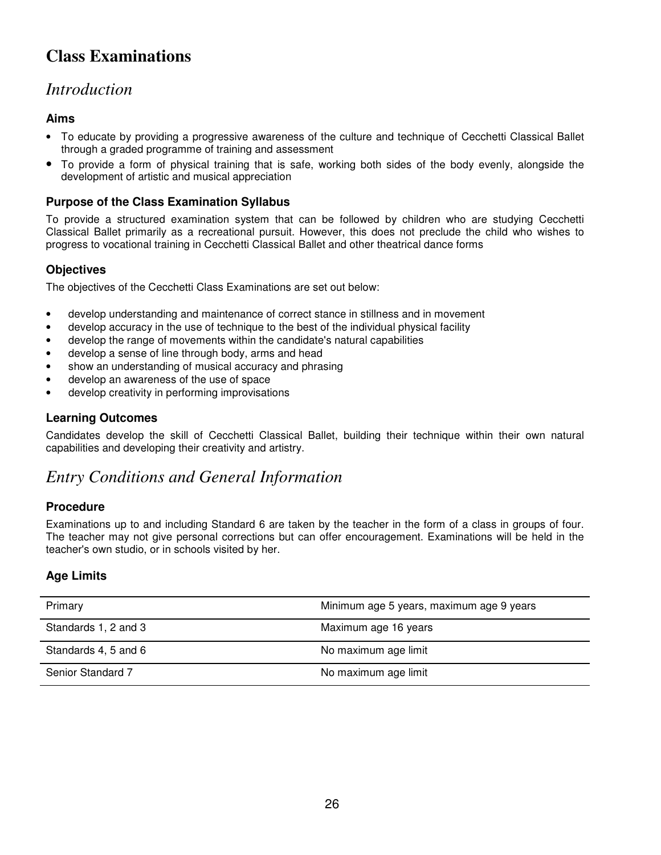# **Class Examinations**

## *Introduction*

## **Aims**

- To educate by providing a progressive awareness of the culture and technique of Cecchetti Classical Ballet through a graded programme of training and assessment
- To provide a form of physical training that is safe, working both sides of the body evenly, alongside the development of artistic and musical appreciation

### **Purpose of the Class Examination Syllabus**

To provide a structured examination system that can be followed by children who are studying Cecchetti Classical Ballet primarily as a recreational pursuit. However, this does not preclude the child who wishes to progress to vocational training in Cecchetti Classical Ballet and other theatrical dance forms

## **Objectives**

The objectives of the Cecchetti Class Examinations are set out below:

- develop understanding and maintenance of correct stance in stillness and in movement
- develop accuracy in the use of technique to the best of the individual physical facility
- develop the range of movements within the candidate's natural capabilities
- develop a sense of line through body, arms and head
- show an understanding of musical accuracy and phrasing
- develop an awareness of the use of space
- develop creativity in performing improvisations

### **Learning Outcomes**

Candidates develop the skill of Cecchetti Classical Ballet, building their technique within their own natural capabilities and developing their creativity and artistry.

## *Entry Conditions and General Information*

#### **Procedure**

Examinations up to and including Standard 6 are taken by the teacher in the form of a class in groups of four. The teacher may not give personal corrections but can offer encouragement. Examinations will be held in the teacher's own studio, or in schools visited by her.

### **Age Limits**

| Primary              | Minimum age 5 years, maximum age 9 years |
|----------------------|------------------------------------------|
| Standards 1, 2 and 3 | Maximum age 16 years                     |
| Standards 4, 5 and 6 | No maximum age limit                     |
| Senior Standard 7    | No maximum age limit                     |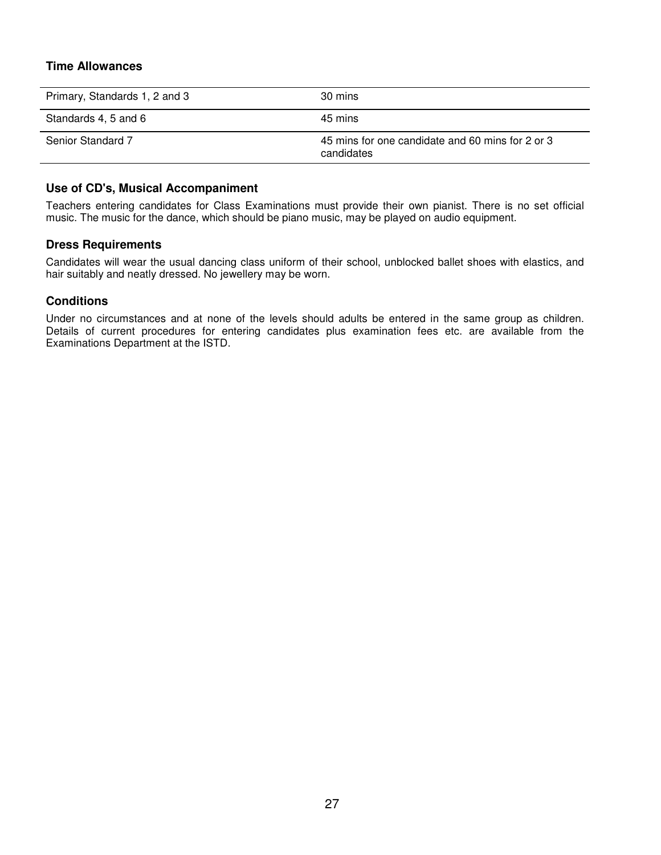#### **Time Allowances**

| Primary, Standards 1, 2 and 3 | 30 mins                                                        |
|-------------------------------|----------------------------------------------------------------|
| Standards 4, 5 and 6          | 45 mins                                                        |
| <b>Senior Standard 7</b>      | 45 mins for one candidate and 60 mins for 2 or 3<br>candidates |

#### **Use of CD's, Musical Accompaniment**

Teachers entering candidates for Class Examinations must provide their own pianist. There is no set official music. The music for the dance, which should be piano music, may be played on audio equipment.

#### **Dress Requirements**

Candidates will wear the usual dancing class uniform of their school, unblocked ballet shoes with elastics, and hair suitably and neatly dressed. No jewellery may be worn.

#### **Conditions**

Under no circumstances and at none of the levels should adults be entered in the same group as children. Details of current procedures for entering candidates plus examination fees etc. are available from the Examinations Department at the ISTD.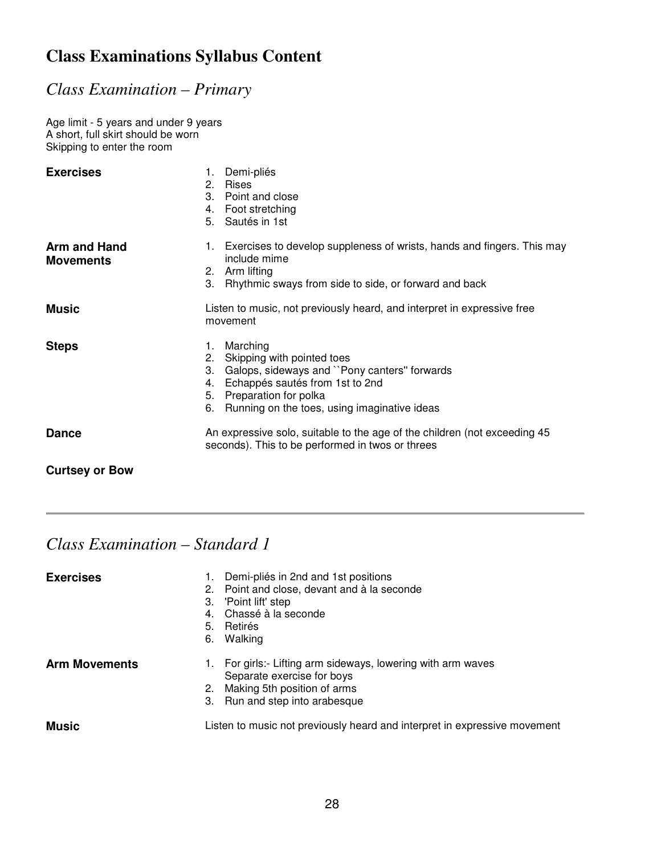# **Class Examinations Syllabus Content**

# *Class Examination – Primary*

Age limit - 5 years and under 9 years A short, full skirt should be worn Skipping to enter the room

| <b>Exercises</b>                        | Demi-pliés<br>1.<br>2. Rises<br>3. Point and close<br>4. Foot stretching<br>5. Sautés in 1st                                                                                                                                     |
|-----------------------------------------|----------------------------------------------------------------------------------------------------------------------------------------------------------------------------------------------------------------------------------|
| <b>Arm and Hand</b><br><b>Movements</b> | 1. Exercises to develop suppleness of wrists, hands and fingers. This may<br>include mime<br>2. Arm lifting<br>3. Rhythmic sways from side to side, or forward and back                                                          |
| <b>Music</b>                            | Listen to music, not previously heard, and interpret in expressive free<br>movement                                                                                                                                              |
| <b>Steps</b>                            | Marching<br>1.<br>Skipping with pointed toes<br>2.<br>Galops, sideways and "Pony canters" forwards<br>3.<br>Echappés sautés from 1st to 2nd<br>4.<br>5. Preparation for polka<br>6. Running on the toes, using imaginative ideas |
| <b>Dance</b>                            | An expressive solo, suitable to the age of the children (not exceeding 45<br>seconds). This to be performed in twos or threes                                                                                                    |
| <b>Curtsey or Bow</b>                   |                                                                                                                                                                                                                                  |

| <b>Exercises</b>     | Demi-pliés in 2nd and 1st positions<br>2. Point and close, devant and à la seconde<br>3. 'Point lift' step<br>4. Chassé à la seconde<br>5. Retirés<br>6. Walking |
|----------------------|------------------------------------------------------------------------------------------------------------------------------------------------------------------|
| <b>Arm Movements</b> | 1. For girls:- Lifting arm sideways, lowering with arm waves<br>Separate exercise for boys<br>2. Making 5th position of arms<br>3. Run and step into arabesque   |
| <b>Music</b>         | Listen to music not previously heard and interpret in expressive movement                                                                                        |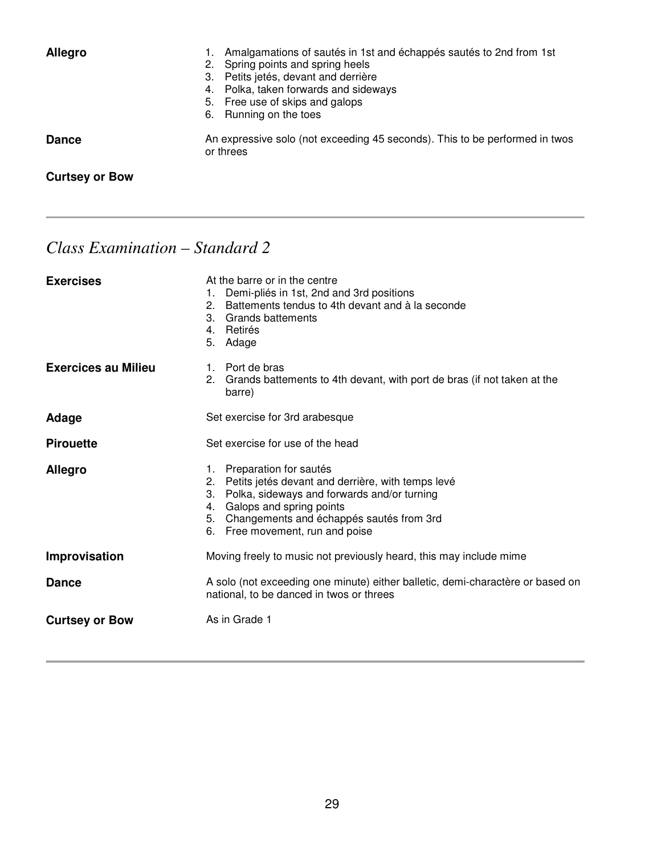| <b>Allegro</b>        | Amalgamations of sautés in 1st and échappés sautés to 2nd from 1st<br>2. Spring points and spring heels<br>3. Petits jetés, devant and derrière<br>4. Polka, taken forwards and sideways<br>5. Free use of skips and galops<br>6. Running on the toes |
|-----------------------|-------------------------------------------------------------------------------------------------------------------------------------------------------------------------------------------------------------------------------------------------------|
| <b>Dance</b>          | An expressive solo (not exceeding 45 seconds). This to be performed in twos<br>or threes                                                                                                                                                              |
| <b>Curtsey or Bow</b> |                                                                                                                                                                                                                                                       |

| <b>Exercises</b>           | At the barre or in the centre<br>Demi-pliés in 1st, 2nd and 3rd positions<br>1.<br>Battements tendus to 4th devant and à la seconde<br>2.<br>3.<br>Grands battements<br>Retirés<br>4.<br>5.<br>Adage                                                          |  |
|----------------------------|---------------------------------------------------------------------------------------------------------------------------------------------------------------------------------------------------------------------------------------------------------------|--|
| <b>Exercices au Milieu</b> | 1. Port de bras<br>Grands battements to 4th devant, with port de bras (if not taken at the<br>2.<br>barre)                                                                                                                                                    |  |
| Adage                      | Set exercise for 3rd arabesque                                                                                                                                                                                                                                |  |
| <b>Pirouette</b>           | Set exercise for use of the head                                                                                                                                                                                                                              |  |
| <b>Allegro</b>             | Preparation for sautés<br>1.<br>2. Petits jetés devant and derrière, with temps levé<br>3. Polka, sideways and forwards and/or turning<br>Galops and spring points<br>4.<br>Changements and échappés sautés from 3rd<br>5.<br>6. Free movement, run and poise |  |
| Improvisation              | Moving freely to music not previously heard, this may include mime                                                                                                                                                                                            |  |
| <b>Dance</b>               | A solo (not exceeding one minute) either balletic, demi-charactère or based on<br>national, to be danced in twos or threes                                                                                                                                    |  |
| <b>Curtsey or Bow</b>      | As in Grade 1                                                                                                                                                                                                                                                 |  |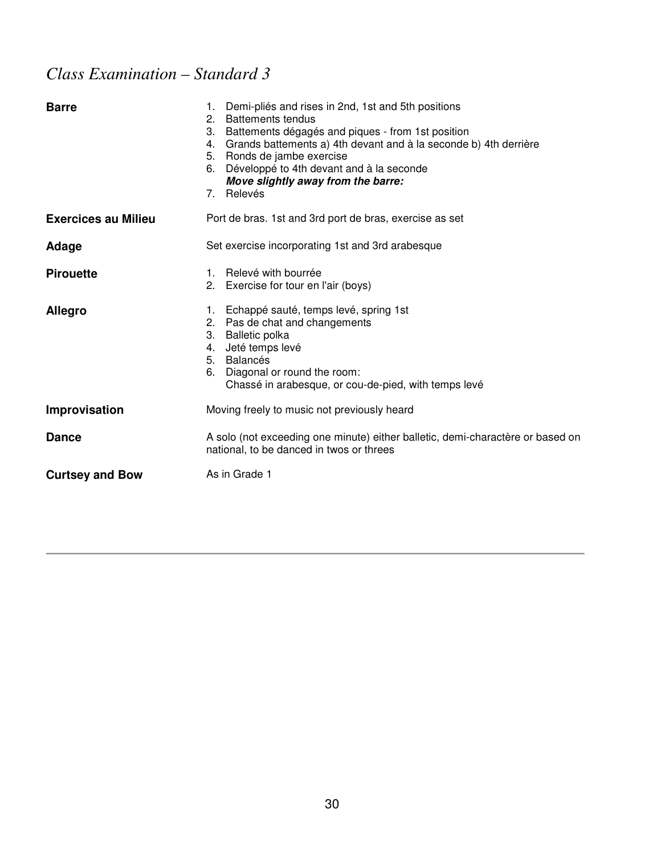| <b>Barre</b>               | 1. Demi-pliés and rises in 2nd, 1st and 5th positions<br>2. Battements tendus<br>3. Battements dégagés and piques - from 1st position<br>4. Grands battements a) 4th devant and à la seconde b) 4th derrière<br>5. Ronds de jambe exercise<br>Développé to 4th devant and à la seconde<br>6.<br>Move slightly away from the barre:<br>7. Relevés |
|----------------------------|--------------------------------------------------------------------------------------------------------------------------------------------------------------------------------------------------------------------------------------------------------------------------------------------------------------------------------------------------|
| <b>Exercices au Milieu</b> | Port de bras. 1st and 3rd port de bras, exercise as set                                                                                                                                                                                                                                                                                          |
| Adage                      | Set exercise incorporating 1st and 3rd arabesque                                                                                                                                                                                                                                                                                                 |
| <b>Pirouette</b>           | 1. Relevé with bourrée<br>2. Exercise for tour en l'air (boys)                                                                                                                                                                                                                                                                                   |
| <b>Allegro</b>             | 1. Echappé sauté, temps levé, spring 1st<br>2. Pas de chat and changements<br>3. Balletic polka<br>Jeté temps levé<br>4.<br>5. Balancés<br>Diagonal or round the room:<br>6.<br>Chassé in arabesque, or cou-de-pied, with temps levé                                                                                                             |
| Improvisation              | Moving freely to music not previously heard                                                                                                                                                                                                                                                                                                      |
| <b>Dance</b>               | A solo (not exceeding one minute) either balletic, demi-charactère or based on<br>national, to be danced in twos or threes                                                                                                                                                                                                                       |
| <b>Curtsey and Bow</b>     | As in Grade 1                                                                                                                                                                                                                                                                                                                                    |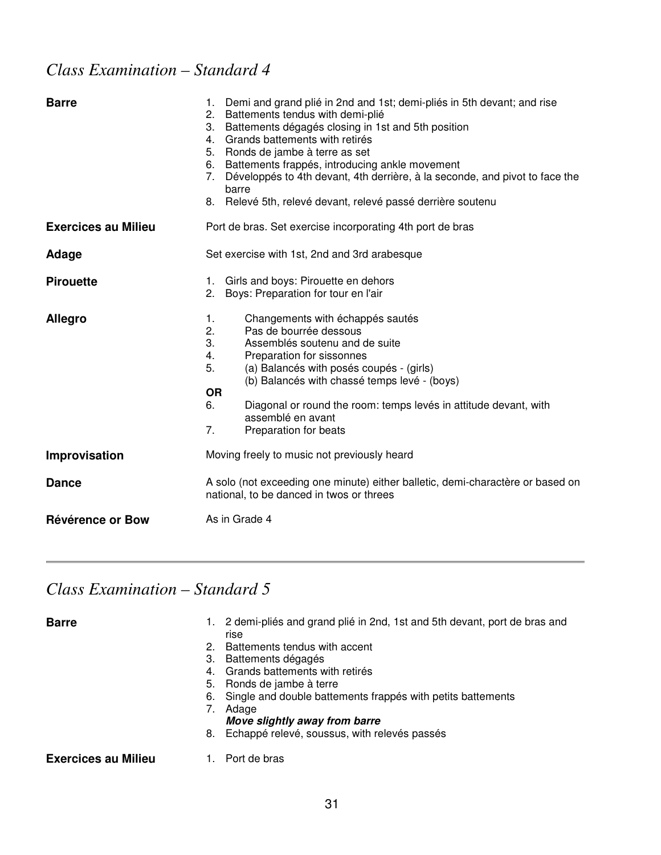# *Class Examination – Standard 4*

| <b>Barre</b>               | Demi and grand plié in 2nd and 1st; demi-pliés in 5th devant; and rise<br>1.<br>Battements tendus with demi-plié<br>2.<br>Battements dégagés closing in 1st and 5th position<br>3.<br>Grands battements with retirés<br>4.<br>Ronds de jambe à terre as set<br>5.<br>Battements frappés, introducing ankle movement<br>6.<br>Développés to 4th devant, 4th derrière, à la seconde, and pivot to face the<br>7.<br>barre<br>Relevé 5th, relevé devant, relevé passé derrière soutenu<br>8. |
|----------------------------|-------------------------------------------------------------------------------------------------------------------------------------------------------------------------------------------------------------------------------------------------------------------------------------------------------------------------------------------------------------------------------------------------------------------------------------------------------------------------------------------|
| <b>Exercices au Milieu</b> | Port de bras. Set exercise incorporating 4th port de bras                                                                                                                                                                                                                                                                                                                                                                                                                                 |
| Adage                      | Set exercise with 1st, 2nd and 3rd arabesque                                                                                                                                                                                                                                                                                                                                                                                                                                              |
| <b>Pirouette</b>           | Girls and boys: Pirouette en dehors<br>1.<br>2.<br>Boys: Preparation for tour en l'air                                                                                                                                                                                                                                                                                                                                                                                                    |
| <b>Allegro</b>             | Changements with échappés sautés<br>1.<br>2.<br>Pas de bourrée dessous<br>3.<br>Assemblés soutenu and de suite<br>Preparation for sissonnes<br>4.<br>5.<br>(a) Balancés with posés coupés - (girls)<br>(b) Balancés with chassé temps levé - (boys)<br><b>OR</b><br>6.<br>Diagonal or round the room: temps levés in attitude devant, with<br>assemblé en avant<br>7.<br>Preparation for beats                                                                                            |
| Improvisation              | Moving freely to music not previously heard                                                                                                                                                                                                                                                                                                                                                                                                                                               |
| <b>Dance</b>               | A solo (not exceeding one minute) either balletic, demi-charactère or based on<br>national, to be danced in twos or threes                                                                                                                                                                                                                                                                                                                                                                |
| Révérence or Bow           | As in Grade 4                                                                                                                                                                                                                                                                                                                                                                                                                                                                             |

| <b>Barre</b>               | 1. 2 demi-pliés and grand plié in 2nd, 1st and 5th devant, port de bras and<br>rise<br>2. Battements tendus with accent<br>3. Battements dégagés<br>4. Grands battements with retirés<br>5. Ronds de jambe à terre<br>6. Single and double battements frappes with petits battements<br>Adage<br>Move slightly away from barre |
|----------------------------|--------------------------------------------------------------------------------------------------------------------------------------------------------------------------------------------------------------------------------------------------------------------------------------------------------------------------------|
|                            | 8. Echappé relevé, soussus, with relevés passés                                                                                                                                                                                                                                                                                |
| <b>Exercices au Milieu</b> | Port de bras                                                                                                                                                                                                                                                                                                                   |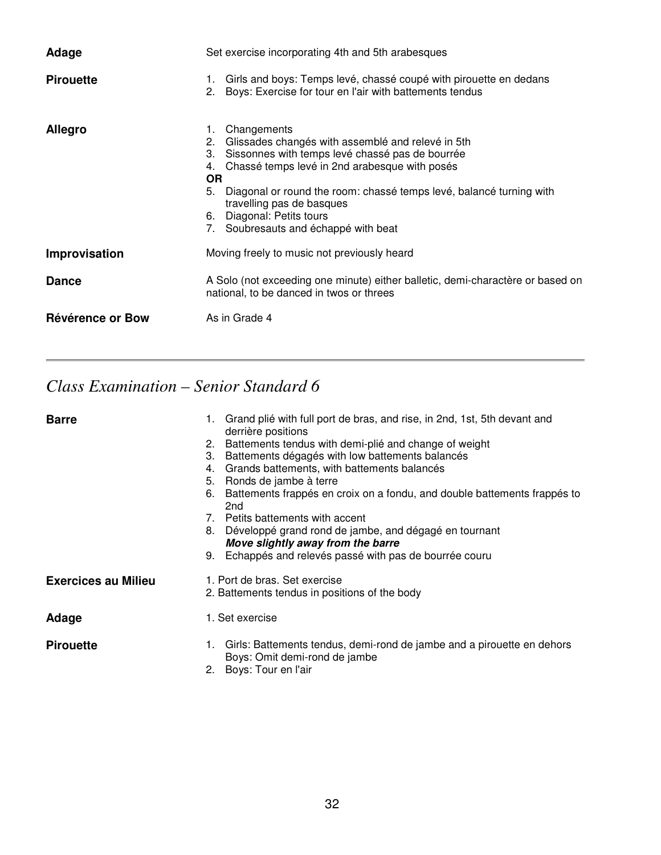| Adage            | Set exercise incorporating 4th and 5th arabesques                                                                                                                                                                                                                                                                                                                                  |  |
|------------------|------------------------------------------------------------------------------------------------------------------------------------------------------------------------------------------------------------------------------------------------------------------------------------------------------------------------------------------------------------------------------------|--|
| <b>Pirouette</b> | Girls and boys: Temps levé, chassé coupé with pirouette en dedans<br>1.<br>2. Boys: Exercise for tour en l'air with battements tendus                                                                                                                                                                                                                                              |  |
| <b>Allegro</b>   | Changements<br>1.<br>2. Glissades changés with assemblé and relevé in 5th<br>Sissonnes with temps levé chassé pas de bourrée<br>3.<br>Chassé temps levé in 2nd arabesque with posés<br>4.<br><b>OR</b><br>Diagonal or round the room: chassé temps levé, balancé turning with<br>5.<br>travelling pas de basques<br>6. Diagonal: Petits tours<br>Soubresauts and échappé with beat |  |
| Improvisation    | Moving freely to music not previously heard                                                                                                                                                                                                                                                                                                                                        |  |
| <b>Dance</b>     | A Solo (not exceeding one minute) either balletic, demi-charactère or based on<br>national, to be danced in twos or threes                                                                                                                                                                                                                                                         |  |
| Révérence or Bow | As in Grade 4                                                                                                                                                                                                                                                                                                                                                                      |  |

# *Class Examination – Senior Standard 6*

| <b>Barre</b>               | 1. Grand plié with full port de bras, and rise, in 2nd, 1st, 5th devant and<br>derrière positions<br>2. Battements tendus with demi-plié and change of weight<br>Battements dégagés with low battements balancés<br>3.<br>Grands battements, with battements balancés<br>4.<br>5. Ronds de jambe à terre<br>Battements frappés en croix on a fondu, and double battements frappés to<br>6.<br>2 <sub>nd</sub><br>7. Petits battements with accent<br>8. Développé grand rond de jambe, and dégagé en tournant<br>Move slightly away from the barre<br>9. Echappés and relevés passé with pas de bourrée couru |
|----------------------------|---------------------------------------------------------------------------------------------------------------------------------------------------------------------------------------------------------------------------------------------------------------------------------------------------------------------------------------------------------------------------------------------------------------------------------------------------------------------------------------------------------------------------------------------------------------------------------------------------------------|
| <b>Exercices au Milieu</b> | 1. Port de bras. Set exercise<br>2. Battements tendus in positions of the body                                                                                                                                                                                                                                                                                                                                                                                                                                                                                                                                |
| Adage                      | 1. Set exercise                                                                                                                                                                                                                                                                                                                                                                                                                                                                                                                                                                                               |
| <b>Pirouette</b>           | Girls: Battements tendus, demi-rond de jambe and a pirouette en dehors<br>1.<br>Boys: Omit demi-rond de jambe<br>Boys: Tour en l'air<br>2.                                                                                                                                                                                                                                                                                                                                                                                                                                                                    |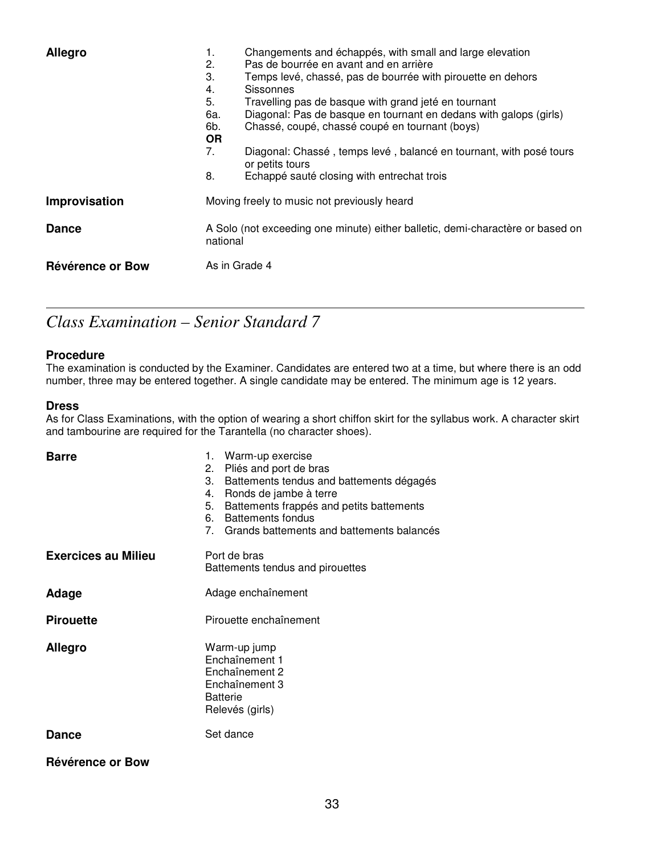| <b>Allegro</b>   | 1.<br>2.<br>3.<br>4.<br>5.<br>6а.<br>6b.<br><b>OR</b><br>7.<br>8.                          | Changements and échappés, with small and large elevation<br>Pas de bourrée en avant and en arrière<br>Temps levé, chassé, pas de bourrée with pirouette en dehors<br><b>Sissonnes</b><br>Travelling pas de basque with grand jeté en tournant<br>Diagonal: Pas de basque en tournant en dedans with galops (girls)<br>Chassé, coupé, chassé coupé en tournant (boys)<br>Diagonal: Chassé, temps levé, balancé en tournant, with posé tours<br>or petits tours<br>Echappé sauté closing with entrechat trois |
|------------------|--------------------------------------------------------------------------------------------|-------------------------------------------------------------------------------------------------------------------------------------------------------------------------------------------------------------------------------------------------------------------------------------------------------------------------------------------------------------------------------------------------------------------------------------------------------------------------------------------------------------|
| Improvisation    | Moving freely to music not previously heard                                                |                                                                                                                                                                                                                                                                                                                                                                                                                                                                                                             |
| <b>Dance</b>     | A Solo (not exceeding one minute) either balletic, demi-charactère or based on<br>national |                                                                                                                                                                                                                                                                                                                                                                                                                                                                                                             |
| Révérence or Bow | As in Grade 4                                                                              |                                                                                                                                                                                                                                                                                                                                                                                                                                                                                                             |

## *Class Examination – Senior Standard 7*

#### **Procedure**

The examination is conducted by the Examiner. Candidates are entered two at a time, but where there is an odd number, three may be entered together. A single candidate may be entered. The minimum age is 12 years.

#### **Dress**

As for Class Examinations, with the option of wearing a short chiffon skirt for the syllabus work. A character skirt and tambourine are required for the Tarantella (no character shoes).

| <b>Barre</b>               | Warm-up exercise<br>1.<br>Pliés and port de bras<br>2.<br>3.<br>Battements tendus and battements dégagés<br>Ronds de jambe à terre<br>4.<br>Battements frappés and petits battements<br>5.<br><b>Battements fondus</b><br>6.<br>7. Grands battements and battements balancés |  |
|----------------------------|------------------------------------------------------------------------------------------------------------------------------------------------------------------------------------------------------------------------------------------------------------------------------|--|
| <b>Exercices au Milieu</b> | Port de bras<br>Battements tendus and pirouettes                                                                                                                                                                                                                             |  |
| Adage                      | Adage enchaînement                                                                                                                                                                                                                                                           |  |
| <b>Pirouette</b>           | Pirouette enchaînement                                                                                                                                                                                                                                                       |  |
| <b>Allegro</b>             | Warm-up jump<br>Enchaînement 1<br>Enchaînement 2<br>Enchaînement 3<br><b>Batterie</b><br>Relevés (girls)                                                                                                                                                                     |  |
| <b>Dance</b>               | Set dance                                                                                                                                                                                                                                                                    |  |
| Révérence or Bow           |                                                                                                                                                                                                                                                                              |  |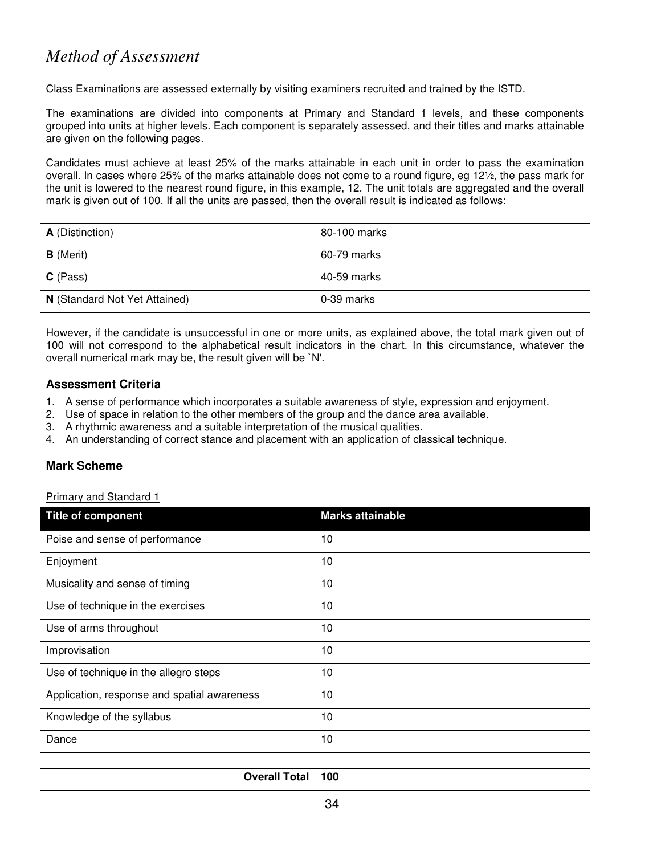## *Method of Assessment*

Class Examinations are assessed externally by visiting examiners recruited and trained by the ISTD.

The examinations are divided into components at Primary and Standard 1 levels, and these components grouped into units at higher levels. Each component is separately assessed, and their titles and marks attainable are given on the following pages.

Candidates must achieve at least 25% of the marks attainable in each unit in order to pass the examination overall. In cases where 25% of the marks attainable does not come to a round figure, eg 12½, the pass mark for the unit is lowered to the nearest round figure, in this example, 12. The unit totals are aggregated and the overall mark is given out of 100. If all the units are passed, then the overall result is indicated as follows:

| <b>A</b> (Distinction)        | 80-100 marks |
|-------------------------------|--------------|
| <b>B</b> (Merit)              | 60-79 marks  |
| $C$ (Pass)                    | 40-59 marks  |
| N (Standard Not Yet Attained) | 0-39 marks   |

However, if the candidate is unsuccessful in one or more units, as explained above, the total mark given out of 100 will not correspond to the alphabetical result indicators in the chart. In this circumstance, whatever the overall numerical mark may be, the result given will be `N'.

#### **Assessment Criteria**

- 1. A sense of performance which incorporates a suitable awareness of style, expression and enjoyment.
- 2. Use of space in relation to the other members of the group and the dance area available.
- 3. A rhythmic awareness and a suitable interpretation of the musical qualities.
- 4. An understanding of correct stance and placement with an application of classical technique.

### **Mark Scheme**

Primary and Standard 1

| Title of component                          | <b>Marks attainable</b> |
|---------------------------------------------|-------------------------|
| Poise and sense of performance              | 10                      |
| Enjoyment                                   | 10                      |
| Musicality and sense of timing              | 10                      |
| Use of technique in the exercises           | 10                      |
| Use of arms throughout                      | 10                      |
| Improvisation                               | 10                      |
| Use of technique in the allegro steps       | 10                      |
| Application, response and spatial awareness | 10                      |
| Knowledge of the syllabus                   | 10                      |
| Dance                                       | 10                      |
|                                             |                         |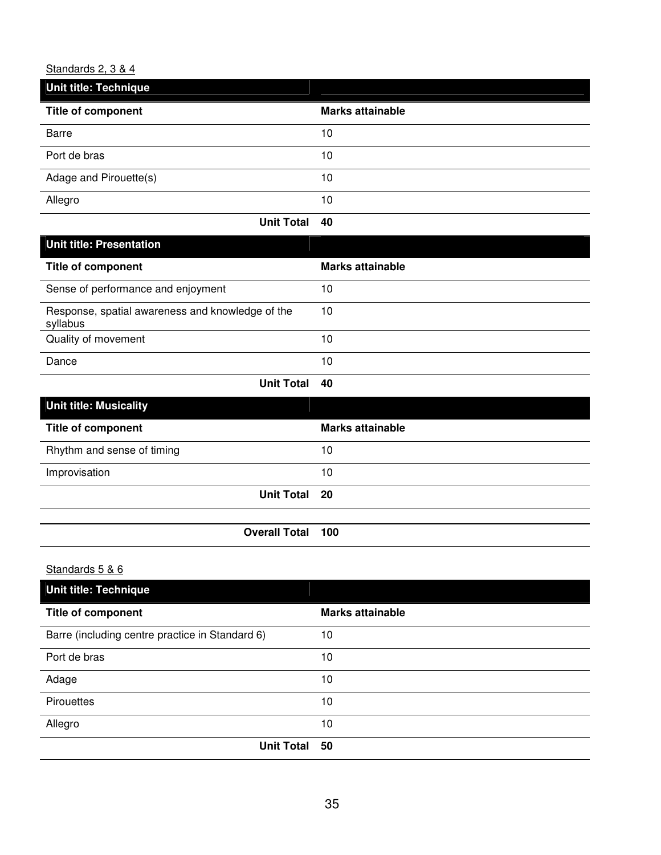#### Standards 2, 3 & 4

| Unit title: Technique     |                         |
|---------------------------|-------------------------|
| <b>Title of component</b> | <b>Marks attainable</b> |
| <b>Barre</b>              | 10                      |
| Port de bras              | 10                      |
| Adage and Pirouette(s)    | 10                      |
| Allegro                   | 10                      |

| <b>Unit title: Presentation</b>                              |                         |
|--------------------------------------------------------------|-------------------------|
| <b>Title of component</b>                                    | <b>Marks attainable</b> |
| Sense of performance and enjoyment                           | 10                      |
| Response, spatial awareness and knowledge of the<br>syllabus | 10                      |
| Quality of movement                                          | 10                      |
| Dance                                                        | 10                      |

**Unit Total 40** 

| <b>Unit title: Musicality</b> |                         |
|-------------------------------|-------------------------|
| <b>Title of component</b>     | <b>Marks attainable</b> |
| Rhythm and sense of timing    | 10                      |
| Improvisation                 | 10                      |
| Unit Total 20                 |                         |
|                               |                         |
| <b>Overall Total 100</b>      |                         |

## Standards 5 & 6

| <b>Unit title: Technique</b>                    |                         |
|-------------------------------------------------|-------------------------|
| <b>Title of component</b>                       | <b>Marks attainable</b> |
| Barre (including centre practice in Standard 6) | 10                      |
| Port de bras                                    | 10                      |
| Adage                                           | 10                      |
| Pirouettes                                      | 10                      |
| Allegro                                         | 10                      |
| <b>Unit Total</b>                               | 50                      |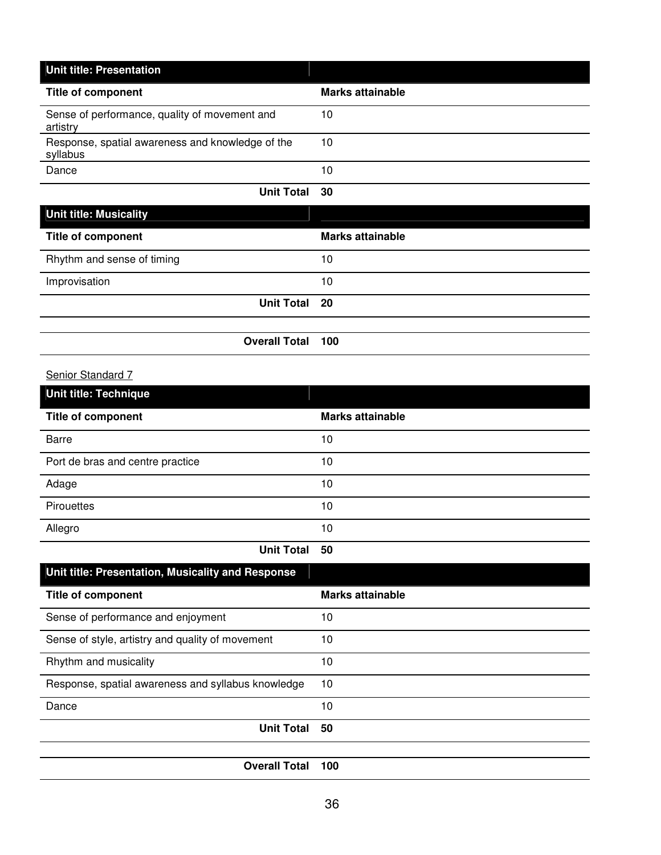| <b>Unit title: Presentation</b>                              |                  |
|--------------------------------------------------------------|------------------|
| <b>Title of component</b>                                    | Marks attainable |
| Sense of performance, quality of movement and<br>artistry    | 10               |
| Response, spatial awareness and knowledge of the<br>syllabus | 10               |
| Dance                                                        | 10               |
| <b>Unit Total</b>                                            | 30               |

| <b>Title of component</b>  |                          | <b>Marks attainable</b> |  |
|----------------------------|--------------------------|-------------------------|--|
| Rhythm and sense of timing |                          | 10                      |  |
| Improvisation              |                          | 10                      |  |
|                            | Unit Total 20            |                         |  |
|                            |                          |                         |  |
|                            | <b>Overall Total 100</b> |                         |  |

## Senior Standard 7

| <b>Unit title: Technique</b>     |                         |
|----------------------------------|-------------------------|
| <b>Title of component</b>        | <b>Marks attainable</b> |
| <b>Barre</b>                     | 10                      |
| Port de bras and centre practice | 10                      |
| Adage                            | 10                      |
| Pirouettes                       | 10                      |
| Allegro                          | 10                      |
| $H = H + T = H - T$              |                         |

**Unit Total 50** 

| Unit title: Presentation, Musicality and Response  |                         |
|----------------------------------------------------|-------------------------|
| <b>Title of component</b>                          | <b>Marks attainable</b> |
| Sense of performance and enjoyment                 | 10                      |
| Sense of style, artistry and quality of movement   | 10                      |
| Rhythm and musicality                              | 10                      |
| Response, spatial awareness and syllabus knowledge | 10                      |
| Dance                                              | 10                      |
| <b>Unit Total</b>                                  | 50                      |
|                                                    |                         |
| <b>Overall Total</b>                               | 100                     |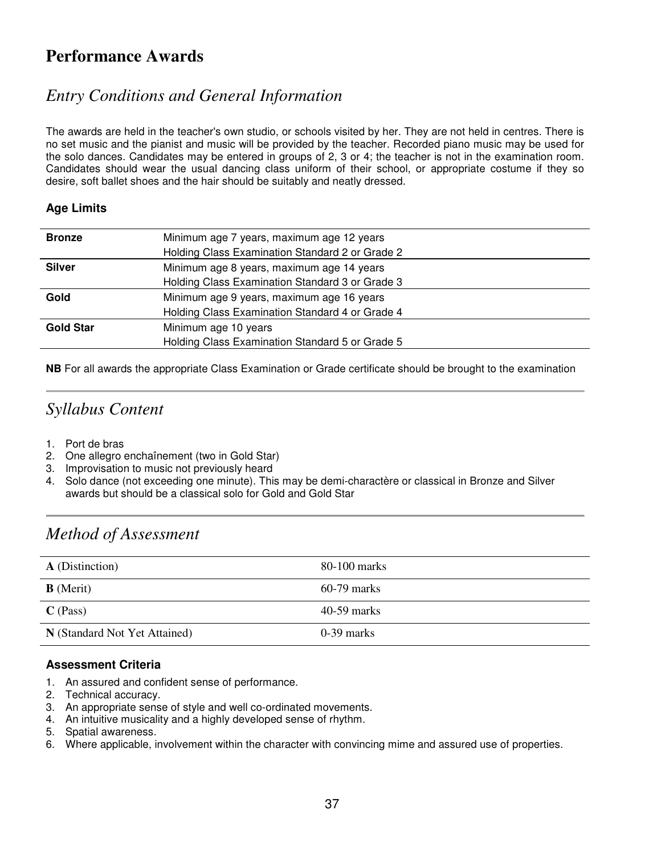### **Performance Awards**

### *Entry Conditions and General Information*

The awards are held in the teacher's own studio, or schools visited by her. They are not held in centres. There is no set music and the pianist and music will be provided by the teacher. Recorded piano music may be used for the solo dances. Candidates may be entered in groups of 2, 3 or 4; the teacher is not in the examination room. Candidates should wear the usual dancing class uniform of their school, or appropriate costume if they so desire, soft ballet shoes and the hair should be suitably and neatly dressed.

#### **Age Limits**

| <b>Bronze</b>    | Minimum age 7 years, maximum age 12 years       |
|------------------|-------------------------------------------------|
|                  | Holding Class Examination Standard 2 or Grade 2 |
| <b>Silver</b>    | Minimum age 8 years, maximum age 14 years       |
|                  | Holding Class Examination Standard 3 or Grade 3 |
| Gold             | Minimum age 9 years, maximum age 16 years       |
|                  | Holding Class Examination Standard 4 or Grade 4 |
| <b>Gold Star</b> | Minimum age 10 years                            |
|                  | Holding Class Examination Standard 5 or Grade 5 |
|                  |                                                 |

**NB** For all awards the appropriate Class Examination or Grade certificate should be brought to the examination

### *Syllabus Content*

- 1. Port de bras
- 2. One allegro enchaînement (two in Gold Star)
- 3. Improvisation to music not previously heard
- 4. Solo dance (not exceeding one minute). This may be demi-charactère or classical in Bronze and Silver awards but should be a classical solo for Gold and Gold Star

### *Method of Assessment*

| <b>A</b> (Distinction)        | 80-100 marks  |
|-------------------------------|---------------|
| <b>B</b> (Merit)              | $60-79$ marks |
| $C$ (Pass)                    | $40-59$ marks |
| N (Standard Not Yet Attained) | $0-39$ marks  |

#### **Assessment Criteria**

- 1. An assured and confident sense of performance.
- 2. Technical accuracy.
- 3. An appropriate sense of style and well co-ordinated movements.
- 4. An intuitive musicality and a highly developed sense of rhythm.
- 5. Spatial awareness.
- 6. Where applicable, involvement within the character with convincing mime and assured use of properties.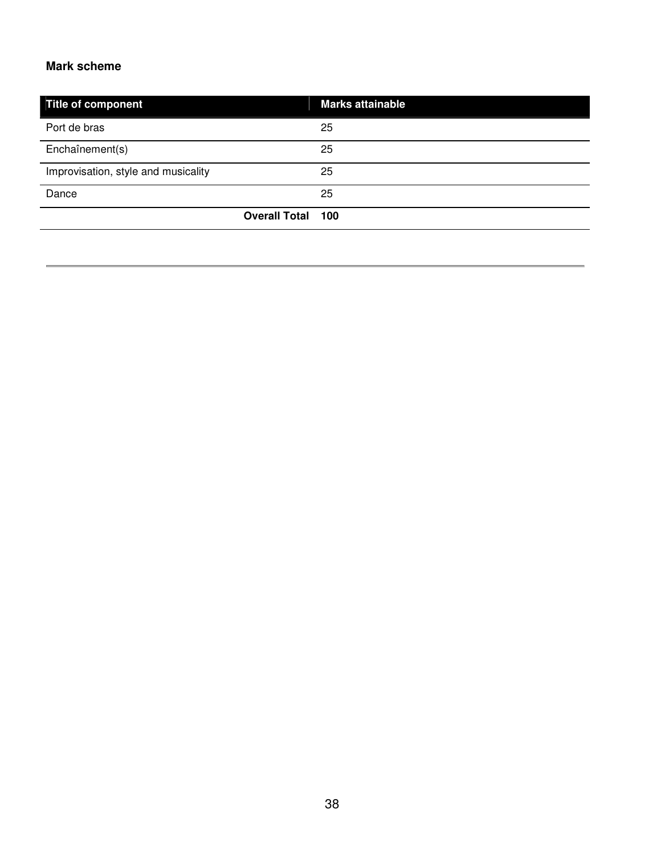#### **Mark scheme**

| Title of component                  |                          | <b>Marks attainable</b> |
|-------------------------------------|--------------------------|-------------------------|
| Port de bras                        |                          | 25                      |
| Enchaînement(s)                     |                          | 25                      |
| Improvisation, style and musicality |                          | 25                      |
| Dance                               |                          | 25                      |
|                                     | <b>Overall Total 100</b> |                         |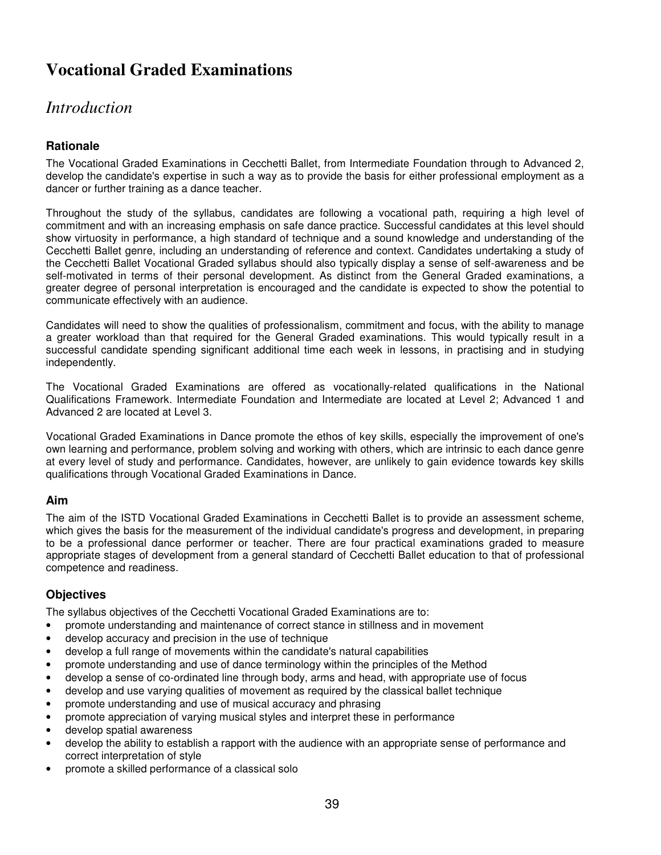# **Vocational Graded Examinations**

### *Introduction*

#### **Rationale**

The Vocational Graded Examinations in Cecchetti Ballet, from Intermediate Foundation through to Advanced 2, develop the candidate's expertise in such a way as to provide the basis for either professional employment as a dancer or further training as a dance teacher.

Throughout the study of the syllabus, candidates are following a vocational path, requiring a high level of commitment and with an increasing emphasis on safe dance practice. Successful candidates at this level should show virtuosity in performance, a high standard of technique and a sound knowledge and understanding of the Cecchetti Ballet genre, including an understanding of reference and context. Candidates undertaking a study of the Cecchetti Ballet Vocational Graded syllabus should also typically display a sense of self-awareness and be self-motivated in terms of their personal development. As distinct from the General Graded examinations, a greater degree of personal interpretation is encouraged and the candidate is expected to show the potential to communicate effectively with an audience.

Candidates will need to show the qualities of professionalism, commitment and focus, with the ability to manage a greater workload than that required for the General Graded examinations. This would typically result in a successful candidate spending significant additional time each week in lessons, in practising and in studying independently.

The Vocational Graded Examinations are offered as vocationally-related qualifications in the National Qualifications Framework. Intermediate Foundation and Intermediate are located at Level 2; Advanced 1 and Advanced 2 are located at Level 3.

Vocational Graded Examinations in Dance promote the ethos of key skills, especially the improvement of one's own learning and performance, problem solving and working with others, which are intrinsic to each dance genre at every level of study and performance. Candidates, however, are unlikely to gain evidence towards key skills qualifications through Vocational Graded Examinations in Dance.

#### **Aim**

The aim of the ISTD Vocational Graded Examinations in Cecchetti Ballet is to provide an assessment scheme, which gives the basis for the measurement of the individual candidate's progress and development, in preparing to be a professional dance performer or teacher. There are four practical examinations graded to measure appropriate stages of development from a general standard of Cecchetti Ballet education to that of professional competence and readiness.

#### **Objectives**

The syllabus objectives of the Cecchetti Vocational Graded Examinations are to:

- promote understanding and maintenance of correct stance in stillness and in movement
- develop accuracy and precision in the use of technique
- develop a full range of movements within the candidate's natural capabilities
- promote understanding and use of dance terminology within the principles of the Method
- develop a sense of co-ordinated line through body, arms and head, with appropriate use of focus
- develop and use varying qualities of movement as required by the classical ballet technique
- promote understanding and use of musical accuracy and phrasing
- promote appreciation of varying musical styles and interpret these in performance
- develop spatial awareness
- develop the ability to establish a rapport with the audience with an appropriate sense of performance and correct interpretation of style
- promote a skilled performance of a classical solo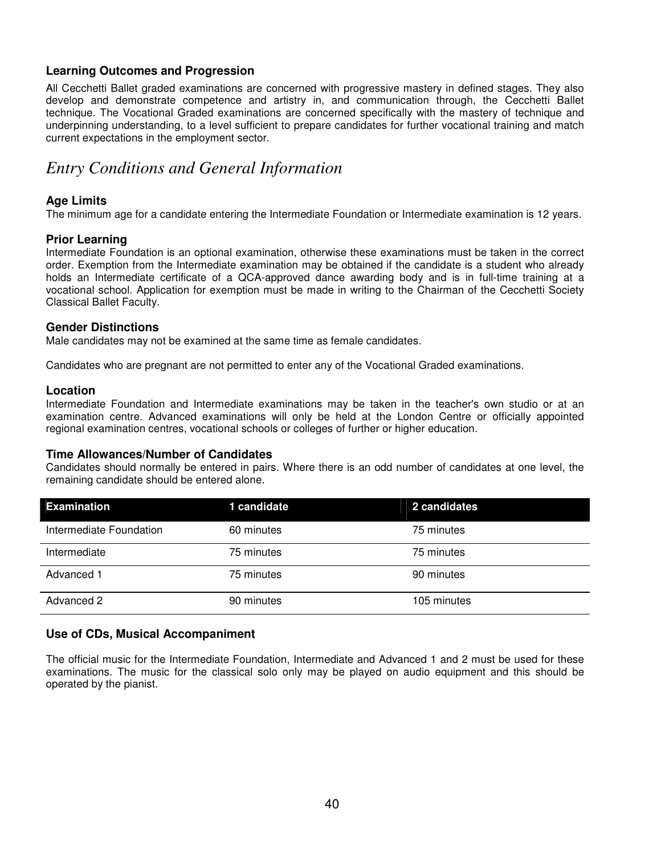#### **Learning Outcomes and Progression**

All Cecchetti Ballet graded examinations are concerned with progressive mastery in defined stages. They also develop and demonstrate competence and artistry in, and communication through, the Cecchetti Ballet technique. The Vocational Graded examinations are concerned specifically with the mastery of technique and underpinning understanding, to a level sufficient to prepare candidates for further vocational training and match current expectations in the employment sector.

### *Entry Conditions and General Information*

#### **Age Limits**

The minimum age for a candidate entering the Intermediate Foundation or Intermediate examination is 12 years.

#### **Prior Learning**

Intermediate Foundation is an optional examination, otherwise these examinations must be taken in the correct order. Exemption from the Intermediate examination may be obtained if the candidate is a student who already holds an Intermediate certificate of a QCA-approved dance awarding body and is in full-time training at a vocational school. Application for exemption must be made in writing to the Chairman of the Cecchetti Society Classical Ballet Faculty.

#### **Gender Distinctions**

Male candidates may not be examined at the same time as female candidates.

Candidates who are pregnant are not permitted to enter any of the Vocational Graded examinations.

#### **Location**

Intermediate Foundation and Intermediate examinations may be taken in the teacher's own studio or at an examination centre. Advanced examinations will only be held at the London Centre or officially appointed regional examination centres, vocational schools or colleges of further or higher education.

#### **Time Allowances/Number of Candidates**

Candidates should normally be entered in pairs. Where there is an odd number of candidates at one level, the remaining candidate should be entered alone.

| <b>Examination</b>      | 1 candidate | 2 candidates |
|-------------------------|-------------|--------------|
| Intermediate Foundation | 60 minutes  | 75 minutes   |
| Intermediate            | 75 minutes  | 75 minutes   |
| Advanced 1              | 75 minutes  | 90 minutes   |
| Advanced 2              | 90 minutes  | 105 minutes  |

#### **Use of CDs, Musical Accompaniment**

The official music for the Intermediate Foundation, Intermediate and Advanced 1 and 2 must be used for these examinations. The music for the classical solo only may be played on audio equipment and this should be operated by the pianist.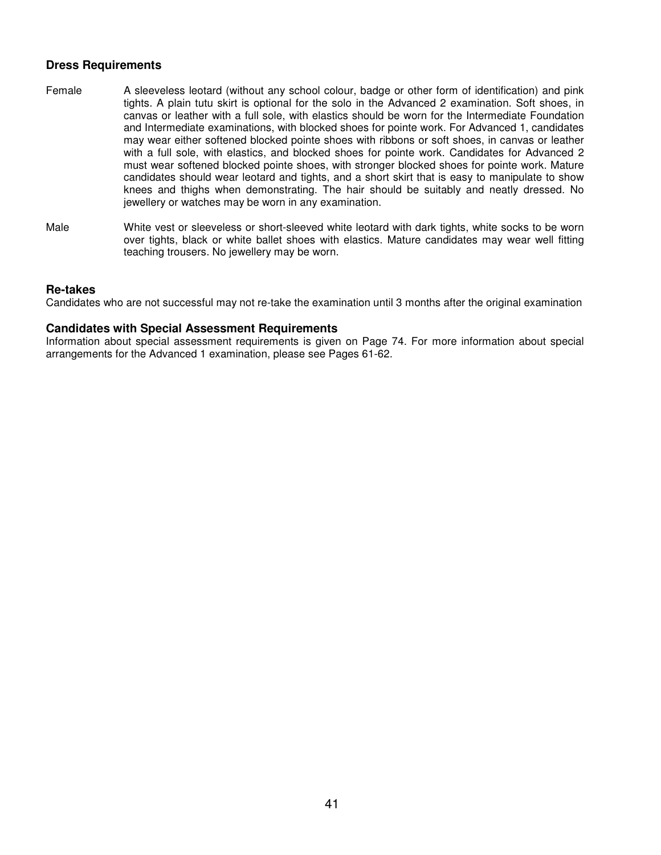#### **Dress Requirements**

- Female A sleeveless leotard (without any school colour, badge or other form of identification) and pink tights. A plain tutu skirt is optional for the solo in the Advanced 2 examination. Soft shoes, in canvas or leather with a full sole, with elastics should be worn for the Intermediate Foundation and Intermediate examinations, with blocked shoes for pointe work. For Advanced 1, candidates may wear either softened blocked pointe shoes with ribbons or soft shoes, in canvas or leather with a full sole, with elastics, and blocked shoes for pointe work. Candidates for Advanced 2 must wear softened blocked pointe shoes, with stronger blocked shoes for pointe work. Mature candidates should wear leotard and tights, and a short skirt that is easy to manipulate to show knees and thighs when demonstrating. The hair should be suitably and neatly dressed. No jewellery or watches may be worn in any examination.
- Male White vest or sleeveless or short-sleeved white leotard with dark tights, white socks to be worn over tights, black or white ballet shoes with elastics. Mature candidates may wear well fitting teaching trousers. No jewellery may be worn.

#### **Re-takes**

Candidates who are not successful may not re-take the examination until 3 months after the original examination

#### **Candidates with Special Assessment Requirements**

Information about special assessment requirements is given on Page 74. For more information about special arrangements for the Advanced 1 examination, please see Pages 61-62.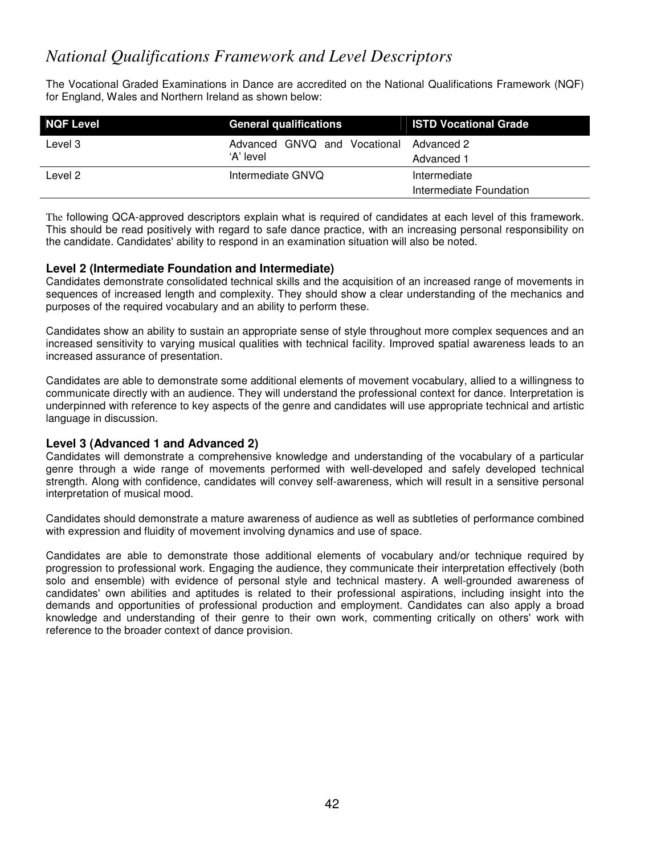### *National Qualifications Framework and Level Descriptors*

The Vocational Graded Examinations in Dance are accredited on the National Qualifications Framework (NQF) for England, Wales and Northern Ireland as shown below:

| <b>NQF Level</b> | <b>General qualifications</b> | <b>ISTD Vocational Grade</b> |
|------------------|-------------------------------|------------------------------|
| Level 3          | Advanced GNVQ and Vocational  | Advanced 2                   |
|                  | 'A' level                     | Advanced 1                   |
| Level 2          | Intermediate GNVQ             | Intermediate                 |
|                  |                               | Intermediate Foundation      |

The following QCA-approved descriptors explain what is required of candidates at each level of this framework. This should be read positively with regard to safe dance practice, with an increasing personal responsibility on the candidate. Candidates' ability to respond in an examination situation will also be noted.

#### **Level 2 (Intermediate Foundation and Intermediate)**

Candidates demonstrate consolidated technical skills and the acquisition of an increased range of movements in sequences of increased length and complexity. They should show a clear understanding of the mechanics and purposes of the required vocabulary and an ability to perform these.

Candidates show an ability to sustain an appropriate sense of style throughout more complex sequences and an increased sensitivity to varying musical qualities with technical facility. Improved spatial awareness leads to an increased assurance of presentation.

Candidates are able to demonstrate some additional elements of movement vocabulary, allied to a willingness to communicate directly with an audience. They will understand the professional context for dance. Interpretation is underpinned with reference to key aspects of the genre and candidates will use appropriate technical and artistic language in discussion.

#### **Level 3 (Advanced 1 and Advanced 2)**

Candidates will demonstrate a comprehensive knowledge and understanding of the vocabulary of a particular genre through a wide range of movements performed with well-developed and safely developed technical strength. Along with confidence, candidates will convey self-awareness, which will result in a sensitive personal interpretation of musical mood.

Candidates should demonstrate a mature awareness of audience as well as subtleties of performance combined with expression and fluidity of movement involving dynamics and use of space.

Candidates are able to demonstrate those additional elements of vocabulary and/or technique required by progression to professional work. Engaging the audience, they communicate their interpretation effectively (both solo and ensemble) with evidence of personal style and technical mastery. A well-grounded awareness of candidates' own abilities and aptitudes is related to their professional aspirations, including insight into the demands and opportunities of professional production and employment. Candidates can also apply a broad knowledge and understanding of their genre to their own work, commenting critically on others' work with reference to the broader context of dance provision.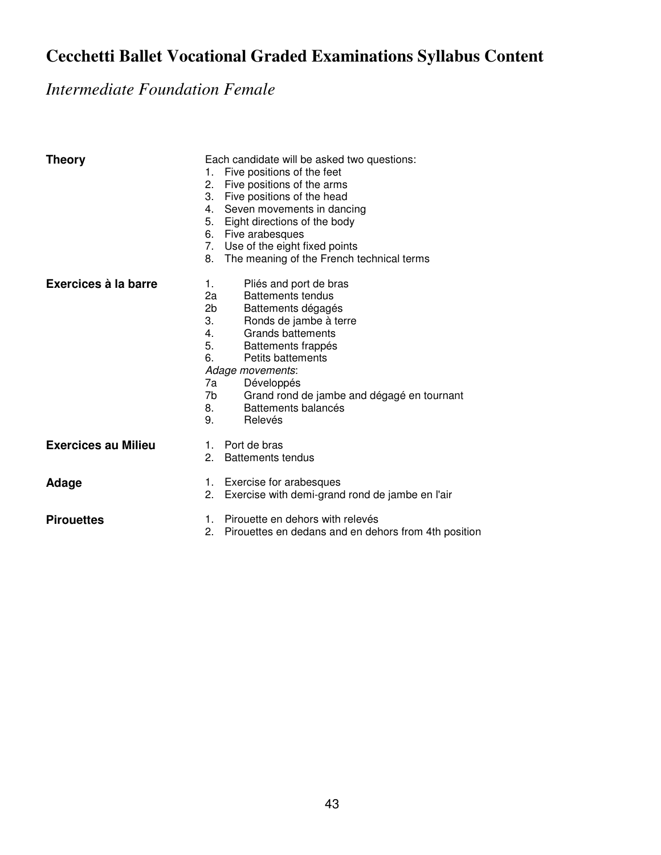# **Cecchetti Ballet Vocational Graded Examinations Syllabus Content**

*Intermediate Foundation Female* 

| <b>Theory</b>              | Each candidate will be asked two questions:<br>Five positions of the feet<br>1.<br>Five positions of the arms<br>2.<br>3.<br>Five positions of the head<br>Seven movements in dancing<br>4.<br>Eight directions of the body<br>5.<br>6. Five arabesques<br>7. Use of the eight fixed points<br>The meaning of the French technical terms<br>8.                |
|----------------------------|---------------------------------------------------------------------------------------------------------------------------------------------------------------------------------------------------------------------------------------------------------------------------------------------------------------------------------------------------------------|
| Exercices à la barre       | Pliés and port de bras<br>1.<br>2a<br>Battements tendus<br>2b<br>Battements dégagés<br>3.<br>Ronds de jambe à terre<br><b>Grands battements</b><br>4.<br>5.<br>Battements frappés<br>6.<br><b>Petits battements</b><br>Adage movements:<br>7a<br>Développés<br>Grand rond de jambe and dégagé en tournant<br>7b<br>Battements balancés<br>8.<br>9.<br>Relevés |
| <b>Exercices au Milieu</b> | 1. Port de bras<br>2.<br><b>Battements tendus</b>                                                                                                                                                                                                                                                                                                             |
| Adage                      | 1. Exercise for arabesques<br>Exercise with demi-grand rond de jambe en l'air<br>2.                                                                                                                                                                                                                                                                           |
| <b>Pirouettes</b>          | Pirouette en dehors with relevés<br>1.<br>2.<br>Pirouettes en dedans and en dehors from 4th position                                                                                                                                                                                                                                                          |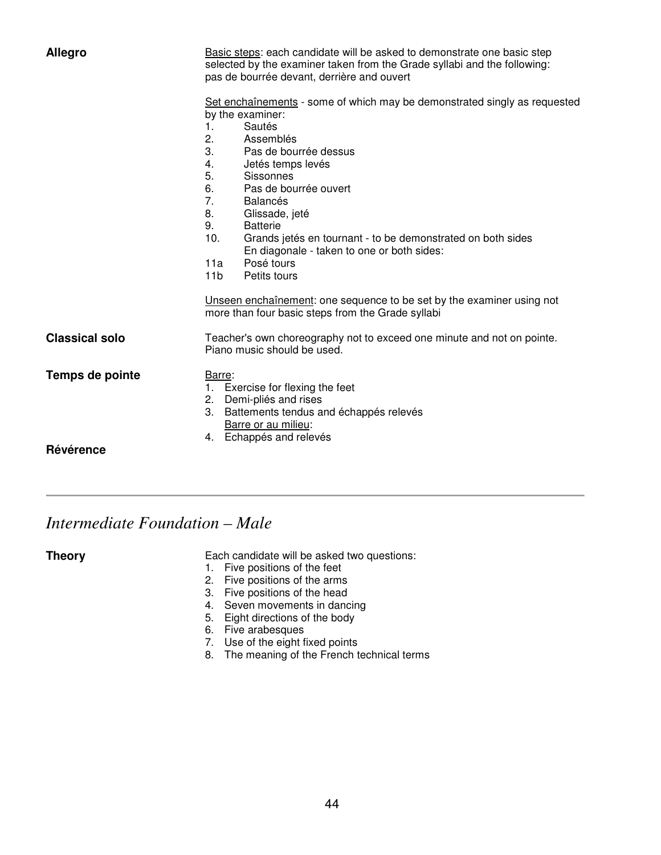| <b>Allegro</b>        | Basic steps: each candidate will be asked to demonstrate one basic step<br>selected by the examiner taken from the Grade syllabi and the following:<br>pas de bourrée devant, derrière and ouvert<br>Set enchaînements - some of which may be demonstrated singly as requested<br>by the examiner:<br>Sautés<br>1.<br>2.<br>Assemblés<br>3.<br>Pas de bourrée dessus<br>Jetés temps levés<br>4.<br>5.<br>Sissonnes<br>6.<br>Pas de bourrée ouvert |
|-----------------------|---------------------------------------------------------------------------------------------------------------------------------------------------------------------------------------------------------------------------------------------------------------------------------------------------------------------------------------------------------------------------------------------------------------------------------------------------|
|                       | 7.<br><b>Balancés</b><br>8.<br>Glissade, jeté<br>9.<br><b>Batterie</b><br>10.<br>Grands jetés en tournant - to be demonstrated on both sides<br>En diagonale - taken to one or both sides:<br>Posé tours<br>11a<br>11 <sub>b</sub><br>Petits tours                                                                                                                                                                                                |
|                       | Unseen enchaînement: one sequence to be set by the examiner using not<br>more than four basic steps from the Grade syllabi                                                                                                                                                                                                                                                                                                                        |
| <b>Classical solo</b> | Teacher's own choreography not to exceed one minute and not on pointe.<br>Piano music should be used.                                                                                                                                                                                                                                                                                                                                             |
| Temps de pointe       | Barre:<br>Exercise for flexing the feet<br>2. Demi-pliés and rises<br>3. Battements tendus and échappés relevés<br>Barre or au milieu:<br>4. Echappés and relevés                                                                                                                                                                                                                                                                                 |
| Révérence             |                                                                                                                                                                                                                                                                                                                                                                                                                                                   |

### *Intermediate Foundation – Male*

**Theory Each candidate will be asked two questions:** 

- 1. Five positions of the feet
- 2. Five positions of the arms
- 3. Five positions of the head
- 4. Seven movements in dancing
- 5. Eight directions of the body
- 6. Five arabesques
- 7. Use of the eight fixed points
- 8. The meaning of the French technical terms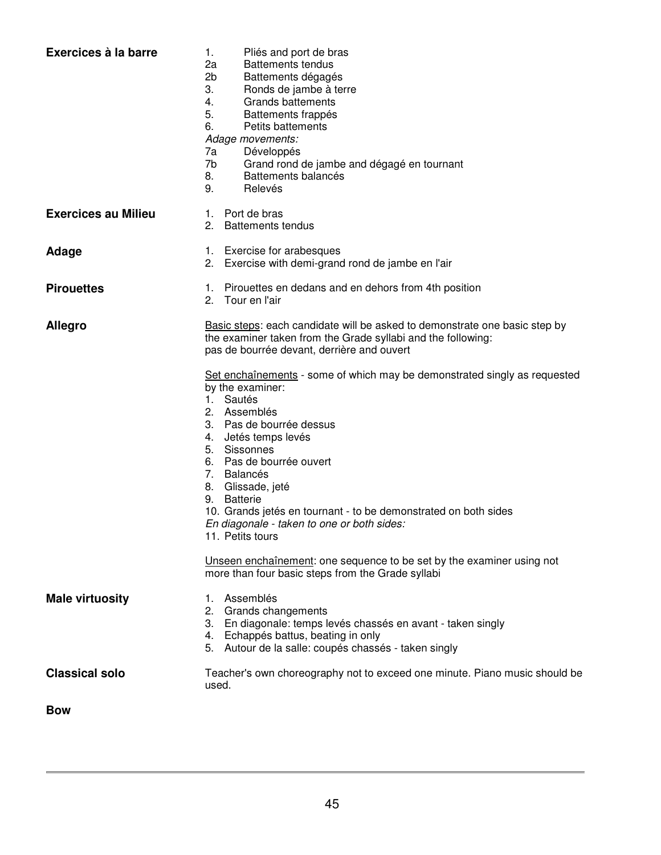| Exercices à la barre       | 1.<br>Pliés and port de bras<br><b>Battements tendus</b><br>2a<br>2 <sub>b</sub><br>Battements dégagés<br>3.<br>Ronds de jambe à terre<br>4.<br><b>Grands battements</b><br>5.<br>Battements frappés<br>6.<br>Petits battements<br>Adage movements:<br>7a<br>Développés<br>7b<br>Grand rond de jambe and dégagé en tournant<br>Battements balancés<br>8.<br>9.<br>Relevés                                                    |
|----------------------------|------------------------------------------------------------------------------------------------------------------------------------------------------------------------------------------------------------------------------------------------------------------------------------------------------------------------------------------------------------------------------------------------------------------------------|
| <b>Exercices au Milieu</b> | 1. Port de bras<br>2. Battements tendus                                                                                                                                                                                                                                                                                                                                                                                      |
| Adage                      | 1. Exercise for arabesques<br>2. Exercise with demi-grand rond de jambe en l'air                                                                                                                                                                                                                                                                                                                                             |
| <b>Pirouettes</b>          | 1. Pirouettes en dedans and en dehors from 4th position<br>2. Tour en l'air                                                                                                                                                                                                                                                                                                                                                  |
| Allegro                    | Basic steps: each candidate will be asked to demonstrate one basic step by<br>the examiner taken from the Grade syllabi and the following:<br>pas de bourrée devant, derrière and ouvert                                                                                                                                                                                                                                     |
|                            | Set enchaînements - some of which may be demonstrated singly as requested<br>by the examiner:<br>1. Sautés<br>2. Assemblés<br>3. Pas de bourrée dessus<br>4. Jetés temps levés<br>5. Sissonnes<br>6. Pas de bourrée ouvert<br>7. Balancés<br>8. Glissade, jeté<br><b>Batterie</b><br>9.<br>10. Grands jetés en tournant - to be demonstrated on both sides<br>En diagonale - taken to one or both sides:<br>11. Petits tours |
|                            | Unseen enchaînement: one sequence to be set by the examiner using not<br>more than four basic steps from the Grade syllabi                                                                                                                                                                                                                                                                                                   |
| <b>Male virtuosity</b>     | Assemblés<br>1.<br>2. Grands changements<br>3. En diagonale: temps levés chassés en avant - taken singly<br>4. Echappés battus, beating in only<br>5. Autour de la salle: coupés chassés - taken singly                                                                                                                                                                                                                      |
| <b>Classical solo</b>      | Teacher's own choreography not to exceed one minute. Piano music should be<br>used.                                                                                                                                                                                                                                                                                                                                          |
| <b>Bow</b>                 |                                                                                                                                                                                                                                                                                                                                                                                                                              |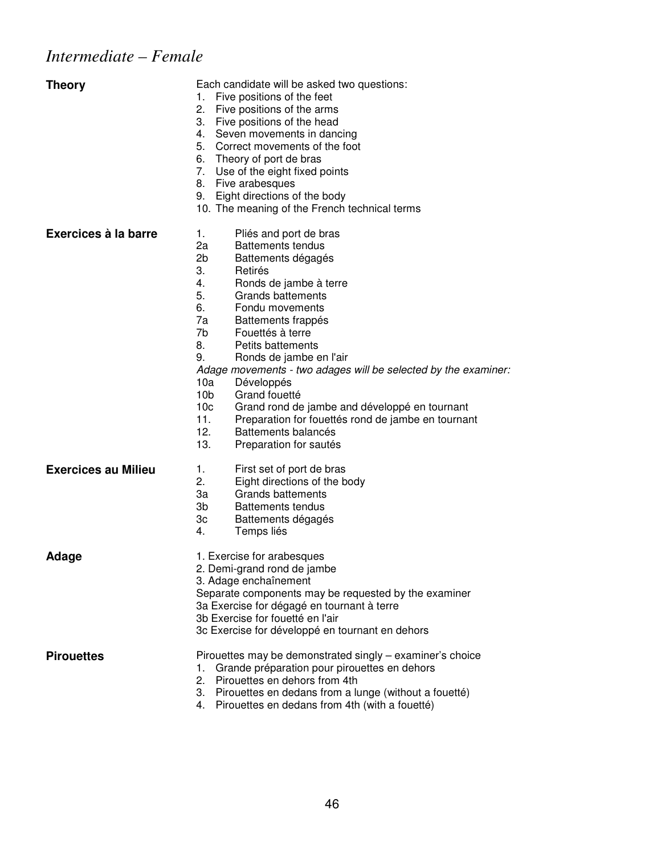# *Intermediate – Female*

| <b>Theory</b>              | Each candidate will be asked two questions:<br>Five positions of the feet<br>1.<br>2.<br>Five positions of the arms<br>3.<br>Five positions of the head<br>4.<br>Seven movements in dancing<br>5.<br>Correct movements of the foot<br>6. Theory of port de bras<br>7. Use of the eight fixed points<br>8.<br>Five arabesques<br>Eight directions of the body<br>9.<br>10. The meaning of the French technical terms                                                                                                                                                                                                                                      |
|----------------------------|----------------------------------------------------------------------------------------------------------------------------------------------------------------------------------------------------------------------------------------------------------------------------------------------------------------------------------------------------------------------------------------------------------------------------------------------------------------------------------------------------------------------------------------------------------------------------------------------------------------------------------------------------------|
| Exercices à la barre       | Pliés and port de bras<br>1.<br>2a<br><b>Battements tendus</b><br>2 <sub>b</sub><br>Battements dégagés<br>3.<br>Retirés<br>4.<br>Ronds de jambe à terre<br>5.<br>Grands battements<br>6.<br>Fondu movements<br>7a<br>Battements frappés<br>7b<br>Fouettés à terre<br>8.<br>Petits battements<br>9.<br>Ronds de jambe en l'air<br>Adage movements - two adages will be selected by the examiner:<br>10a<br>Développés<br>10 <sub>b</sub><br>Grand fouetté<br>10 <sub>c</sub><br>Grand rond de jambe and développé en tournant<br>11.<br>Preparation for fouettés rond de jambe en tournant<br>12.<br>Battements balancés<br>13.<br>Preparation for sautés |
| <b>Exercices au Milieu</b> | 1.<br>First set of port de bras<br>2.<br>Eight directions of the body<br>3a<br><b>Grands battements</b><br>3b<br><b>Battements tendus</b><br>Зc<br>Battements dégagés<br>4.<br>Temps liés                                                                                                                                                                                                                                                                                                                                                                                                                                                                |
| Adage                      | 1. Exercise for arabesques<br>2. Demi-grand rond de jambe<br>3. Adage enchaînement<br>Separate components may be requested by the examiner<br>3a Exercise for dégagé en tournant à terre<br>3b Exercise for fouetté en l'air<br>3c Exercise for développé en tournant en dehors                                                                                                                                                                                                                                                                                                                                                                          |
| <b>Pirouettes</b>          | Pirouettes may be demonstrated singly – examiner's choice<br>Grande préparation pour pirouettes en dehors<br>1.<br>Pirouettes en dehors from 4th<br>2.<br>Pirouettes en dedans from a lunge (without a fouetté)<br>3.<br>Pirouettes en dedans from 4th (with a fouetté)<br>4.                                                                                                                                                                                                                                                                                                                                                                            |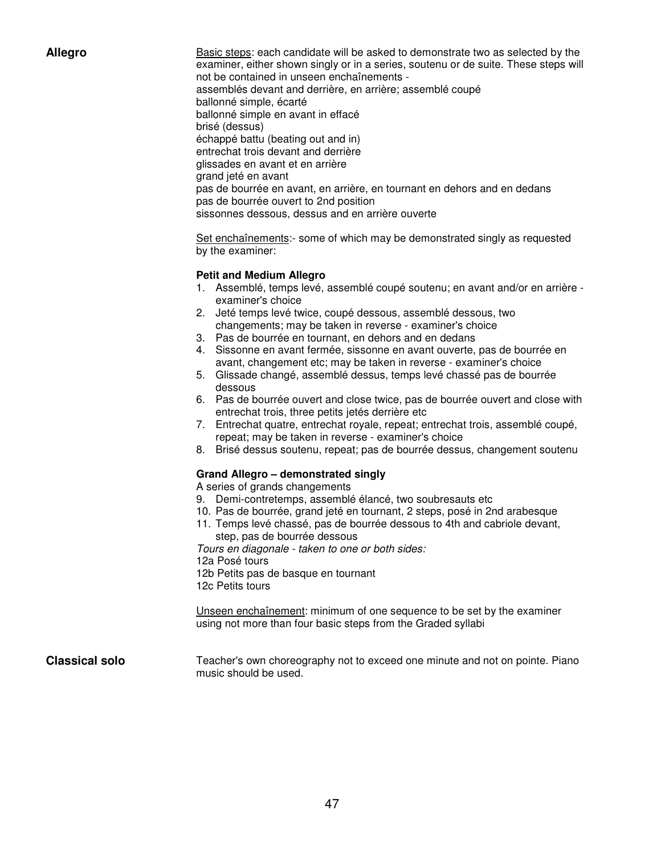Allegro **Basic steps:** each candidate will be asked to demonstrate two as selected by the examiner, either shown singly or in a series, soutenu or de suite. These steps will not be contained in unseen enchaînements assemblés devant and derrière, en arrière; assemblé coupé ballonné simple, écarté ballonné simple en avant in effacé brisé (dessus) échappé battu (beating out and in) entrechat trois devant and derrière glissades en avant et en arrière grand jeté en avant pas de bourrée en avant, en arrière, en tournant en dehors and en dedans pas de bourrée ouvert to 2nd position sissonnes dessous, dessus and en arrière ouverte

> Set enchaînements:- some of which may be demonstrated singly as requested by the examiner:

#### **Petit and Medium Allegro**

- 1. Assemblé, temps levé, assemblé coupé soutenu; en avant and/or en arrière examiner's choice
- 2. Jeté temps levé twice, coupé dessous, assemblé dessous, two changements; may be taken in reverse - examiner's choice
- 3. Pas de bourrée en tournant, en dehors and en dedans
- 4. Sissonne en avant fermée, sissonne en avant ouverte, pas de bourrée en avant, changement etc; may be taken in reverse - examiner's choice
- 5. Glissade changé, assemblé dessus, temps levé chassé pas de bourrée dessous
- 6. Pas de bourrée ouvert and close twice, pas de bourrée ouvert and close with entrechat trois, three petits jetés derrière etc
- 7. Entrechat quatre, entrechat royale, repeat; entrechat trois, assemblé coupé, repeat; may be taken in reverse - examiner's choice
- 8. Brisé dessus soutenu, repeat; pas de bourrée dessus, changement soutenu

#### **Grand Allegro – demonstrated singly**

A series of grands changements

- 9. Demi-contretemps, assemblé élancé, two soubresauts etc
- 10. Pas de bourrée, grand jeté en tournant, 2 steps, posé in 2nd arabesque
- 11. Temps levé chassé, pas de bourrée dessous to 4th and cabriole devant, step, pas de bourrée dessous

Tours en diagonale - taken to one or both sides:

12a Posé tours

12b Petits pas de basque en tournant

12c Petits tours

Unseen enchaînement: minimum of one sequence to be set by the examiner using not more than four basic steps from the Graded syllabi

**Classical solo** Teacher's own choreography not to exceed one minute and not on pointe. Piano music should be used.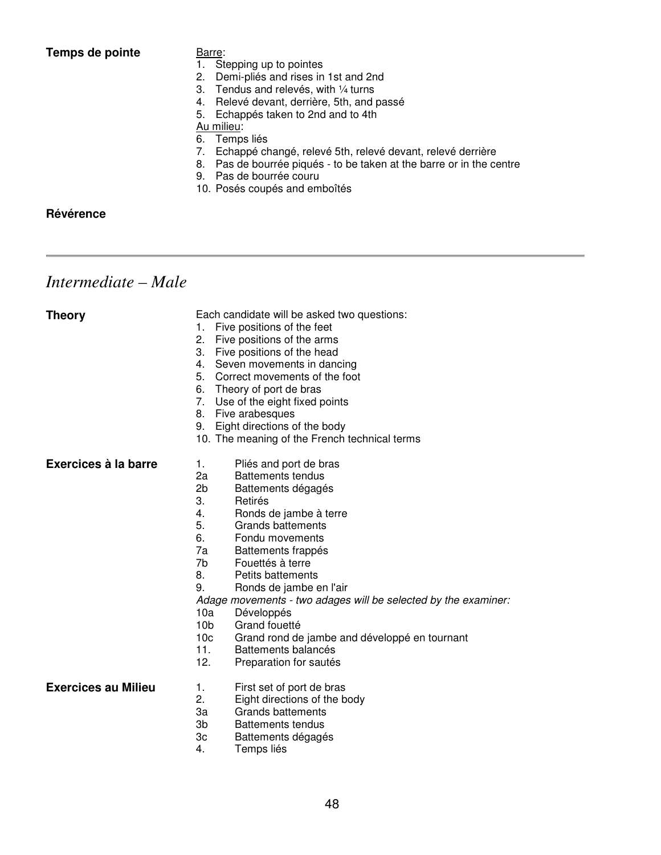**Temps de pointe Barre:** 

- 1. Stepping up to pointes
- 2. Demi-pliés and rises in 1st and 2nd
- 3. Tendus and relevés, with ¼ turns
- 4. Relevé devant, derrière, 5th, and passé
- 5. Echappés taken to 2nd and to 4th
- Au milieu:

6. Temps liés

- 7. Echappé changé, relevé 5th, relevé devant, relevé derrière
- 8. Pas de bourrée piqués to be taken at the barre or in the centre
- 9. Pas de bourrée couru
- 10. Posés coupés and emboîtés

**Révérence** 

*Intermediate – Male* 

| <b>Theory</b>              | Each candidate will be asked two questions:<br>Five positions of the feet<br>1.<br>2.<br>Five positions of the arms<br>3.<br>Five positions of the head<br>4.<br>Seven movements in dancing<br>5.<br>Correct movements of the foot<br>Theory of port de bras<br>6.<br>7.<br>Use of the eight fixed points<br>Five arabesques<br>8.<br>Eight directions of the body<br>9.<br>10. The meaning of the French technical terms                                                                                                                                                              |
|----------------------------|----------------------------------------------------------------------------------------------------------------------------------------------------------------------------------------------------------------------------------------------------------------------------------------------------------------------------------------------------------------------------------------------------------------------------------------------------------------------------------------------------------------------------------------------------------------------------------------|
| Exercices à la barre       | Pliés and port de bras<br>1.<br>2a<br><b>Battements tendus</b><br>2b<br>Battements dégagés<br>3.<br>Retirés<br>4.<br>Ronds de jambe à terre<br>5.<br><b>Grands battements</b><br>6.<br>Fondu movements<br>7a<br>Battements frappés<br>7b<br>Fouettés à terre<br>8.<br>Petits battements<br>9.<br>Ronds de jambe en l'air<br>Adage movements - two adages will be selected by the examiner:<br>10a<br>Développés<br>10 <sub>b</sub><br>Grand fouetté<br>10 <sub>c</sub><br>Grand rond de jambe and développé en tournant<br>11.<br>Battements balancés<br>12.<br>Preparation for sautés |
| <b>Exercices au Milieu</b> | First set of port de bras<br>1.<br>2.<br>Eight directions of the body<br>За<br>Grands battements<br>3b<br><b>Battements tendus</b><br>3c<br>Battements dégagés<br>4.<br>Temps liés                                                                                                                                                                                                                                                                                                                                                                                                     |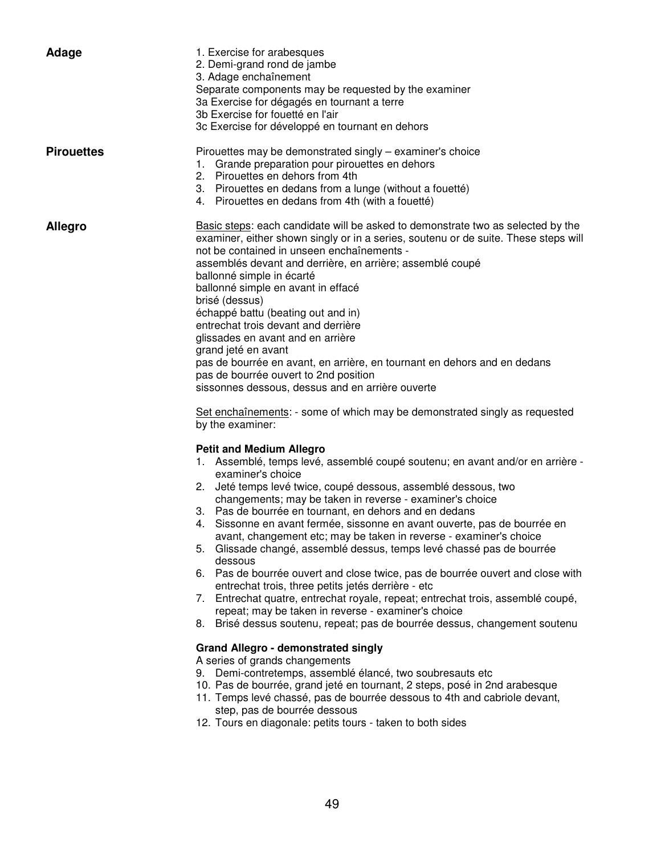| Adage             | 1. Exercise for arabesques<br>2. Demi-grand rond de jambe<br>3. Adage enchaînement<br>Separate components may be requested by the examiner<br>3a Exercise for dégagés en tournant a terre<br>3b Exercise for fouetté en l'air<br>3c Exercise for développé en tournant en dehors                                                                                                                                                                                                                                                                                                                                                                                                                                                                                                                                                                                                                                                                                                                                                                                                                                                                                                                                                                                                                                                                                                                                                                                                                                                                                                                                                                                                                                                                                                                                                                                                                                                                                                                                                                                                                                                      |
|-------------------|---------------------------------------------------------------------------------------------------------------------------------------------------------------------------------------------------------------------------------------------------------------------------------------------------------------------------------------------------------------------------------------------------------------------------------------------------------------------------------------------------------------------------------------------------------------------------------------------------------------------------------------------------------------------------------------------------------------------------------------------------------------------------------------------------------------------------------------------------------------------------------------------------------------------------------------------------------------------------------------------------------------------------------------------------------------------------------------------------------------------------------------------------------------------------------------------------------------------------------------------------------------------------------------------------------------------------------------------------------------------------------------------------------------------------------------------------------------------------------------------------------------------------------------------------------------------------------------------------------------------------------------------------------------------------------------------------------------------------------------------------------------------------------------------------------------------------------------------------------------------------------------------------------------------------------------------------------------------------------------------------------------------------------------------------------------------------------------------------------------------------------------|
| <b>Pirouettes</b> | Pirouettes may be demonstrated singly – examiner's choice<br>1. Grande preparation pour pirouettes en dehors<br>2. Pirouettes en dehors from 4th<br>3. Pirouettes en dedans from a lunge (without a fouetté)<br>4. Pirouettes en dedans from 4th (with a fouetté)                                                                                                                                                                                                                                                                                                                                                                                                                                                                                                                                                                                                                                                                                                                                                                                                                                                                                                                                                                                                                                                                                                                                                                                                                                                                                                                                                                                                                                                                                                                                                                                                                                                                                                                                                                                                                                                                     |
| <b>Allegro</b>    | Basic steps: each candidate will be asked to demonstrate two as selected by the<br>examiner, either shown singly or in a series, soutenu or de suite. These steps will<br>not be contained in unseen enchaînements -<br>assemblés devant and derrière, en arrière; assemblé coupé<br>ballonné simple in écarté<br>ballonné simple en avant in effacé<br>brisé (dessus)<br>échappé battu (beating out and in)<br>entrechat trois devant and derrière<br>glissades en avant and en arrière<br>grand jeté en avant<br>pas de bourrée en avant, en arrière, en tournant en dehors and en dedans<br>pas de bourrée ouvert to 2nd position<br>sissonnes dessous, dessus and en arrière ouverte<br>Set enchaînements: - some of which may be demonstrated singly as requested<br>by the examiner:<br><b>Petit and Medium Allegro</b><br>1. Assemblé, temps levé, assemblé coupé soutenu; en avant and/or en arrière -<br>examiner's choice<br>2. Jeté temps levé twice, coupé dessous, assemblé dessous, two<br>changements; may be taken in reverse - examiner's choice<br>3. Pas de bourrée en tournant, en dehors and en dedans<br>Sissonne en avant fermée, sissonne en avant ouverte, pas de bourrée en<br>avant, changement etc; may be taken in reverse - examiner's choice<br>5. Glissade changé, assemblé dessus, temps levé chassé pas de bourrée<br>dessous<br>6. Pas de bourrée ouvert and close twice, pas de bourrée ouvert and close with<br>entrechat trois, three petits jetés derrière - etc<br>7. Entrechat quatre, entrechat royale, repeat; entrechat trois, assemblé coupé,<br>repeat; may be taken in reverse - examiner's choice<br>8. Brisé dessus soutenu, repeat; pas de bourrée dessus, changement soutenu<br><b>Grand Allegro - demonstrated singly</b><br>A series of grands changements<br>9. Demi-contretemps, assemblé élancé, two soubresauts etc<br>10. Pas de bourrée, grand jeté en tournant, 2 steps, posé in 2nd arabesque<br>11. Temps levé chassé, pas de bourrée dessous to 4th and cabriole devant,<br>step, pas de bourrée dessous<br>12. Tours en diagonale: petits tours - taken to both sides |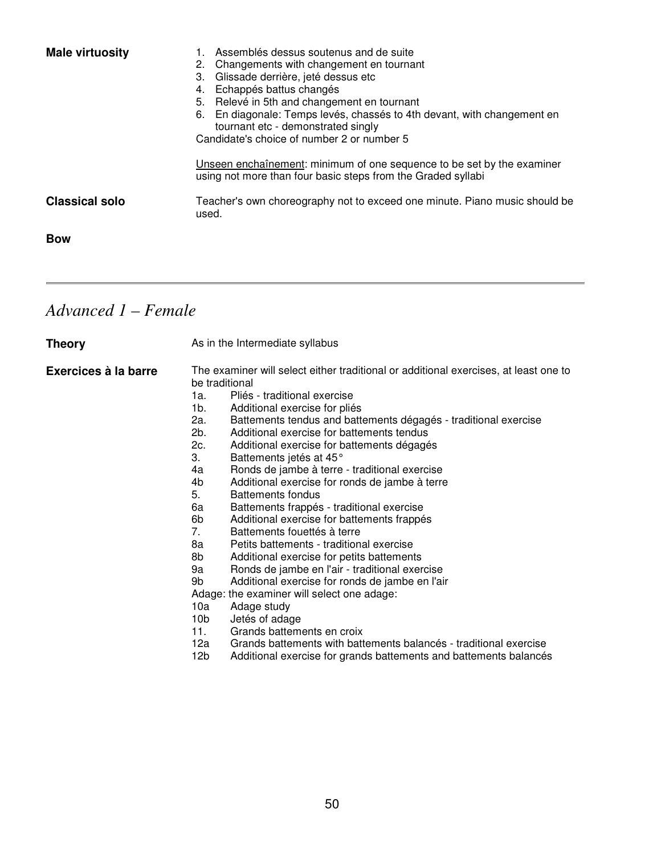| <b>Male virtuosity</b> | 1. Assemblés dessus soutenus and de suite<br>2. Changements with changement en tournant<br>Glissade derrière, jeté dessus etc<br>3.<br>Echappés battus changés<br>4.<br>5. Relevé in 5th and changement en tournant<br>6. En diagonale: Temps levés, chassés to 4th devant, with changement en<br>tournant etc - demonstrated singly<br>Candidate's choice of number 2 or number 5<br>Unseen enchaînement: minimum of one sequence to be set by the examiner<br>using not more than four basic steps from the Graded syllabi |
|------------------------|------------------------------------------------------------------------------------------------------------------------------------------------------------------------------------------------------------------------------------------------------------------------------------------------------------------------------------------------------------------------------------------------------------------------------------------------------------------------------------------------------------------------------|
| <b>Classical solo</b>  | Teacher's own choreography not to exceed one minute. Piano music should be<br>used.                                                                                                                                                                                                                                                                                                                                                                                                                                          |
| <b>Bow</b>             |                                                                                                                                                                                                                                                                                                                                                                                                                                                                                                                              |

# *Advanced 1 – Female*

| <b>Theory</b>        | As in the Intermediate syllabus                                                                                                                                                                                                                                                                                                                                                                                                                                                                                                                                                                                                                                                                                                                                                                                                                                                                                                                                                                                                                                                                                                                                                                                             |  |
|----------------------|-----------------------------------------------------------------------------------------------------------------------------------------------------------------------------------------------------------------------------------------------------------------------------------------------------------------------------------------------------------------------------------------------------------------------------------------------------------------------------------------------------------------------------------------------------------------------------------------------------------------------------------------------------------------------------------------------------------------------------------------------------------------------------------------------------------------------------------------------------------------------------------------------------------------------------------------------------------------------------------------------------------------------------------------------------------------------------------------------------------------------------------------------------------------------------------------------------------------------------|--|
| Exercices à la barre | The examiner will select either traditional or additional exercises, at least one to<br>be traditional<br>Pliés - traditional exercise<br>1a.<br>1b.<br>Additional exercise for pliés<br>2a.<br>Battements tendus and battements dégagés - traditional exercise<br>2b.<br>Additional exercise for battements tendus<br>2c.<br>Additional exercise for battements dégagés<br>3.<br>Battements jetés at 45°<br>Ronds de jambe à terre - traditional exercise<br>4a<br>4b<br>Additional exercise for ronds de jambe à terre<br>5.<br>Battements fondus<br>6a<br>Battements frappés - traditional exercise<br>6b<br>Additional exercise for battements frappés<br>7.<br>Battements fouettés à terre<br>8a<br>Petits battements - traditional exercise<br>8b<br>Additional exercise for petits battements<br>Ronds de jambe en l'air - traditional exercise<br>9a<br>9b<br>Additional exercise for ronds de jambe en l'air<br>Adage: the examiner will select one adage:<br>10a<br>Adage study<br>10 <sub>b</sub><br>Jetés of adage<br>11.<br>Grands battements en croix<br>Grands battements with battements balancés - traditional exercise<br>12a<br>12b<br>Additional exercise for grands battements and battements balancés |  |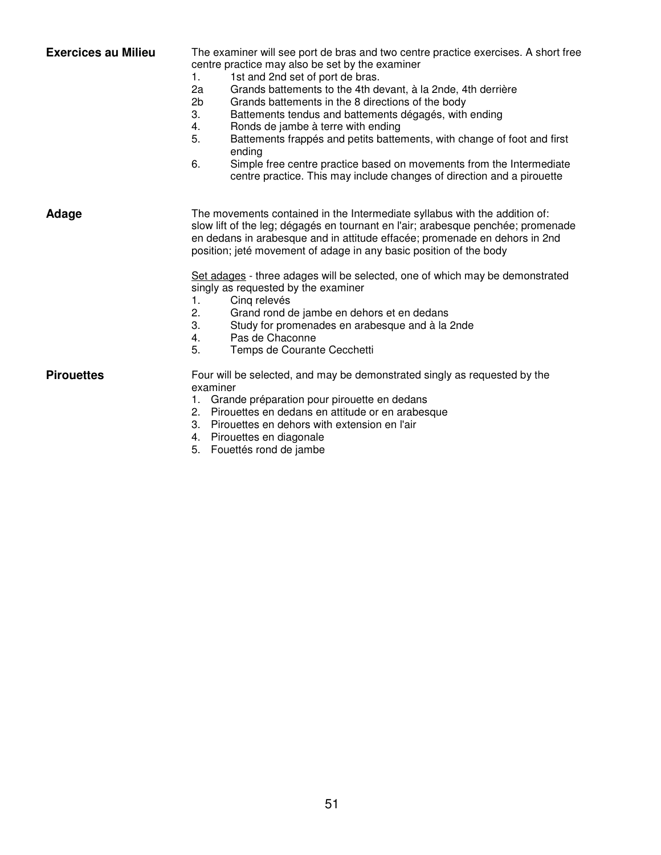| <b>Exercices au Milieu</b> | The examiner will see port de bras and two centre practice exercises. A short free<br>centre practice may also be set by the examiner<br>1.<br>1st and 2nd set of port de bras.<br>2a<br>Grands battements to the 4th devant, à la 2nde, 4th derrière<br>2 <sub>b</sub><br>Grands battements in the 8 directions of the body<br>3.<br>Battements tendus and battements dégagés, with ending<br>Ronds de jambe à terre with ending<br>4.<br>5.<br>Battements frappés and petits battements, with change of foot and first<br>ending<br>6.<br>Simple free centre practice based on movements from the Intermediate<br>centre practice. This may include changes of direction and a pirouette |
|----------------------------|--------------------------------------------------------------------------------------------------------------------------------------------------------------------------------------------------------------------------------------------------------------------------------------------------------------------------------------------------------------------------------------------------------------------------------------------------------------------------------------------------------------------------------------------------------------------------------------------------------------------------------------------------------------------------------------------|
| Adage                      | The movements contained in the Intermediate syllabus with the addition of:<br>slow lift of the leg; dégagés en tournant en l'air; arabesque penchée; promenade<br>en dedans in arabesque and in attitude effacée; promenade en dehors in 2nd<br>position; jeté movement of adage in any basic position of the body<br>Set adages - three adages will be selected, one of which may be demonstrated<br>singly as requested by the examiner<br>Cing relevés<br>1.<br>Grand rond de jambe en dehors et en dedans<br>2.<br>3.<br>Study for promenades en arabesque and à la 2nde<br>Pas de Chaconne<br>4.<br>5.<br>Temps de Courante Cecchetti                                                 |
| <b>Pirouettes</b>          | Four will be selected, and may be demonstrated singly as requested by the<br>examiner<br>Grande préparation pour pirouette en dedans<br>1.<br>2. Pirouettes en dedans en attitude or en arabesque<br>3. Pirouettes en dehors with extension en l'air<br>4. Pirouettes en diagonale                                                                                                                                                                                                                                                                                                                                                                                                         |

5. Fouettés rond de jambe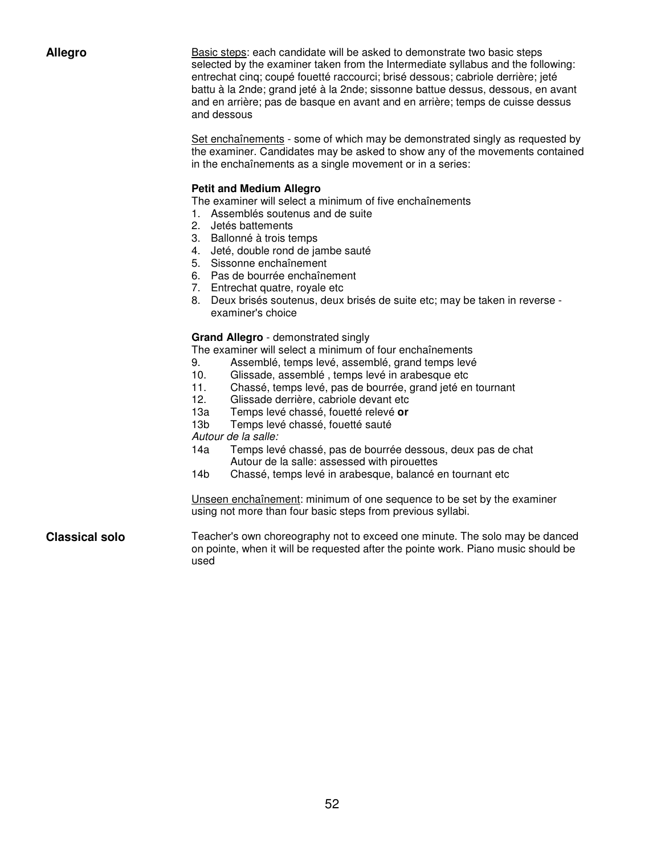Allegro **Basic steps:** each candidate will be asked to demonstrate two basic steps selected by the examiner taken from the Intermediate syllabus and the following: entrechat cinq; coupé fouetté raccourci; brisé dessous; cabriole derrière; jeté battu à la 2nde; grand jeté à la 2nde; sissonne battue dessus, dessous, en avant and en arrière; pas de basque en avant and en arrière; temps de cuisse dessus and dessous

> Set enchaînements - some of which may be demonstrated singly as requested by the examiner. Candidates may be asked to show any of the movements contained in the enchaînements as a single movement or in a series:

#### **Petit and Medium Allegro**

The examiner will select a minimum of five enchaînements

- 1. Assemblés soutenus and de suite
- 2. Jetés battements
- 3. Ballonné à trois temps
- 4. Jeté, double rond de jambe sauté
- 5. Sissonne enchaînement
- 6. Pas de bourrée enchaînement
- 7. Entrechat quatre, royale etc
- 8. Deux brisés soutenus, deux brisés de suite etc; may be taken in reverse examiner's choice

#### **Grand Allegro** - demonstrated singly

The examiner will select a minimum of four enchaînements

- 9. Assemblé, temps levé, assemblé, grand temps levé
- 10. Glissade, assemblé , temps levé in arabesque etc
- 11. Chassé, temps levé, pas de bourrée, grand jeté en tournant
- 12. Glissade derrière, cabriole devant etc
- 13a Temps levé chassé, fouetté relevé **or**
- 13b Temps levé chassé, fouetté sauté

Autour de la salle:

- 14a Temps levé chassé, pas de bourrée dessous, deux pas de chat Autour de la salle: assessed with pirouettes
- 14b Chassé, temps levé in arabesque, balancé en tournant etc

Unseen enchaînement: minimum of one sequence to be set by the examiner using not more than four basic steps from previous syllabi.

**Classical solo** Teacher's own choreography not to exceed one minute. The solo may be danced on pointe, when it will be requested after the pointe work. Piano music should be used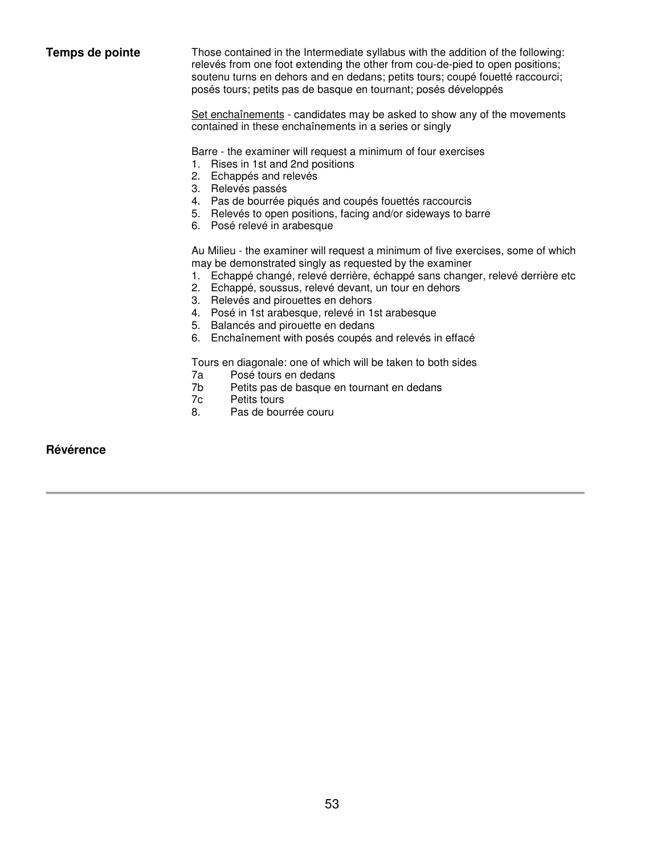| Temps de pointe  | Those contained in the Intermediate syllabus with the addition of the following:<br>relevés from one foot extending the other from cou-de-pied to open positions;<br>soutenu turns en dehors and en dedans; petits tours; coupé fouetté raccourci;<br>posés tours; petits pas de basque en tournant; posés développés<br>Set enchaînements - candidates may be asked to show any of the movements<br>contained in these enchaînements in a series or singly                            |
|------------------|----------------------------------------------------------------------------------------------------------------------------------------------------------------------------------------------------------------------------------------------------------------------------------------------------------------------------------------------------------------------------------------------------------------------------------------------------------------------------------------|
|                  | Barre - the examiner will request a minimum of four exercises<br>1. Rises in 1st and 2nd positions<br>2. Echappés and relevés<br>3. Relevés passés<br>4. Pas de bourrée piqués and coupés fouettés raccourcis<br>5. Relevés to open positions, facing and/or sideways to barre<br>6. Posé relevé in arabesque                                                                                                                                                                          |
|                  | Au Milieu - the examiner will request a minimum of five exercises, some of which<br>may be demonstrated singly as requested by the examiner<br>1. Echappé changé, relevé derrière, échappé sans changer, relevé derrière etc<br>2. Echappé, soussus, relevé devant, un tour en dehors<br>3. Relevés and pirouettes en dehors<br>4. Posé in 1st arabesque, relevé in 1st arabesque<br>Balancés and pirouette en dedans<br>5.<br>6. Enchaînement with posés coupés and relevés in effacé |
|                  | Tours en diagonale: one of which will be taken to both sides<br>Posé tours en dedans<br>7a<br>7b<br>Petits pas de basque en tournant en dedans<br>7c<br>Petits tours<br>8.<br>Pas de bourrée couru                                                                                                                                                                                                                                                                                     |
| <b>Révérence</b> |                                                                                                                                                                                                                                                                                                                                                                                                                                                                                        |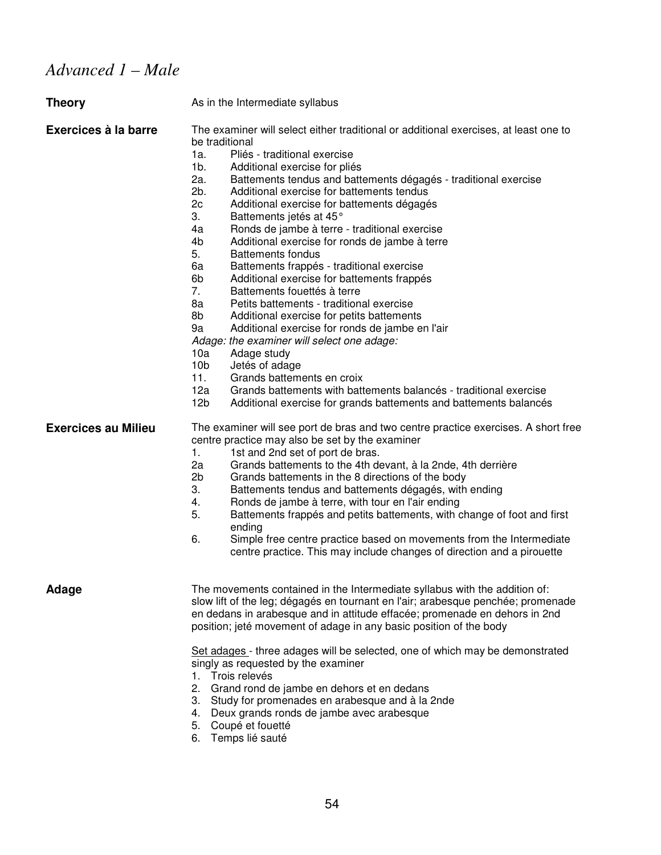# *Advanced 1 – Male*

| <b>Theory</b>              | As in the Intermediate syllabus                                                                                                                                                                                                                                                                                                                                                                                                                                                                                                                                                                                                                                                                                                                                                                                                                                                                                                                                                                                                                                                                                                                                                          |
|----------------------------|------------------------------------------------------------------------------------------------------------------------------------------------------------------------------------------------------------------------------------------------------------------------------------------------------------------------------------------------------------------------------------------------------------------------------------------------------------------------------------------------------------------------------------------------------------------------------------------------------------------------------------------------------------------------------------------------------------------------------------------------------------------------------------------------------------------------------------------------------------------------------------------------------------------------------------------------------------------------------------------------------------------------------------------------------------------------------------------------------------------------------------------------------------------------------------------|
| Exercices à la barre       | The examiner will select either traditional or additional exercises, at least one to<br>be traditional<br>Pliés - traditional exercise<br>1a.<br>$1b$ .<br>Additional exercise for pliés<br>2a.<br>Battements tendus and battements dégagés - traditional exercise<br>2b.<br>Additional exercise for battements tendus<br>2c<br>Additional exercise for battements dégagés<br>3.<br>Battements jetés at 45°<br>4a<br>Ronds de jambe à terre - traditional exercise<br>4b<br>Additional exercise for ronds de jambe à terre<br>5.<br><b>Battements fondus</b><br>Battements frappés - traditional exercise<br>6а<br>6b<br>Additional exercise for battements frappés<br>7.<br>Battements fouettés à terre<br>8a<br>Petits battements - traditional exercise<br>8b<br>Additional exercise for petits battements<br>9a<br>Additional exercise for ronds de jambe en l'air<br>Adage: the examiner will select one adage:<br>10a<br>Adage study<br>10 <sub>b</sub><br>Jetés of adage<br>11.<br>Grands battements en croix<br>12a<br>Grands battements with battements balancés - traditional exercise<br>12 <sub>b</sub><br>Additional exercise for grands battements and battements balancés |
| <b>Exercices au Milieu</b> | The examiner will see port de bras and two centre practice exercises. A short free<br>centre practice may also be set by the examiner<br>1.<br>1st and 2nd set of port de bras.<br>2a<br>Grands battements to the 4th devant, à la 2nde, 4th derrière<br>2b<br>Grands battements in the 8 directions of the body<br>3.<br>Battements tendus and battements dégagés, with ending<br>4.<br>Ronds de jambe à terre, with tour en l'air ending<br>5.<br>Battements frappés and petits battements, with change of foot and first<br>ending<br>6.<br>Simple free centre practice based on movements from the Intermediate<br>centre practice. This may include changes of direction and a pirouette                                                                                                                                                                                                                                                                                                                                                                                                                                                                                            |
| Adage                      | The movements contained in the Intermediate syllabus with the addition of:<br>slow lift of the leg; dégagés en tournant en l'air; arabesque penchée; promenade<br>en dedans in arabesque and in attitude effacée; promenade en dehors in 2nd<br>position; jeté movement of adage in any basic position of the body<br>Set adages - three adages will be selected, one of which may be demonstrated<br>singly as requested by the examiner<br>1. Trois relevés<br>2.<br>Grand rond de jambe en dehors et en dedans<br>3. Study for promenades en arabesque and à la 2nde<br>4. Deux grands ronds de jambe avec arabesque<br>Coupé et fouetté<br>5.<br>Temps lié sauté<br>6.                                                                                                                                                                                                                                                                                                                                                                                                                                                                                                               |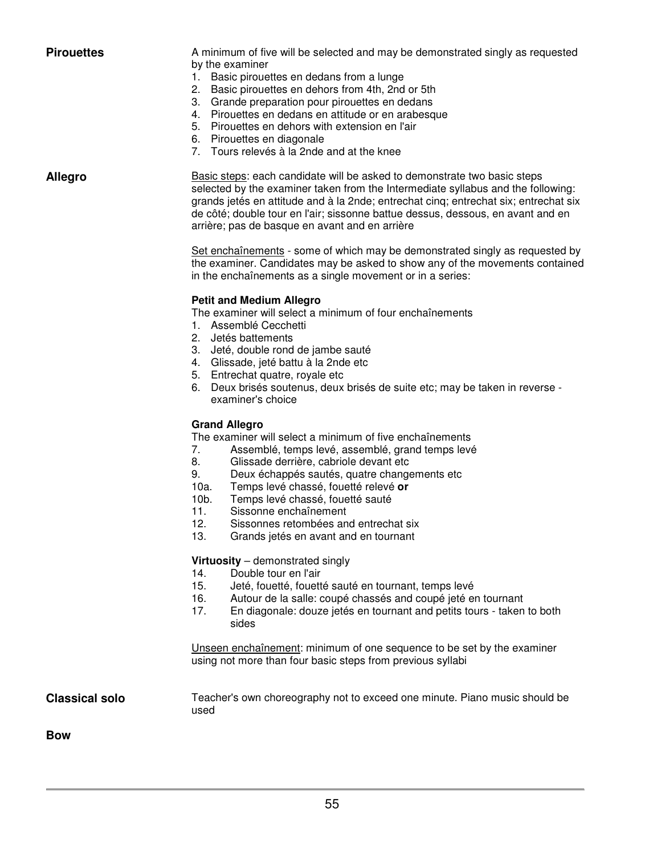**Pirouettes** A minimum of five will be selected and may be demonstrated singly as requested by the examiner

- 1. Basic pirouettes en dedans from a lunge
- 2. Basic pirouettes en dehors from 4th, 2nd or 5th
- 3. Grande preparation pour pirouettes en dedans
- 4. Pirouettes en dedans en attitude or en arabesque
- 5. Pirouettes en dehors with extension en l'air
- 6. Pirouettes en diagonale
- 7. Tours relevés à la 2nde and at the knee

Allegro **Basic steps:** each candidate will be asked to demonstrate two basic steps selected by the examiner taken from the Intermediate syllabus and the following: grands jetés en attitude and à la 2nde; entrechat cinq; entrechat six; entrechat six de côté; double tour en l'air; sissonne battue dessus, dessous, en avant and en arrière; pas de basque en avant and en arrière

> Set enchaînements - some of which may be demonstrated singly as requested by the examiner. Candidates may be asked to show any of the movements contained in the enchaînements as a single movement or in a series:

#### **Petit and Medium Allegro**

The examiner will select a minimum of four enchaînements

- 1. Assemblé Cecchetti
- 2. Jetés battements
- 3. Jeté, double rond de jambe sauté
- 4. Glissade, jeté battu à la 2nde etc
- 5. Entrechat quatre, royale etc
- 6. Deux brisés soutenus, deux brisés de suite etc; may be taken in reverse examiner's choice

#### **Grand Allegro**

The examiner will select a minimum of five enchaînements

- 7. Assemblé, temps levé, assemblé, grand temps levé
- 8. Glissade derrière, cabriole devant etc.<br>9. Deux échappés sautés, quatre chapqu
- 9. Deux échappés sautés, quatre changements etc<br>10a. Temps levé chassé, fouetté relevé or
- 10a. Temps levé chassé, fouetté relevé **or**
- 10b. Temps levé chassé, fouetté sauté
- 11. Sissonne enchaînement
- 12. Sissonnes retombées and entrechat six
- 13. Grands jetés en avant and en tournant

#### **Virtuosity** – demonstrated singly

- 14. Double tour en l'air
- 15. Jeté, fouetté, fouetté sauté en tournant, temps levé
- 16. Autour de la salle: coupé chassés and coupé jeté en tournant
- 17. En diagonale: douze jetés en tournant and petits tours taken to both sides

Unseen enchaînement: minimum of one sequence to be set by the examiner using not more than four basic steps from previous syllabi

**Classical solo** Teacher's own choreography not to exceed one minute. Piano music should be used

**Bow**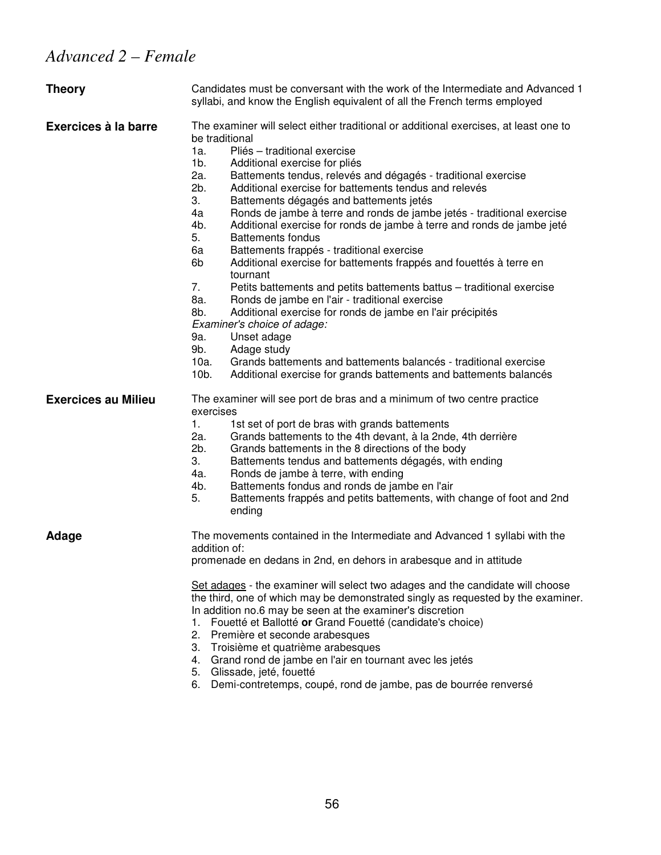| <b>Theory</b>              | Candidates must be conversant with the work of the Intermediate and Advanced 1<br>syllabi, and know the English equivalent of all the French terms employed                                                                                                                                                                                                                                                                                                                                                                                                                                                                                                                                                                                                                                                                                                                                                                                                                                                                                                                                                                                                                      |  |
|----------------------------|----------------------------------------------------------------------------------------------------------------------------------------------------------------------------------------------------------------------------------------------------------------------------------------------------------------------------------------------------------------------------------------------------------------------------------------------------------------------------------------------------------------------------------------------------------------------------------------------------------------------------------------------------------------------------------------------------------------------------------------------------------------------------------------------------------------------------------------------------------------------------------------------------------------------------------------------------------------------------------------------------------------------------------------------------------------------------------------------------------------------------------------------------------------------------------|--|
| Exercices à la barre       | The examiner will select either traditional or additional exercises, at least one to<br>be traditional<br>1a.<br>Pliés - traditional exercise<br>1b.<br>Additional exercise for pliés<br>2a.<br>Battements tendus, relevés and dégagés - traditional exercise<br>2b.<br>Additional exercise for battements tendus and relevés<br>3.<br>Battements dégagés and battements jetés<br>4a<br>Ronds de jambe à terre and ronds de jambe jetés - traditional exercise<br>4b.<br>Additional exercise for ronds de jambe à terre and ronds de jambe jeté<br>5.<br><b>Battements fondus</b><br>6a<br>Battements frappés - traditional exercise<br>6b<br>Additional exercise for battements frappés and fouettés à terre en<br>tournant<br>7.<br>Petits battements and petits battements battus – traditional exercise<br>8a.<br>Ronds de jambe en l'air - traditional exercise<br>8b.<br>Additional exercise for ronds de jambe en l'air précipités<br>Examiner's choice of adage:<br>Unset adage<br>9a.<br>9b.<br>Adage study<br>Grands battements and battements balancés - traditional exercise<br>10a.<br>$10b$ .<br>Additional exercise for grands battements and battements balancés |  |
| <b>Exercices au Milieu</b> | The examiner will see port de bras and a minimum of two centre practice<br>exercises<br>1st set of port de bras with grands battements<br>1.<br>2a.<br>Grands battements to the 4th devant, à la 2nde, 4th derrière<br>2b.<br>Grands battements in the 8 directions of the body<br>3.<br>Battements tendus and battements dégagés, with ending<br>4a.<br>Ronds de jambe à terre, with ending<br>4b.<br>Battements fondus and ronds de jambe en l'air<br>Battements frappés and petits battements, with change of foot and 2nd<br>5.<br>ending                                                                                                                                                                                                                                                                                                                                                                                                                                                                                                                                                                                                                                    |  |
| Adage                      | The movements contained in the Intermediate and Advanced 1 syllabi with the<br>addition of:<br>promenade en dedans in 2nd, en dehors in arabesque and in attitude<br>Set adages - the examiner will select two adages and the candidate will choose<br>the third, one of which may be demonstrated singly as requested by the examiner.<br>In addition no.6 may be seen at the examiner's discretion<br>Fouetté et Ballotté or Grand Fouetté (candidate's choice)<br>1.<br>2.<br>Première et seconde arabesques<br>Troisième et quatrième arabesques<br>3.<br>Grand rond de jambe en l'air en tournant avec les jetés<br>4.<br>Glissade, jeté, fouetté<br>5.<br>Demi-contretemps, coupé, rond de jambe, pas de bourrée renversé<br>6.                                                                                                                                                                                                                                                                                                                                                                                                                                            |  |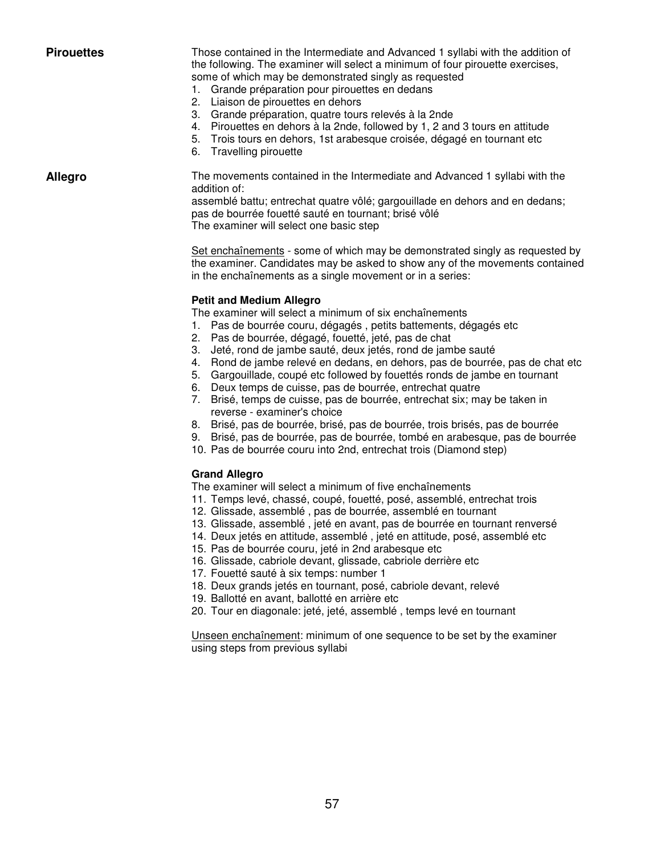**Pirouettes** Those contained in the Intermediate and Advanced 1 syllabi with the addition of the following. The examiner will select a minimum of four pirouette exercises, some of which may be demonstrated singly as requested

- 1. Grande préparation pour pirouettes en dedans
- 2. Liaison de pirouettes en dehors
- 3. Grande préparation, quatre tours relevés à la 2nde
- 4. Pirouettes en dehors à la 2nde, followed by 1, 2 and 3 tours en attitude
- 5. Trois tours en dehors, 1st arabesque croisée, dégagé en tournant etc
- 6. Travelling pirouette

**Allegro** The movements contained in the Intermediate and Advanced 1 syllabi with the addition of: assemblé battu; entrechat quatre vôlé; gargouillade en dehors and en dedans;

pas de bourrée fouetté sauté en tournant; brisé vôlé

The examiner will select one basic step

Set enchaînements - some of which may be demonstrated singly as requested by the examiner. Candidates may be asked to show any of the movements contained in the enchaînements as a single movement or in a series:

#### **Petit and Medium Allegro**

The examiner will select a minimum of six enchaînements

- 1. Pas de bourrée couru, dégagés , petits battements, dégagés etc
- 2. Pas de bourrée, dégagé, fouetté, jeté, pas de chat
- 3. Jeté, rond de jambe sauté, deux jetés, rond de jambe sauté
- 4. Rond de jambe relevé en dedans, en dehors, pas de bourrée, pas de chat etc
- 5. Gargouillade, coupé etc followed by fouettés ronds de jambe en tournant
- 6. Deux temps de cuisse, pas de bourrée, entrechat quatre
- 7. Brisé, temps de cuisse, pas de bourrée, entrechat six; may be taken in reverse - examiner's choice
- 8. Brisé, pas de bourrée, brisé, pas de bourrée, trois brisés, pas de bourrée
- 9. Brisé, pas de bourrée, pas de bourrée, tombé en arabesque, pas de bourrée
- 10. Pas de bourrée couru into 2nd, entrechat trois (Diamond step)

#### **Grand Allegro**

The examiner will select a minimum of five enchaînements

- 11. Temps levé, chassé, coupé, fouetté, posé, assemblé, entrechat trois
- 12. Glissade, assemblé , pas de bourrée, assemblé en tournant
- 13. Glissade, assemblé , jeté en avant, pas de bourrée en tournant renversé
- 14. Deux jetés en attitude, assemblé , jeté en attitude, posé, assemblé etc
- 15. Pas de bourrée couru, jeté in 2nd arabesque etc
- 16. Glissade, cabriole devant, glissade, cabriole derrière etc
- 17. Fouetté sauté à six temps: number 1
- 18. Deux grands jetés en tournant, posé, cabriole devant, relevé
- 19. Ballotté en avant, ballotté en arrière etc
- 20. Tour en diagonale: jeté, jeté, assemblé , temps levé en tournant

Unseen enchaînement: minimum of one sequence to be set by the examiner using steps from previous syllabi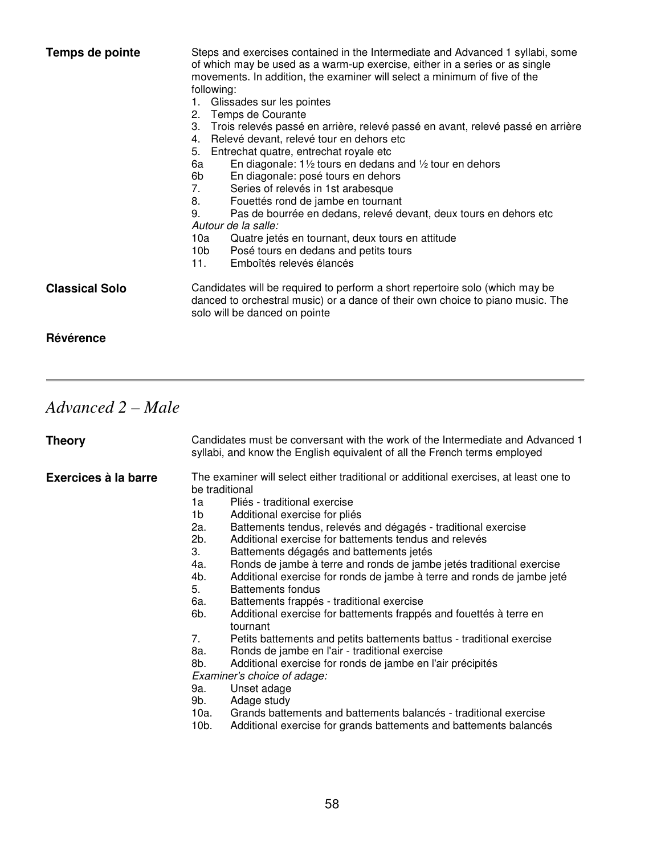| Temps de pointe       | Steps and exercises contained in the Intermediate and Advanced 1 syllabi, some<br>of which may be used as a warm-up exercise, either in a series or as single<br>movements. In addition, the examiner will select a minimum of five of the<br>following:<br>1. Glissades sur les pointes<br>2. Temps de Courante<br>Trois relevés passé en arrière, relevé passé en avant, relevé passé en arrière<br>3.<br>Relevé devant, relevé tour en dehors etc<br>4.<br>5.<br>Entrechat quatre, entrechat royale etc<br>En diagonale: $1\frac{1}{2}$ tours en dedans and $\frac{1}{2}$ tour en dehors<br>6а<br>En diagonale: posé tours en dehors<br>6b<br>Series of relevés in 1st arabesque<br>7.<br>8.<br>Fouettés rond de jambe en tournant<br>9.<br>Pas de bourrée en dedans, relevé devant, deux tours en dehors etc<br>Autour de la salle:<br>Quatre jetés en tournant, deux tours en attitude<br>10a<br>Posé tours en dedans and petits tours<br>10b l<br>11.<br>Emboîtés relevés élancés |
|-----------------------|-----------------------------------------------------------------------------------------------------------------------------------------------------------------------------------------------------------------------------------------------------------------------------------------------------------------------------------------------------------------------------------------------------------------------------------------------------------------------------------------------------------------------------------------------------------------------------------------------------------------------------------------------------------------------------------------------------------------------------------------------------------------------------------------------------------------------------------------------------------------------------------------------------------------------------------------------------------------------------------------|
| <b>Classical Solo</b> | Candidates will be required to perform a short repertoire solo (which may be<br>danced to orchestral music) or a dance of their own choice to piano music. The<br>solo will be danced on pointe                                                                                                                                                                                                                                                                                                                                                                                                                                                                                                                                                                                                                                                                                                                                                                                         |
| Révérence             |                                                                                                                                                                                                                                                                                                                                                                                                                                                                                                                                                                                                                                                                                                                                                                                                                                                                                                                                                                                         |

# *Advanced 2 – Male*

| <b>Theory</b>        | Candidates must be conversant with the work of the Intermediate and Advanced 1<br>syllabi, and know the English equivalent of all the French terms employed                                                                                                                                                                                                                                                                                                                                                                                                                                                                                                                                                                                                                                                                                                                                                                                                                                                                                                                                                                                                               |  |
|----------------------|---------------------------------------------------------------------------------------------------------------------------------------------------------------------------------------------------------------------------------------------------------------------------------------------------------------------------------------------------------------------------------------------------------------------------------------------------------------------------------------------------------------------------------------------------------------------------------------------------------------------------------------------------------------------------------------------------------------------------------------------------------------------------------------------------------------------------------------------------------------------------------------------------------------------------------------------------------------------------------------------------------------------------------------------------------------------------------------------------------------------------------------------------------------------------|--|
| Exercices à la barre | The examiner will select either traditional or additional exercises, at least one to<br>be traditional<br>Pliés - traditional exercise<br>1a<br>1b.<br>Additional exercise for pliés<br>2a.<br>Battements tendus, relevés and dégagés - traditional exercise<br>2b.<br>Additional exercise for battements tendus and relevés<br>3.<br>Battements dégagés and battements jetés<br>Ronds de jambe à terre and ronds de jambe jetés traditional exercise<br>4a.<br>Additional exercise for ronds de jambe à terre and ronds de jambe jeté<br>4b.<br>5.<br>Battements fondus<br>Battements frappés - traditional exercise<br>6a.<br>6b.<br>Additional exercise for battements frappés and fouettés à terre en<br>tournant<br>7.<br>Petits battements and petits battements battus - traditional exercise<br>Ronds de jambe en l'air - traditional exercise<br>8a.<br>8b.<br>Additional exercise for ronds de jambe en l'air précipités<br>Examiner's choice of adage:<br>Unset adage<br>9a.<br>9b.<br>Adage study<br>Grands battements and battements balancés - traditional exercise<br>10a.<br>$10b$ .<br>Additional exercise for grands battements and battements balancés |  |
|                      |                                                                                                                                                                                                                                                                                                                                                                                                                                                                                                                                                                                                                                                                                                                                                                                                                                                                                                                                                                                                                                                                                                                                                                           |  |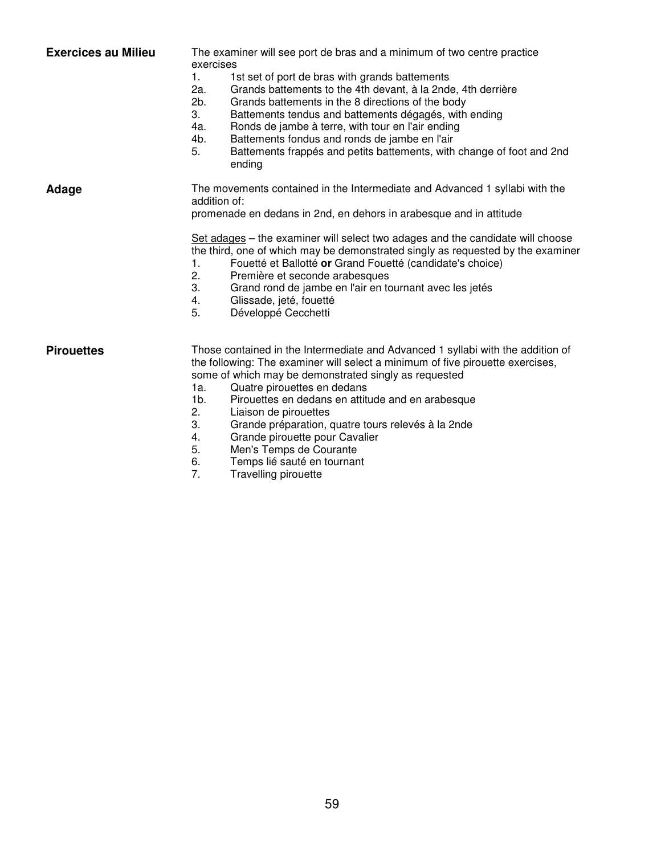| <b>Exercices au Milieu</b> | The examiner will see port de bras and a minimum of two centre practice<br>exercises<br>1st set of port de bras with grands battements<br>1.<br>2a.<br>Grands battements to the 4th devant, à la 2nde, 4th derrière<br>2b.<br>Grands battements in the 8 directions of the body<br>3.<br>Battements tendus and battements dégagés, with ending<br>4a.<br>Ronds de jambe à terre, with tour en l'air ending<br>4b.<br>Battements fondus and ronds de jambe en l'air<br>Battements frappés and petits battements, with change of foot and 2nd<br>5.<br>ending                      |
|----------------------------|----------------------------------------------------------------------------------------------------------------------------------------------------------------------------------------------------------------------------------------------------------------------------------------------------------------------------------------------------------------------------------------------------------------------------------------------------------------------------------------------------------------------------------------------------------------------------------|
| Adage                      | The movements contained in the Intermediate and Advanced 1 syllabi with the<br>addition of:<br>promenade en dedans in 2nd, en dehors in arabesque and in attitude<br>Set adages – the examiner will select two adages and the candidate will choose<br>the third, one of which may be demonstrated singly as requested by the examiner<br>Fouetté et Ballotté or Grand Fouetté (candidate's choice)<br>1.<br>2.<br>Première et seconde arabesques<br>3.<br>Grand rond de jambe en l'air en tournant avec les jetés<br>Glissade, jeté, fouetté<br>4.<br>5.<br>Développé Cecchetti |
| <b>Pirouettes</b>          | Those contained in the Intermediate and Advanced 1 syllabi with the addition of<br>the following: The examiner will select a minimum of five pirouette exercises,<br>some of which may be demonstrated singly as requested<br>Quatre pirouettes en dedans<br>1a.<br>$1b$ .<br>Pirouettes en dedans en attitude and en arabesque<br>2.<br>Liaison de pirouettes<br>3.<br>Grande préparation, quatre tours relevés à la 2nde<br>Grande pirouette pour Cavalier<br>4.                                                                                                               |

- 5. Men's Temps de Courante
- 6. Temps lié sauté en tournant
- 7. Travelling pirouette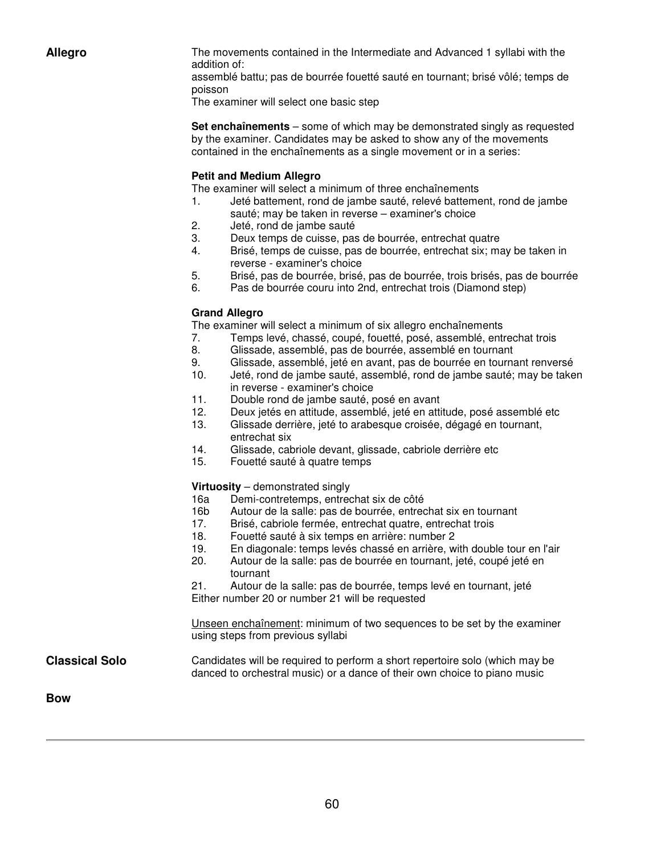**Allegro** The movements contained in the Intermediate and Advanced 1 syllabi with the addition of:

> assemblé battu; pas de bourrée fouetté sauté en tournant; brisé vôlé; temps de poisson

The examiner will select one basic step

**Set enchaînements** – some of which may be demonstrated singly as requested by the examiner. Candidates may be asked to show any of the movements contained in the enchaînements as a single movement or in a series:

#### **Petit and Medium Allegro**

The examiner will select a minimum of three enchaînements

- 1. Jeté battement, rond de jambe sauté, relevé battement, rond de jambe sauté; may be taken in reverse – examiner's choice
- 2. Jeté, rond de jambe sauté
- 3. Deux temps de cuisse, pas de bourrée, entrechat quatre
- 4. Brisé, temps de cuisse, pas de bourrée, entrechat six; may be taken in reverse - examiner's choice
- 5. Brisé, pas de bourrée, brisé, pas de bourrée, trois brisés, pas de bourrée
- 6. Pas de bourrée couru into 2nd, entrechat trois (Diamond step)

#### **Grand Allegro**

The examiner will select a minimum of six allegro enchaînements

- 7. Temps levé, chassé, coupé, fouetté, posé, assemblé, entrechat trois
- 8. Glissade, assemblé, pas de bourrée, assemblé en tournant
- 9. Glissade, assemblé, jeté en avant, pas de bourrée en tournant renversé
- 10. Jeté, rond de jambe sauté, assemblé, rond de jambe sauté; may be taken in reverse - examiner's choice
- 11. Double rond de jambe sauté, posé en avant
- 12. Deux jetés en attitude, assemblé, jeté en attitude, posé assemblé etc
- 13. Glissade derrière, jeté to arabesque croisée, dégagé en tournant, entrechat six
- 14. Glissade, cabriole devant, glissade, cabriole derrière etc
- 15. Fouetté sauté à quatre temps

#### **Virtuosity** – demonstrated singly

- 16a Demi-contretemps, entrechat six de côté
- 16b Autour de la salle: pas de bourrée, entrechat six en tournant
- 17. Brisé, cabriole fermée, entrechat quatre, entrechat trois
- 18. Fouetté sauté à six temps en arrière: number 2<br>19. En diagonale: temps levés chassé en arrière. w
- En diagonale: temps levés chassé en arrière, with double tour en l'air
- 20. Autour de la salle: pas de bourrée en tournant, jeté, coupé jeté en tournant

21. Autour de la salle: pas de bourrée, temps levé en tournant, jeté Either number 20 or number 21 will be requested

Unseen enchaînement: minimum of two sequences to be set by the examiner using steps from previous syllabi

**Classical Solo** Candidates will be required to perform a short repertoire solo (which may be danced to orchestral music) or a dance of their own choice to piano music

**Bow**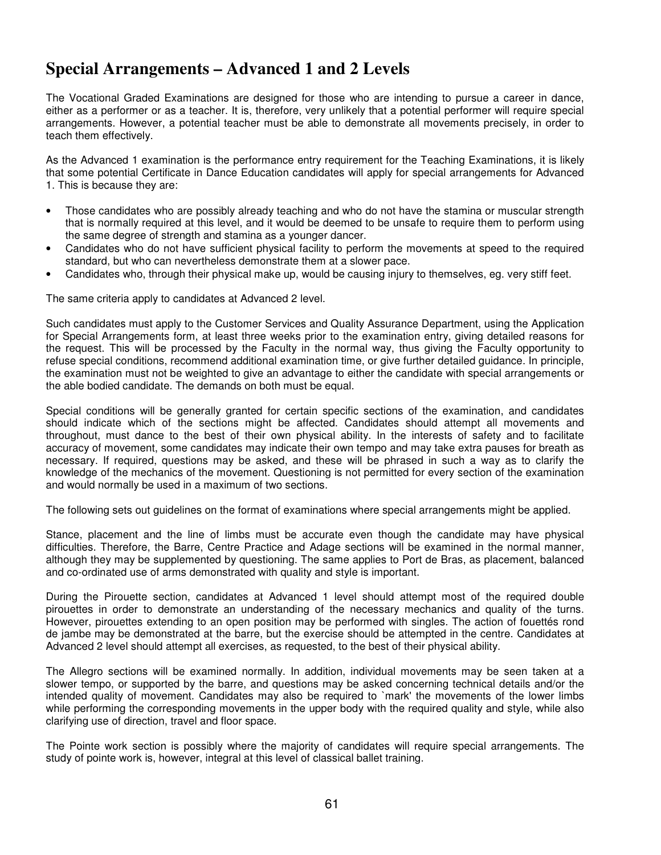### **Special Arrangements – Advanced 1 and 2 Levels**

The Vocational Graded Examinations are designed for those who are intending to pursue a career in dance, either as a performer or as a teacher. It is, therefore, very unlikely that a potential performer will require special arrangements. However, a potential teacher must be able to demonstrate all movements precisely, in order to teach them effectively.

As the Advanced 1 examination is the performance entry requirement for the Teaching Examinations, it is likely that some potential Certificate in Dance Education candidates will apply for special arrangements for Advanced 1. This is because they are:

- Those candidates who are possibly already teaching and who do not have the stamina or muscular strength that is normally required at this level, and it would be deemed to be unsafe to require them to perform using the same degree of strength and stamina as a younger dancer.
- Candidates who do not have sufficient physical facility to perform the movements at speed to the required standard, but who can nevertheless demonstrate them at a slower pace.
- Candidates who, through their physical make up, would be causing injury to themselves, eg. very stiff feet.

The same criteria apply to candidates at Advanced 2 level.

Such candidates must apply to the Customer Services and Quality Assurance Department, using the Application for Special Arrangements form, at least three weeks prior to the examination entry, giving detailed reasons for the request. This will be processed by the Faculty in the normal way, thus giving the Faculty opportunity to refuse special conditions, recommend additional examination time, or give further detailed guidance. In principle, the examination must not be weighted to give an advantage to either the candidate with special arrangements or the able bodied candidate. The demands on both must be equal.

Special conditions will be generally granted for certain specific sections of the examination, and candidates should indicate which of the sections might be affected. Candidates should attempt all movements and throughout, must dance to the best of their own physical ability. In the interests of safety and to facilitate accuracy of movement, some candidates may indicate their own tempo and may take extra pauses for breath as necessary. If required, questions may be asked, and these will be phrased in such a way as to clarify the knowledge of the mechanics of the movement. Questioning is not permitted for every section of the examination and would normally be used in a maximum of two sections.

The following sets out guidelines on the format of examinations where special arrangements might be applied.

Stance, placement and the line of limbs must be accurate even though the candidate may have physical difficulties. Therefore, the Barre, Centre Practice and Adage sections will be examined in the normal manner, although they may be supplemented by questioning. The same applies to Port de Bras, as placement, balanced and co-ordinated use of arms demonstrated with quality and style is important.

During the Pirouette section, candidates at Advanced 1 level should attempt most of the required double pirouettes in order to demonstrate an understanding of the necessary mechanics and quality of the turns. However, pirouettes extending to an open position may be performed with singles. The action of fouettés rond de jambe may be demonstrated at the barre, but the exercise should be attempted in the centre. Candidates at Advanced 2 level should attempt all exercises, as requested, to the best of their physical ability.

The Allegro sections will be examined normally. In addition, individual movements may be seen taken at a slower tempo, or supported by the barre, and questions may be asked concerning technical details and/or the intended quality of movement. Candidates may also be required to `mark' the movements of the lower limbs while performing the corresponding movements in the upper body with the required quality and style, while also clarifying use of direction, travel and floor space.

The Pointe work section is possibly where the majority of candidates will require special arrangements. The study of pointe work is, however, integral at this level of classical ballet training.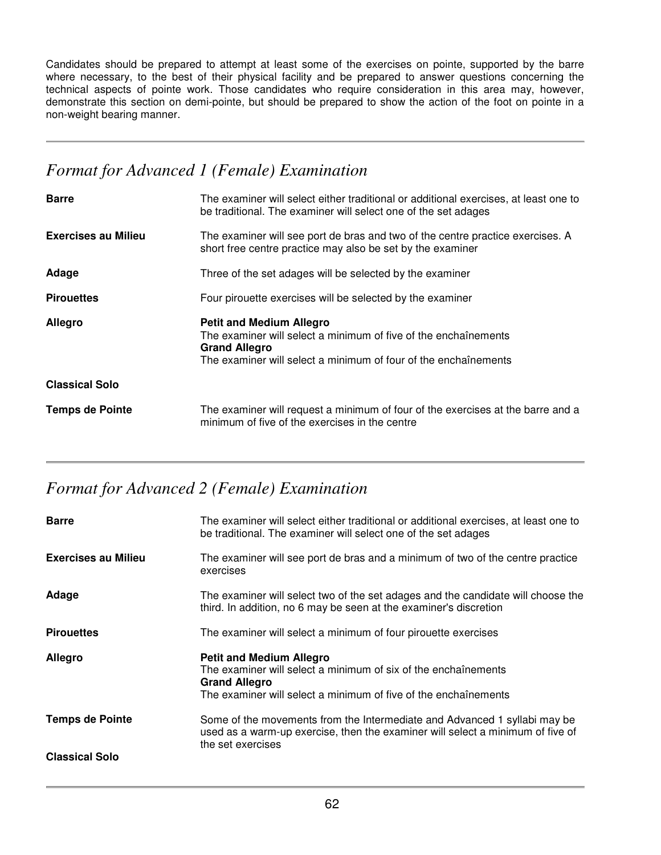Candidates should be prepared to attempt at least some of the exercises on pointe, supported by the barre where necessary, to the best of their physical facility and be prepared to answer questions concerning the technical aspects of pointe work. Those candidates who require consideration in this area may, however, demonstrate this section on demi-pointe, but should be prepared to show the action of the foot on pointe in a non-weight bearing manner.

### *Format for Advanced 1 (Female) Examination*

| <b>Barre</b>               | The examiner will select either traditional or additional exercises, at least one to<br>be traditional. The examiner will select one of the set adages                                        |  |
|----------------------------|-----------------------------------------------------------------------------------------------------------------------------------------------------------------------------------------------|--|
| <b>Exercises au Milieu</b> | The examiner will see port de bras and two of the centre practice exercises. A<br>short free centre practice may also be set by the examiner                                                  |  |
| Adage                      | Three of the set adages will be selected by the examiner                                                                                                                                      |  |
| <b>Pirouettes</b>          | Four pirouette exercises will be selected by the examiner                                                                                                                                     |  |
|                            |                                                                                                                                                                                               |  |
| Allegro                    | <b>Petit and Medium Allegro</b><br>The examiner will select a minimum of five of the enchaînements<br><b>Grand Allegro</b><br>The examiner will select a minimum of four of the enchaînements |  |
| <b>Classical Solo</b>      |                                                                                                                                                                                               |  |

# *Format for Advanced 2 (Female) Examination*

| <b>Barre</b>               | The examiner will select either traditional or additional exercises, at least one to<br>be traditional. The examiner will select one of the set adages                                       |
|----------------------------|----------------------------------------------------------------------------------------------------------------------------------------------------------------------------------------------|
| <b>Exercises au Milieu</b> | The examiner will see port de bras and a minimum of two of the centre practice<br>exercises                                                                                                  |
| Adage                      | The examiner will select two of the set adages and the candidate will choose the<br>third. In addition, no 6 may be seen at the examiner's discretion                                        |
| <b>Pirouettes</b>          | The examiner will select a minimum of four pirouette exercises                                                                                                                               |
|                            |                                                                                                                                                                                              |
| <b>Allegro</b>             | <b>Petit and Medium Allegro</b><br>The examiner will select a minimum of six of the enchaînements<br><b>Grand Allegro</b><br>The examiner will select a minimum of five of the enchaînements |
| <b>Temps de Pointe</b>     | Some of the movements from the Intermediate and Advanced 1 syllabi may be<br>used as a warm-up exercise, then the examiner will select a minimum of five of<br>the set exercises             |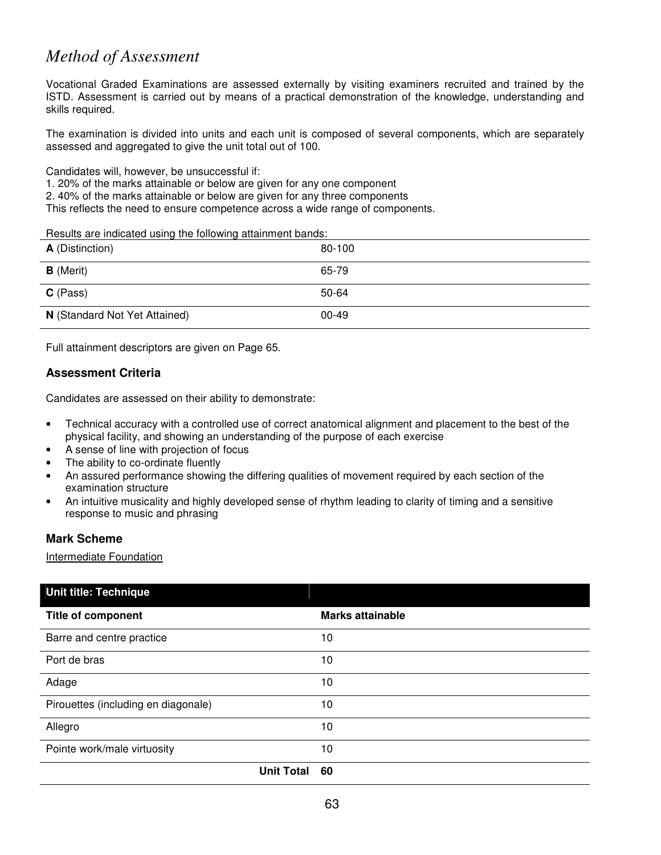## *Method of Assessment*

Vocational Graded Examinations are assessed externally by visiting examiners recruited and trained by the ISTD. Assessment is carried out by means of a practical demonstration of the knowledge, understanding and skills required.

The examination is divided into units and each unit is composed of several components, which are separately assessed and aggregated to give the unit total out of 100.

Candidates will, however, be unsuccessful if:

1. 20% of the marks attainable or below are given for any one component

2. 40% of the marks attainable or below are given for any three components

This reflects the need to ensure competence across a wide range of components.

Results are indicated using the following attainment bands:

| <b>A</b> (Distinction)        | 80-100    |
|-------------------------------|-----------|
| <b>B</b> (Merit)              | 65-79     |
| $C$ (Pass)                    | 50-64     |
| N (Standard Not Yet Attained) | $00 - 49$ |

Full attainment descriptors are given on Page 65.

#### **Assessment Criteria**

Candidates are assessed on their ability to demonstrate:

- Technical accuracy with a controlled use of correct anatomical alignment and placement to the best of the physical facility, and showing an understanding of the purpose of each exercise
- A sense of line with projection of focus
- The ability to co-ordinate fluently
- An assured performance showing the differing qualities of movement required by each section of the examination structure
- An intuitive musicality and highly developed sense of rhythm leading to clarity of timing and a sensitive response to music and phrasing

#### **Mark Scheme**

Intermediate Foundation

| Unit title: Technique               |                         |
|-------------------------------------|-------------------------|
| <b>Title of component</b>           | <b>Marks attainable</b> |
| Barre and centre practice           | 10                      |
| Port de bras                        | 10                      |
| Adage                               | 10                      |
| Pirouettes (including en diagonale) | 10                      |
| Allegro                             | 10                      |
| Pointe work/male virtuosity         | 10                      |
| <b>Unit Total</b>                   | 60                      |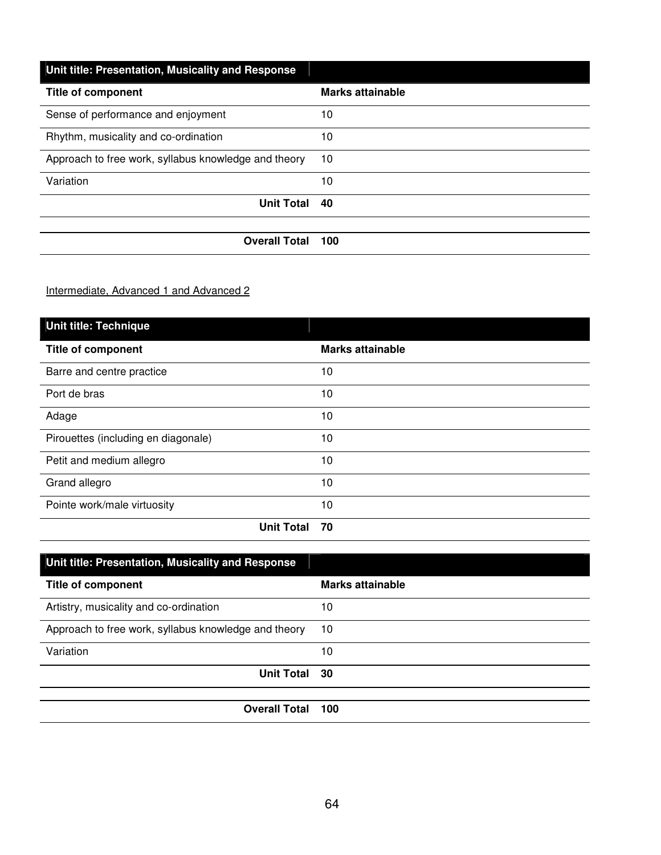| Unit title: Presentation, Musicality and Response    |                  |
|------------------------------------------------------|------------------|
| <b>Title of component</b>                            | Marks attainable |
| Sense of performance and enjoyment                   | 10               |
| Rhythm, musicality and co-ordination                 | 10               |
| Approach to free work, syllabus knowledge and theory | 10               |
| Variation                                            | 10               |
| <b>Unit Total</b>                                    | 40               |
|                                                      |                  |
| <b>Overall Total</b>                                 | 100              |

Intermediate, Advanced 1 and Advanced 2

| Unit title: Technique               |                         |
|-------------------------------------|-------------------------|
| <b>Title of component</b>           | <b>Marks attainable</b> |
| Barre and centre practice           | 10                      |
| Port de bras                        | 10                      |
| Adage                               | 10                      |
| Pirouettes (including en diagonale) | 10                      |
| Petit and medium allegro            | 10                      |
| Grand allegro                       | 10                      |
| Pointe work/male virtuosity         | 10                      |
| <b>Unit Total</b>                   | 70                      |

| Unit title: Presentation, Musicality and Response    |                  |
|------------------------------------------------------|------------------|
| <b>Title of component</b>                            | Marks attainable |
| Artistry, musicality and co-ordination               | 10               |
| Approach to free work, syllabus knowledge and theory | 10               |
| Variation                                            | 10               |
| Unit Total 30                                        |                  |
|                                                      |                  |
| <b>Overall Total</b>                                 | 100              |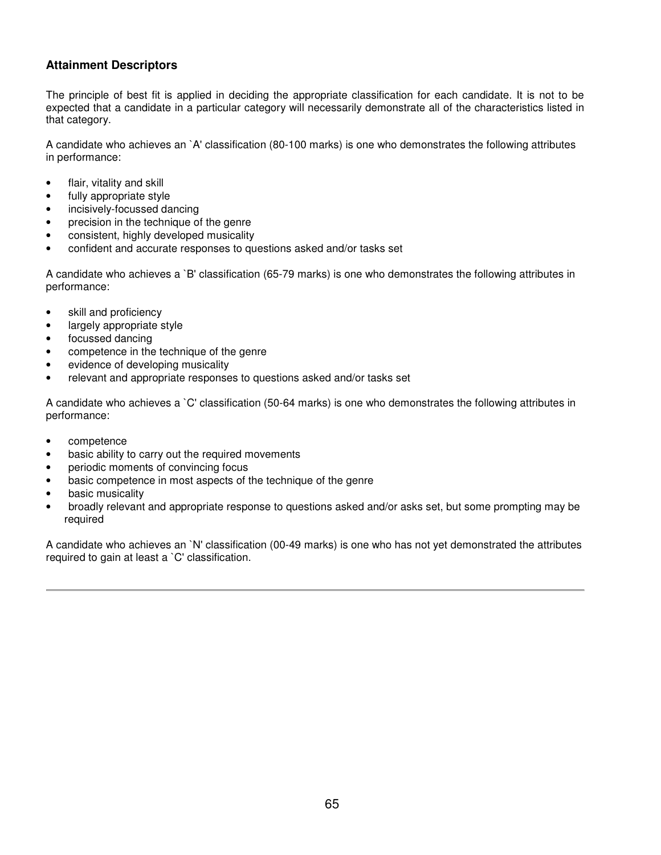#### **Attainment Descriptors**

The principle of best fit is applied in deciding the appropriate classification for each candidate. It is not to be expected that a candidate in a particular category will necessarily demonstrate all of the characteristics listed in that category.

A candidate who achieves an `A' classification (80-100 marks) is one who demonstrates the following attributes in performance:

- flair, vitality and skill
- fully appropriate style
- incisively-focussed dancing
- precision in the technique of the genre
- consistent, highly developed musicality
- confident and accurate responses to questions asked and/or tasks set

A candidate who achieves a `B' classification (65-79 marks) is one who demonstrates the following attributes in performance:

- skill and proficiency
- largely appropriate style
- focussed dancing
- competence in the technique of the genre
- evidence of developing musicality
- relevant and appropriate responses to questions asked and/or tasks set

A candidate who achieves a `C' classification (50-64 marks) is one who demonstrates the following attributes in performance:

- competence
- basic ability to carry out the required movements
- periodic moments of convincing focus
- basic competence in most aspects of the technique of the genre
- basic musicality
- broadly relevant and appropriate response to questions asked and/or asks set, but some prompting may be required

A candidate who achieves an `N' classification (00-49 marks) is one who has not yet demonstrated the attributes required to gain at least a `C' classification.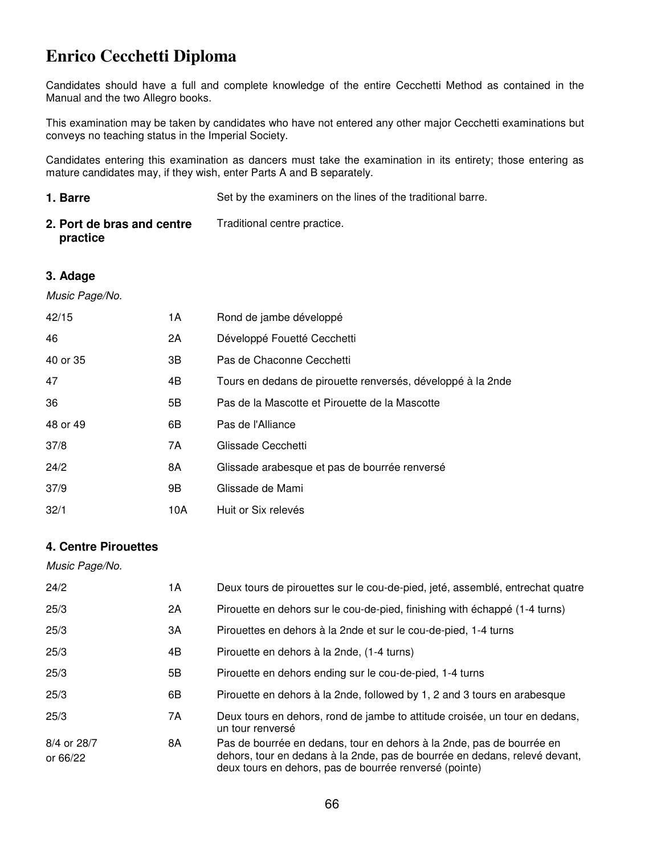# **Enrico Cecchetti Diploma**

Candidates should have a full and complete knowledge of the entire Cecchetti Method as contained in the Manual and the two Allegro books.

This examination may be taken by candidates who have not entered any other major Cecchetti examinations but conveys no teaching status in the Imperial Society.

Candidates entering this examination as dancers must take the examination in its entirety; those entering as mature candidates may, if they wish, enter Parts A and B separately.

| 1. Barre                               | Set by the examiners on the lines of the traditional barre. |
|----------------------------------------|-------------------------------------------------------------|
| 2. Port de bras and centre<br>practice | Traditional centre practice.                                |

#### **3. Adage**

Music Page/No.

| 42/15    | 1 A | Rond de jambe développé                                     |
|----------|-----|-------------------------------------------------------------|
| 46       | 2A  | Développé Fouetté Cecchetti                                 |
| 40 or 35 | 3B  | Pas de Chaconne Cecchetti                                   |
| 47       | 4B  | Tours en dedans de pirouette renversés, développé à la 2nde |
| 36       | 5B  | Pas de la Mascotte et Pirouette de la Mascotte              |
| 48 or 49 | 6B  | Pas de l'Alliance                                           |
| 37/8     | 7A  | Glissade Cecchetti                                          |
| 24/2     | 8A  | Glissade arabesque et pas de bourrée renversé               |
| 37/9     | 9Β  | Glissade de Mami                                            |
| 32/1     | 10A | Huit or Six relevés                                         |

#### **4. Centre Pirouettes**

| Music Page/No.          |    |                                                                                                                                                                                                               |
|-------------------------|----|---------------------------------------------------------------------------------------------------------------------------------------------------------------------------------------------------------------|
| 24/2                    | 1А | Deux tours de pirouettes sur le cou-de-pied, jeté, assemblé, entrechat quatre                                                                                                                                 |
| 25/3                    | 2A | Pirouette en dehors sur le cou-de-pied, finishing with échappé (1-4 turns)                                                                                                                                    |
| 25/3                    | ЗA | Pirouettes en dehors à la 2nde et sur le cou-de-pied, 1-4 turns                                                                                                                                               |
| 25/3                    | 4B | Pirouette en dehors à la 2nde, (1-4 turns)                                                                                                                                                                    |
| 25/3                    | 5B | Pirouette en dehors ending sur le cou-de-pied, 1-4 turns                                                                                                                                                      |
| 25/3                    | 6В | Pirouette en dehors à la 2nde, followed by 1, 2 and 3 tours en arabesque                                                                                                                                      |
| 25/3                    | 7A | Deux tours en dehors, rond de jambe to attitude croisée, un tour en dedans,<br>un tour renversé                                                                                                               |
| 8/4 or 28/7<br>or 66/22 | 8A | Pas de bourrée en dedans, tour en dehors à la 2nde, pas de bourrée en<br>dehors, tour en dedans à la 2nde, pas de bourrée en dedans, relevé devant,<br>deux tours en dehors, pas de bourrée renversé (pointe) |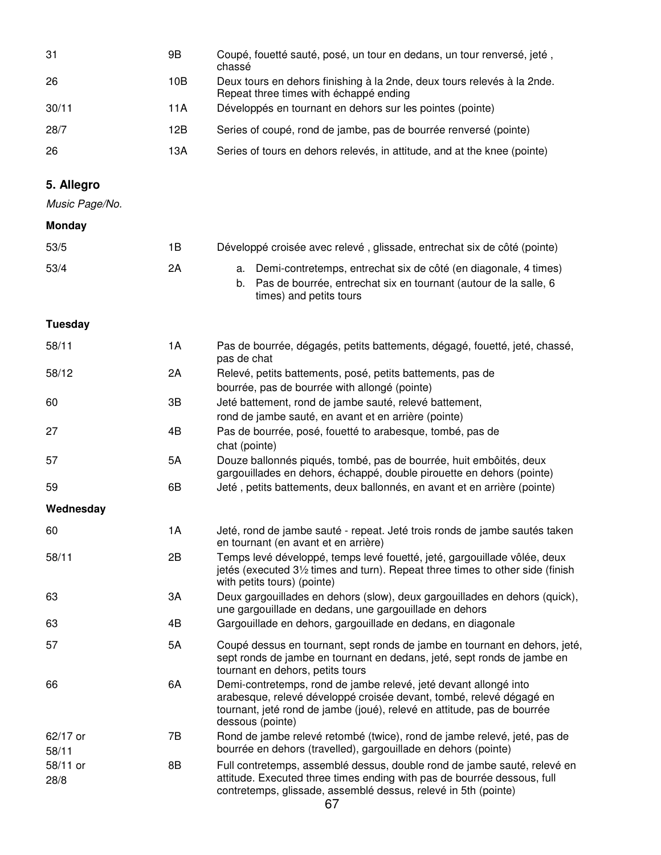| -31   | 9Β  | Coupé, fouetté sauté, posé, un tour en dedans, un tour renversé, jeté,<br>chassé                                  |
|-------|-----|-------------------------------------------------------------------------------------------------------------------|
| 26    | 10B | Deux tours en dehors finishing à la 2nde, deux tours relevés à la 2nde.<br>Repeat three times with échappé ending |
| 30/11 | 11A | Développés en tournant en dehors sur les pointes (pointe)                                                         |
| 28/7  | 12B | Series of coupé, rond de jambe, pas de bourrée renversé (pointe)                                                  |
| 26    | 13A | Series of tours en dehors relevés, in attitude, and at the knee (pointe)                                          |

### **5. Allegro**

Music Page/No.

#### **Monday**

| 53/5 | 1В | Développé croisée avec relevé, glissade, entrechat six de côté (pointe)                                                                                              |
|------|----|----------------------------------------------------------------------------------------------------------------------------------------------------------------------|
| 53/4 | 2Α | a. Demi-contretemps, entrechat six de côté (en diagonale, 4 times)<br>b. Pas de bourrée, entrechat six en tournant (autour de la salle, 6<br>times) and petits tours |

**Tuesday** 

| 58/11             | 1A | Pas de bourrée, dégagés, petits battements, dégagé, fouetté, jeté, chassé,<br>pas de chat                                                                                                                                              |
|-------------------|----|----------------------------------------------------------------------------------------------------------------------------------------------------------------------------------------------------------------------------------------|
| 58/12             | 2A | Relevé, petits battements, posé, petits battements, pas de                                                                                                                                                                             |
|                   |    | bourrée, pas de bourrée with allongé (pointe)                                                                                                                                                                                          |
| 60                | 3B | Jeté battement, rond de jambe sauté, relevé battement,                                                                                                                                                                                 |
|                   |    | rond de jambe sauté, en avant et en arrière (pointe)                                                                                                                                                                                   |
| 27                | 4B | Pas de bourrée, posé, fouetté to arabesque, tombé, pas de<br>chat (pointe)                                                                                                                                                             |
| 57                | 5A | Douze ballonnés piqués, tombé, pas de bourrée, huit embôités, deux                                                                                                                                                                     |
|                   |    | gargouillades en dehors, échappé, double pirouette en dehors (pointe)                                                                                                                                                                  |
| 59                | 6B | Jeté, petits battements, deux ballonnés, en avant et en arrière (pointe)                                                                                                                                                               |
| Wednesday         |    |                                                                                                                                                                                                                                        |
| 60                | 1A | Jeté, rond de jambe sauté - repeat. Jeté trois ronds de jambe sautés taken<br>en tournant (en avant et en arrière)                                                                                                                     |
| 58/11             | 2B | Temps levé développé, temps levé fouetté, jeté, gargouillade vôlée, deux<br>jetés (executed 31/2 times and turn). Repeat three times to other side (finish<br>with petits tours) (pointe)                                              |
| 63                | 3A | Deux gargouillades en dehors (slow), deux gargouillades en dehors (quick),<br>une gargouillade en dedans, une gargouillade en dehors                                                                                                   |
| 63                | 4B | Gargouillade en dehors, gargouillade en dedans, en diagonale                                                                                                                                                                           |
| 57                | 5A | Coupé dessus en tournant, sept ronds de jambe en tournant en dehors, jeté,<br>sept ronds de jambe en tournant en dedans, jeté, sept ronds de jambe en<br>tournant en dehors, petits tours                                              |
| 66                | 6A | Demi-contretemps, rond de jambe relevé, jeté devant allongé into<br>arabesque, relevé développé croisée devant, tombé, relevé dégagé en<br>tournant, jeté rond de jambe (joué), relevé en attitude, pas de bourrée<br>dessous (pointe) |
| 62/17 or<br>58/11 | 7B | Rond de jambe relevé retombé (twice), rond de jambe relevé, jeté, pas de<br>bourrée en dehors (travelled), gargouillade en dehors (pointe)                                                                                             |
| 58/11 or<br>28/8  | 8B | Full contretemps, assemblé dessus, double rond de jambe sauté, relevé en<br>attitude. Executed three times ending with pas de bourrée dessous, full<br>contretemps, glissade, assemblé dessus, relevé in 5th (pointe)                  |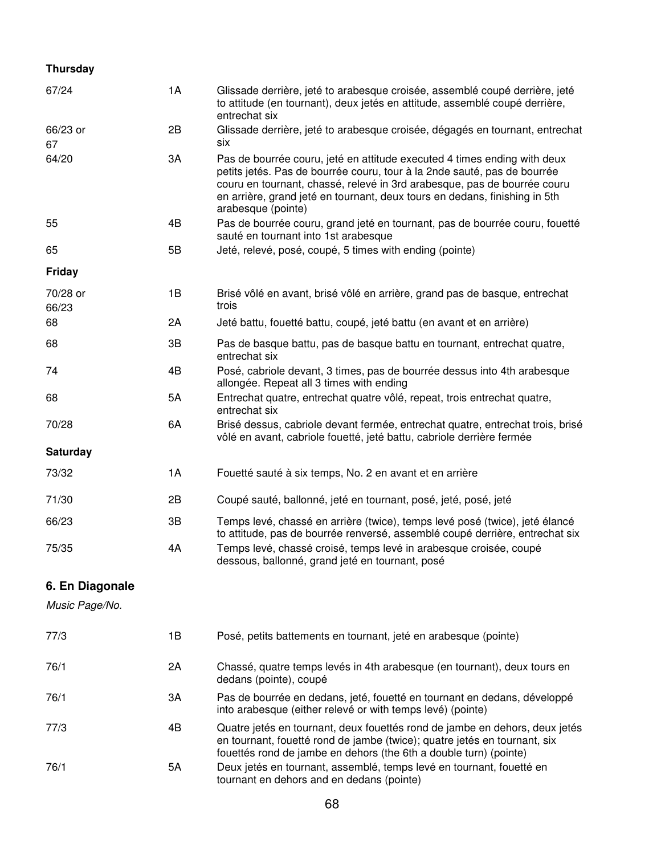#### **Thursday**

| 67/24             | 1A | Glissade derrière, jeté to arabesque croisée, assemblé coupé derrière, jeté<br>to attitude (en tournant), deux jetés en attitude, assemblé coupé derrière,<br>entrechat six                                                                                                                                                          |
|-------------------|----|--------------------------------------------------------------------------------------------------------------------------------------------------------------------------------------------------------------------------------------------------------------------------------------------------------------------------------------|
| 66/23 or<br>67    | 2B | Glissade derrière, jeté to arabesque croisée, dégagés en tournant, entrechat<br>six                                                                                                                                                                                                                                                  |
| 64/20             | 3A | Pas de bourrée couru, jeté en attitude executed 4 times ending with deux<br>petits jetés. Pas de bourrée couru, tour à la 2nde sauté, pas de bourrée<br>couru en tournant, chassé, relevé in 3rd arabesque, pas de bourrée couru<br>en arrière, grand jeté en tournant, deux tours en dedans, finishing in 5th<br>arabesque (pointe) |
| 55                | 4B | Pas de bourrée couru, grand jeté en tournant, pas de bourrée couru, fouetté<br>sauté en tournant into 1st arabesque                                                                                                                                                                                                                  |
| 65                | 5B | Jeté, relevé, posé, coupé, 5 times with ending (pointe)                                                                                                                                                                                                                                                                              |
| <b>Friday</b>     |    |                                                                                                                                                                                                                                                                                                                                      |
| 70/28 or<br>66/23 | 1B | Brisé vôlé en avant, brisé vôlé en arrière, grand pas de basque, entrechat<br>trois                                                                                                                                                                                                                                                  |
| 68                | 2A | Jeté battu, fouetté battu, coupé, jeté battu (en avant et en arrière)                                                                                                                                                                                                                                                                |
| 68                | 3B | Pas de basque battu, pas de basque battu en tournant, entrechat quatre,<br>entrechat six                                                                                                                                                                                                                                             |
| 74                | 4B | Posé, cabriole devant, 3 times, pas de bourrée dessus into 4th arabesque<br>allongée. Repeat all 3 times with ending                                                                                                                                                                                                                 |
| 68                | 5A | Entrechat quatre, entrechat quatre vôlé, repeat, trois entrechat quatre,<br>entrechat six                                                                                                                                                                                                                                            |
| 70/28             | 6A | Brisé dessus, cabriole devant fermée, entrechat quatre, entrechat trois, brisé<br>vôlé en avant, cabriole fouetté, jeté battu, cabriole derrière fermée                                                                                                                                                                              |
| <b>Saturday</b>   |    |                                                                                                                                                                                                                                                                                                                                      |
| 73/32             | 1A | Fouetté sauté à six temps, No. 2 en avant et en arrière                                                                                                                                                                                                                                                                              |
| 71/30             | 2B | Coupé sauté, ballonné, jeté en tournant, posé, jeté, posé, jeté                                                                                                                                                                                                                                                                      |
| 66/23             | 3B | Temps levé, chassé en arrière (twice), temps levé posé (twice), jeté élancé<br>to attitude, pas de bourrée renversé, assemblé coupé derrière, entrechat six                                                                                                                                                                          |
| 75/35             | 4A | Temps levé, chassé croisé, temps levé in arabesque croisée, coupé<br>dessous, ballonné, grand jeté en tournant, posé                                                                                                                                                                                                                 |
| 6. En Diagonale   |    |                                                                                                                                                                                                                                                                                                                                      |
| Music Page/No.    |    |                                                                                                                                                                                                                                                                                                                                      |
| 77/3              | 1B | Posé, petits battements en tournant, jeté en arabesque (pointe)                                                                                                                                                                                                                                                                      |
| 76/1              | 2A | Chassé, quatre temps levés in 4th arabesque (en tournant), deux tours en<br>dedans (pointe), coupé                                                                                                                                                                                                                                   |
| 76/1              | 3A | Pas de bourrée en dedans, jeté, fouetté en tournant en dedans, développé<br>into arabesque (either relevé or with temps levé) (pointe)                                                                                                                                                                                               |
| 77/3              | 4B | Quatre jetés en tournant, deux fouettés rond de jambe en dehors, deux jetés<br>en tournant, fouetté rond de jambe (twice); quatre jetés en tournant, six                                                                                                                                                                             |

fouettés rond de jambe en dehors (the 6th a double turn) (pointe)

76/1 5A Deux jetés en tournant, assemblé, temps levé en tournant, fouetté en tournant en dehors and en dedans (pointe)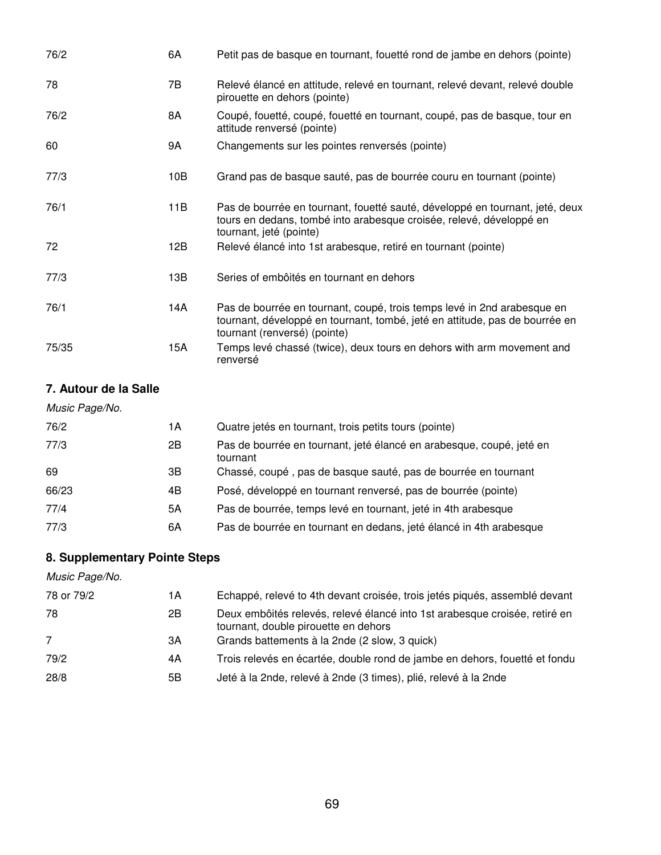| 76/2  | 6A  | Petit pas de basque en tournant, fouetté rond de jambe en dehors (pointe)                                                                                                              |
|-------|-----|----------------------------------------------------------------------------------------------------------------------------------------------------------------------------------------|
| 78    | 7В  | Relevé élancé en attitude, relevé en tournant, relevé devant, relevé double<br>pirouette en dehors (pointe)                                                                            |
| 76/2  | 8A  | Coupé, fouetté, coupé, fouetté en tournant, coupé, pas de basque, tour en<br>attitude renversé (pointe)                                                                                |
| 60    | 9A  | Changements sur les pointes renversés (pointe)                                                                                                                                         |
| 77/3  | 10B | Grand pas de basque sauté, pas de bourrée couru en tournant (pointe)                                                                                                                   |
| 76/1  | 11B | Pas de bourrée en tournant, fouetté sauté, développé en tournant, jeté, deux<br>tours en dedans, tombé into arabesque croisée, relevé, développé en<br>tournant, jeté (pointe)         |
| 72    | 12B | Relevé élancé into 1st arabesque, retiré en tournant (pointe)                                                                                                                          |
| 77/3  | 13B | Series of embôités en tournant en dehors                                                                                                                                               |
| 76/1  | 14A | Pas de bourrée en tournant, coupé, trois temps levé in 2nd arabesque en<br>tournant, développé en tournant, tombé, jeté en attitude, pas de bourrée en<br>tournant (renversé) (pointe) |
| 75/35 | 15A | Temps levé chassé (twice), deux tours en dehors with arm movement and<br>renversé                                                                                                      |

#### **7. Autour de la Salle**

| 1А | Quatre jetés en tournant, trois petits tours (pointe)                            |
|----|----------------------------------------------------------------------------------|
| 2B | Pas de bourrée en tournant, jeté élancé en arabesque, coupé, jeté en<br>tournant |
| ЗB | Chassé, coupé, pas de basque sauté, pas de bourrée en tournant                   |
| 4B | Posé, développé en tournant renversé, pas de bourrée (pointe)                    |
| 5A | Pas de bourrée, temps levé en tournant, jeté in 4th arabesque                    |
| 6A | Pas de bourrée en tournant en dedans, jeté élancé in 4th arabesque               |
|    |                                                                                  |

### **8. Supplementary Pointe Steps**

| Music Page/No. |    |                                                                                                                    |
|----------------|----|--------------------------------------------------------------------------------------------------------------------|
| 78 or 79/2     | 1А | Echappé, relevé to 4th devant croisée, trois jetés piqués, assemblé devant                                         |
| 78             | 2B | Deux embôités relevés, relevé élancé into 1st arabesque croisée, retiré en<br>tournant, double pirouette en dehors |
| 7              | 3A | Grands battements à la 2nde (2 slow, 3 quick)                                                                      |
| 79/2           | 4A | Trois relevés en écartée, double rond de jambe en dehors, fouetté et fondu                                         |
| 28/8           | 5B | Jeté à la 2nde, relevé à 2nde (3 times), plié, relevé à la 2nde                                                    |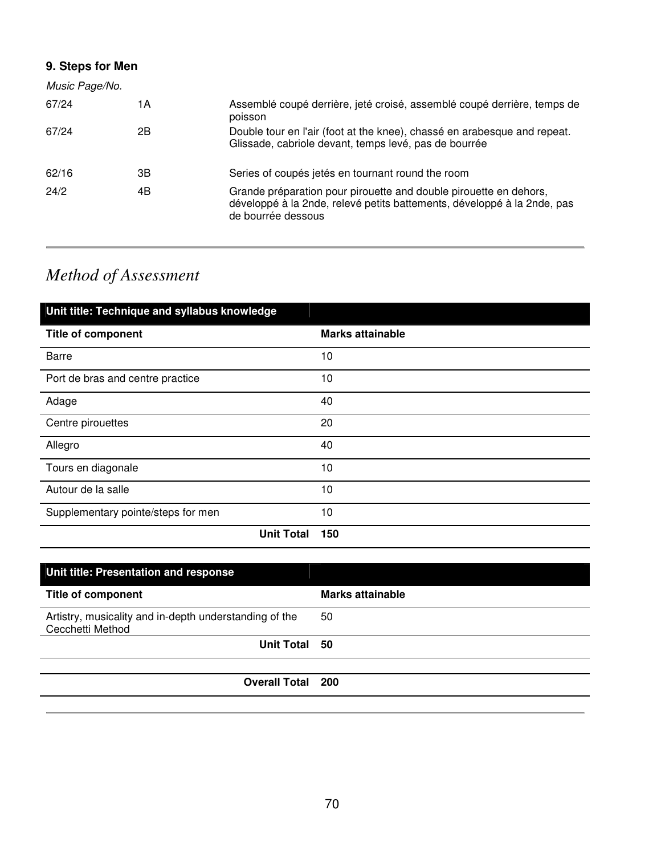### **9. Steps for Men**

| Music Page/No. |    |                                                                                                                                                                    |
|----------------|----|--------------------------------------------------------------------------------------------------------------------------------------------------------------------|
| 67/24          | 1А | Assemblé coupé derrière, jeté croisé, assemblé coupé derrière, temps de<br>poisson                                                                                 |
| 67/24          | 2Β | Double tour en l'air (foot at the knee), chassé en arabesque and repeat.<br>Glissade, cabriole devant, temps levé, pas de bourrée                                  |
| 62/16          | 3В | Series of coupés jetés en tournant round the room                                                                                                                  |
| 24/2           | 4B | Grande préparation pour pirouette and double pirouette en dehors,<br>développé à la 2nde, relevé petits battements, développé à la 2nde, pas<br>de bourrée dessous |

# *Method of Assessment*

| Unit title: Technique and syllabus knowledge |                         |
|----------------------------------------------|-------------------------|
| <b>Title of component</b>                    | <b>Marks attainable</b> |
| <b>Barre</b>                                 | 10                      |
| Port de bras and centre practice             | 10                      |
| Adage                                        | 40                      |
| Centre pirouettes                            | 20                      |
| Allegro                                      | 40                      |
| Tours en diagonale                           | 10                      |
| Autour de la salle                           | 10                      |
| Supplementary pointe/steps for men           | 10                      |
| <b>Unit Total</b>                            | 150                     |

| Unit title: Presentation and response                                      |                         |
|----------------------------------------------------------------------------|-------------------------|
| <b>Title of component</b>                                                  | <b>Marks attainable</b> |
| Artistry, musicality and in-depth understanding of the<br>Cecchetti Method | 50                      |
| Unit Total 50                                                              |                         |
|                                                                            |                         |
| <b>Overall Total 200</b>                                                   |                         |
|                                                                            |                         |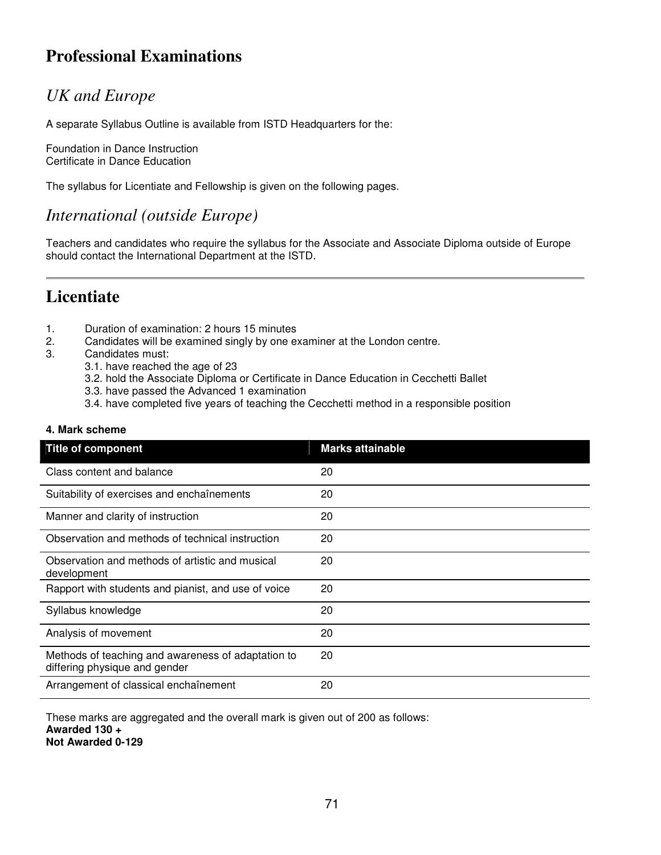# **Professional Examinations**

## *UK and Europe*

A separate Syllabus Outline is available from ISTD Headquarters for the:

Foundation in Dance Instruction Certificate in Dance Education

The syllabus for Licentiate and Fellowship is given on the following pages.

### *International (outside Europe)*

Teachers and candidates who require the syllabus for the Associate and Associate Diploma outside of Europe should contact the International Department at the ISTD.

## **Licentiate**

- 1. Duration of examination: 2 hours 15 minutes
- 2. Candidates will be examined singly by one examiner at the London centre.
- 3. Candidates must:
	- 3.1. have reached the age of 23
	- 3.2. hold the Associate Diploma or Certificate in Dance Education in Cecchetti Ballet
	- 3.3. have passed the Advanced 1 examination
	- 3.4. have completed five years of teaching the Cecchetti method in a responsible position

#### **4. Mark scheme**

| <b>Title of component</b>                                                           | <b>Marks attainable</b> |
|-------------------------------------------------------------------------------------|-------------------------|
| Class content and balance                                                           | 20                      |
| Suitability of exercises and enchaînements                                          | 20                      |
| Manner and clarity of instruction                                                   | 20                      |
| Observation and methods of technical instruction                                    | 20                      |
| Observation and methods of artistic and musical<br>development                      | 20                      |
| Rapport with students and pianist, and use of voice                                 | 20                      |
| Syllabus knowledge                                                                  | 20                      |
| Analysis of movement                                                                | 20                      |
| Methods of teaching and awareness of adaptation to<br>differing physique and gender | 20                      |
| Arrangement of classical enchaînement                                               | 20                      |

These marks are aggregated and the overall mark is given out of 200 as follows: **Awarded 130 + Not Awarded 0-129**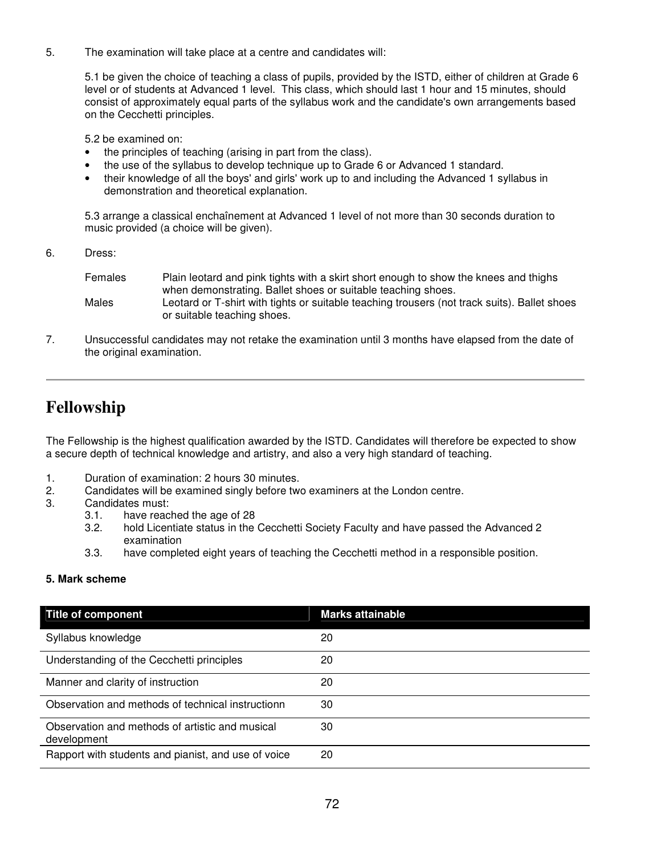5. The examination will take place at a centre and candidates will:

5.1 be given the choice of teaching a class of pupils, provided by the ISTD, either of children at Grade 6 level or of students at Advanced 1 level. This class, which should last 1 hour and 15 minutes, should consist of approximately equal parts of the syllabus work and the candidate's own arrangements based on the Cecchetti principles.

5.2 be examined on:

- the principles of teaching (arising in part from the class).
- the use of the syllabus to develop technique up to Grade 6 or Advanced 1 standard.
- their knowledge of all the boys' and girls' work up to and including the Advanced 1 syllabus in demonstration and theoretical explanation.

5.3 arrange a classical enchaînement at Advanced 1 level of not more than 30 seconds duration to music provided (a choice will be given).

6. Dress:

| Females | Plain leotard and pink tights with a skirt short enough to show the knees and thighs         |
|---------|----------------------------------------------------------------------------------------------|
|         | when demonstrating. Ballet shoes or suitable teaching shoes.                                 |
| Males   | Leotard or T-shirt with tights or suitable teaching trousers (not track suits). Ballet shoes |
|         | or suitable teaching shoes.                                                                  |

7. Unsuccessful candidates may not retake the examination until 3 months have elapsed from the date of the original examination.

### **Fellowship**

The Fellowship is the highest qualification awarded by the ISTD. Candidates will therefore be expected to show a secure depth of technical knowledge and artistry, and also a very high standard of teaching.

- 1. Duration of examination: 2 hours 30 minutes.
- 2. Candidates will be examined singly before two examiners at the London centre.
- 3. Candidates must:
	- 3.1. have reached the age of 28
	- 3.2. hold Licentiate status in the Cecchetti Society Faculty and have passed the Advanced 2 examination
	- 3.3. have completed eight years of teaching the Cecchetti method in a responsible position.

#### **5. Mark scheme**

| <b>Title of component</b>                                      | <b>Marks attainable</b> |
|----------------------------------------------------------------|-------------------------|
| Syllabus knowledge                                             | 20                      |
| Understanding of the Cecchetti principles                      | 20                      |
| Manner and clarity of instruction                              | 20                      |
| Observation and methods of technical instructionn              | 30                      |
| Observation and methods of artistic and musical<br>development | 30                      |
| Rapport with students and pianist, and use of voice            | 20                      |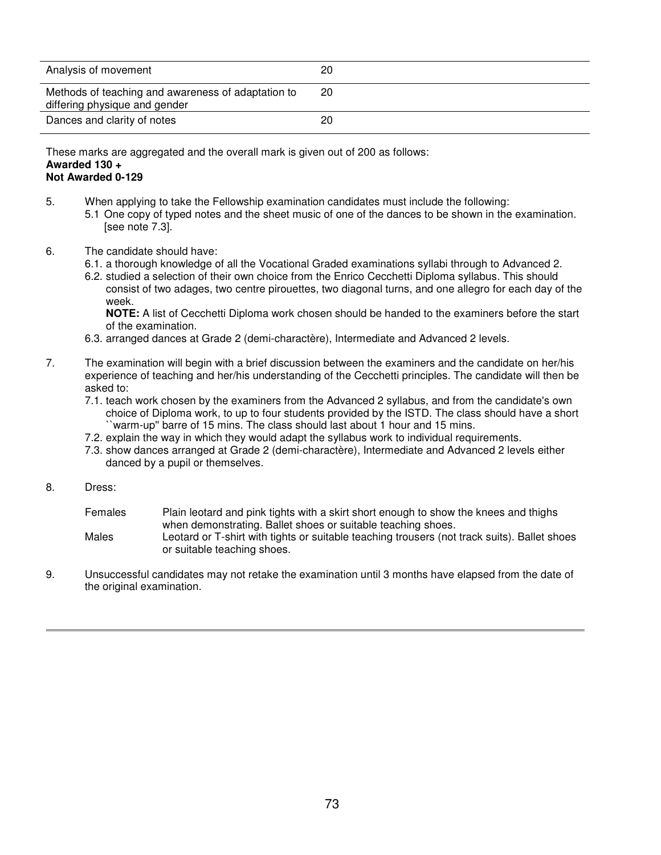| Analysis of movement                                                                | 20 |
|-------------------------------------------------------------------------------------|----|
| Methods of teaching and awareness of adaptation to<br>differing physique and gender | 20 |
| Dances and clarity of notes                                                         | 20 |

These marks are aggregated and the overall mark is given out of 200 as follows: **Awarded 130 +** 

## **Not Awarded 0-129**

- 5. When applying to take the Fellowship examination candidates must include the following:
	- 5.1 One copy of typed notes and the sheet music of one of the dances to be shown in the examination. [see note 7.3].
- 6. The candidate should have:
	- 6.1. a thorough knowledge of all the Vocational Graded examinations syllabi through to Advanced 2.
	- 6.2. studied a selection of their own choice from the Enrico Cecchetti Diploma syllabus. This should consist of two adages, two centre pirouettes, two diagonal turns, and one allegro for each day of the week.

**NOTE:** A list of Cecchetti Diploma work chosen should be handed to the examiners before the start of the examination.

- 6.3. arranged dances at Grade 2 (demi-charactère), Intermediate and Advanced 2 levels.
- 7. The examination will begin with a brief discussion between the examiners and the candidate on her/his experience of teaching and her/his understanding of the Cecchetti principles. The candidate will then be asked to:
	- 7.1. teach work chosen by the examiners from the Advanced 2 syllabus, and from the candidate's own choice of Diploma work, to up to four students provided by the ISTD. The class should have a short ``warm-up'' barre of 15 mins. The class should last about 1 hour and 15 mins.
	- 7.2. explain the way in which they would adapt the syllabus work to individual requirements.
	- 7.3. show dances arranged at Grade 2 (demi-charactère), Intermediate and Advanced 2 levels either danced by a pupil or themselves.
- 8. Dress:
	- Females Plain leotard and pink tights with a skirt short enough to show the knees and thighs when demonstrating. Ballet shoes or suitable teaching shoes.
	- Males Leotard or T-shirt with tights or suitable teaching trousers (not track suits). Ballet shoes or suitable teaching shoes.
- 9. Unsuccessful candidates may not retake the examination until 3 months have elapsed from the date of the original examination.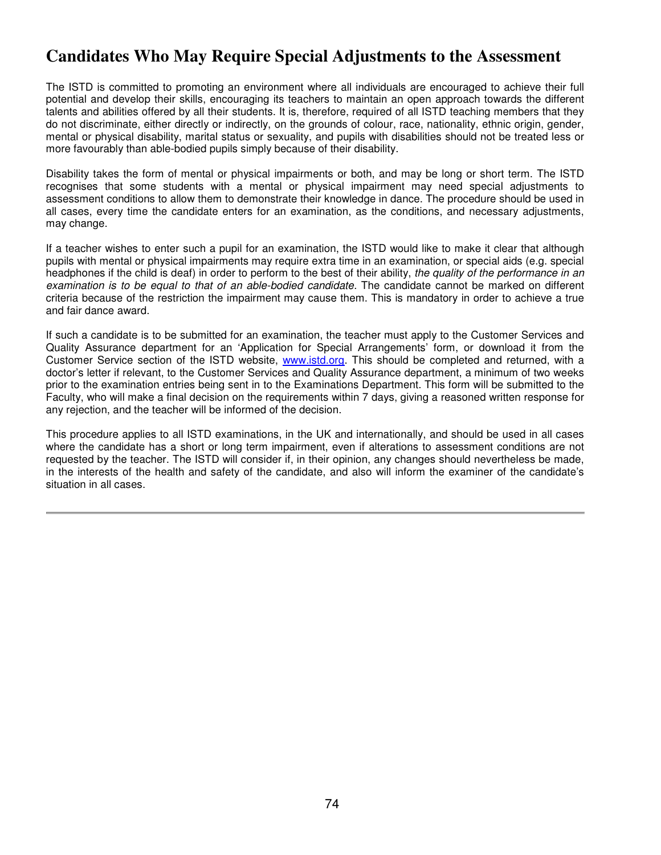## **Candidates Who May Require Special Adjustments to the Assessment**

The ISTD is committed to promoting an environment where all individuals are encouraged to achieve their full potential and develop their skills, encouraging its teachers to maintain an open approach towards the different talents and abilities offered by all their students. It is, therefore, required of all ISTD teaching members that they do not discriminate, either directly or indirectly, on the grounds of colour, race, nationality, ethnic origin, gender, mental or physical disability, marital status or sexuality, and pupils with disabilities should not be treated less or more favourably than able-bodied pupils simply because of their disability.

Disability takes the form of mental or physical impairments or both, and may be long or short term. The ISTD recognises that some students with a mental or physical impairment may need special adjustments to assessment conditions to allow them to demonstrate their knowledge in dance. The procedure should be used in all cases, every time the candidate enters for an examination, as the conditions, and necessary adjustments, may change.

If a teacher wishes to enter such a pupil for an examination, the ISTD would like to make it clear that although pupils with mental or physical impairments may require extra time in an examination, or special aids (e.g. special headphones if the child is deaf) in order to perform to the best of their ability, the quality of the performance in an examination is to be equal to that of an able-bodied candidate. The candidate cannot be marked on different criteria because of the restriction the impairment may cause them. This is mandatory in order to achieve a true and fair dance award.

If such a candidate is to be submitted for an examination, the teacher must apply to the Customer Services and Quality Assurance department for an 'Application for Special Arrangements' form, or download it from the Customer Service section of the ISTD website, www.istd.org. This should be completed and returned, with a doctor's letter if relevant, to the Customer Services and Quality Assurance department, a minimum of two weeks prior to the examination entries being sent in to the Examinations Department. This form will be submitted to the Faculty, who will make a final decision on the requirements within 7 days, giving a reasoned written response for any rejection, and the teacher will be informed of the decision.

This procedure applies to all ISTD examinations, in the UK and internationally, and should be used in all cases where the candidate has a short or long term impairment, even if alterations to assessment conditions are not requested by the teacher. The ISTD will consider if, in their opinion, any changes should nevertheless be made, in the interests of the health and safety of the candidate, and also will inform the examiner of the candidate's situation in all cases.